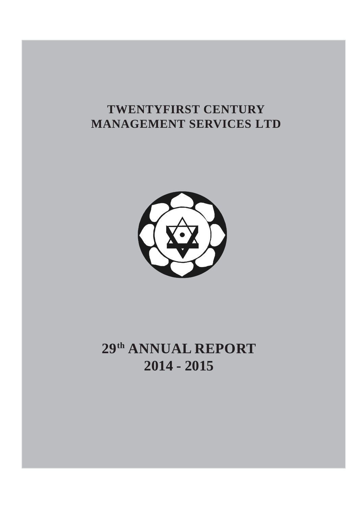# **TWENTYFIRST CENTURY MANAGEMENT SERVICES LTD**



# **29th ANNUAL REPORT 2014 - 2015**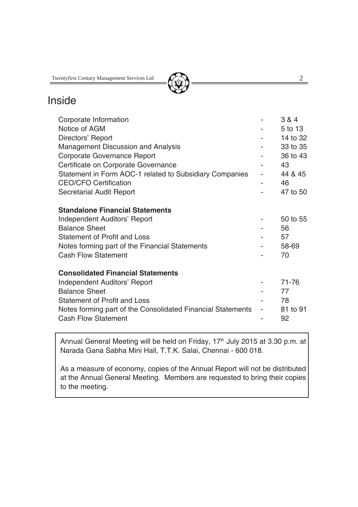

# Inside

Annual General Meeting will be held on Friday, 17<sup>th</sup> July 2015 at 3.30 p.m. at Narada Gana Sabha Mini Hall, T.T.K. Salai, Chennai - 600 018.

As a measure of economy, copies of the Annual Report will not be distributed at the Annual General Meeting. Members are requested to bring their copies to the meeting.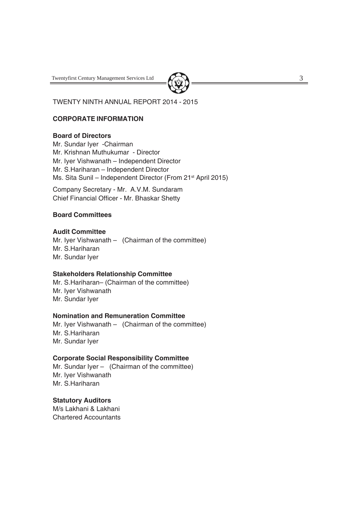

TWENTY NINTH ANNUAL REPORT 2014 - 2015

#### **CORPORATE INFORMATION**

## **Board of Directors**

Mr. Sundar Iyer -Chairman Mr. Krishnan Muthukumar - Director Mr. Iyer Vishwanath – Independent Director Mr. S.Hariharan – Independent Director Ms. Sita Sunil – Independent Director (From 21<sup>st</sup> April 2015)

Company Secretary - Mr. A.V.M. Sundaram Chief Financial Officer - Mr. Bhaskar Shetty

#### **Board Committees**

#### **Audit Committee**

Mr. Iyer Vishwanath – (Chairman of the committee) Mr. S.Hariharan Mr. Sundar Iyer

#### **Stakeholders Relationship Committee**

Mr. S.Hariharan– (Chairman of the committee) Mr. Iyer Vishwanath Mr. Sundar Iyer

#### **Nomination and Remuneration Committee**

Mr. Iyer Vishwanath – (Chairman of the committee) Mr. S.Hariharan Mr. Sundar Iyer

#### **Corporate Social Responsibility Committee**

Mr. Sundar Iyer – (Chairman of the committee) Mr. Iyer Vishwanath Mr. S.Hariharan

**Statutory Auditors** M/s Lakhani & Lakhani

Chartered Accountants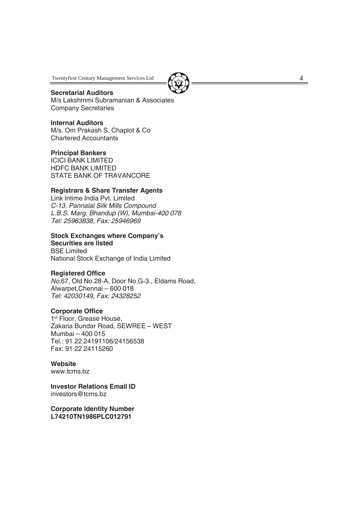#### **Secretarial Auditors**

M/s Lakshmmi Subramanian & Associates Company Secretaries

#### **Internal Auditors**

M/s. Om Prakash S. Chaplot & Co Chartered Accountants

#### **Principal Bankers**

ICICI BANK LIMITED HDFC BANK LIMITED STATE BANK OF TRAVANCORE

#### **Registrars & Share Transfer Agents**

Link Intime India Pvt. Limited *C-13, Pannalal Silk Mills Compound L.B.S. Marg, Bhandup (W), Mumbai-400 078 Tel: 25963838, Fax: 25946969*

#### **Stock Exchanges where Company's**

**Securities are listed** BSE Limited National Stock Exchange of India Limited

#### **Registered Office**

*No*.67, Old No.28-A, Door No.G-3., Eldams Road, Alwarpet,Chennai – 600 018 *Tel: 42030149, Fax: 24328252*

#### **Corporate Office**

1st Floor, Grease House, Zakaria Bundar Road, SEWREE – WEST Mumbai – 400 015 Tel.: 91 22 24191106/24156538 Fax: 91 22 24115260

#### **Website**

www.tcms.bz

**Investor Relations Email ID** investors@tcms.bz

**Corporate Identity Number L74210TN1986PLC012791**

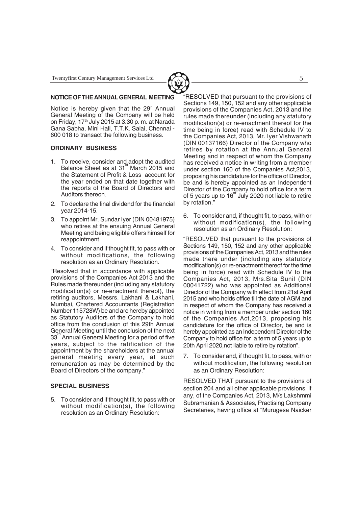Twentyfirst Century Management Services Ltd  $\sim$  5



#### **NOTICE OF THE ANNUAL GENERAL MEETING**

Notice is hereby given that the 29<sup>h</sup> Annual General Meeting of the Company will be held on Friday, 17<sup>th</sup> July 2015 at 3.30 p. m. at Narada Gana Sabha, Mini Hall, T.T.K. Salai, Chennai - 600 018 to transact the following business.

#### **ORDINARY BUSINESS**

- 1. To receive, consider and adopt the audited Balance Sheet as at 31<sup>st</sup> March 2015 and the Statement of Profit & Loss account for the year ended on that date together with the reports of the Board of Directors and Auditors thereon.
- 2. To declare the final dividend for the financial year 2014-15.
- 3. To appoint Mr. Sundar Iyer (DIN 00481975) who retires at the ensuing Annual General Meeting and being eligible offers himself for reappointment.
- 4. To consider and if thought fit, to pass with or without modifications, the following resolution as an Ordinary Resolution.

"Resolved that in accordance with applicable provisions of the Companies Act 2013 and the Rules made thereunder (including any statutory modification(s) or re-enactment thereof), the retiring auditors, Messrs. Lakhani & Lakhani, Mumbai, Chartered Accountants (Registration Number 115728W) be and are hereby appointed as Statutory Auditors of the Company to hold office from the conclusion of this 29th Annual General Meeting until the conclusion of the next 33<sup>"</sup> Annual General Meeting for a period of five years, subject to the ratification of the appointment by the shareholders at the annual general meeting every year, at such remuneration as may be determined by the Board of Directors of the company."

#### **SPECIAL BUSINESS**

5. To consider and if thought fit, to pass with or without modification(s), the following resolution as an Ordinary Resolution:

"RESOLVED that pursuant to the provisions of Sections 149, 150, 152 and any other applicable provisions of the Companies Act, 2013 and the rules made thereunder (including any statutory modification(s) or re-enactment thereof for the time being in force) read with Schedule IV to the Companies Act, 2013, Mr. Iyer Vishwanath (DIN 00137166) Director of the Company who retires by rotation at the Annual General Meeting and in respect of whom the Company has received a notice in writing from a member under section 160 of the Companies Act,2013, proposing his candidature for the office of Director, be and is hereby appointed as an Independent Director of the Company to hold office for a term<br>of 5 years up to 16<sup>st</sup> July 2020 not liable to retire by rotation."

6. To consider and, if thought fit, to pass, with or without modification(s), the following resolution as an Ordinary Resolution:

"RESOLVED that pursuant to the provisions of Sections 149, 150, 152 and any other applicable provisions of the Companies Act, 2013 and the rules made there under (including any statutory modification(s) or re-enactment thereof for the time being in force) read with Schedule IV to the Companies Act, 2013, Mrs.Sita Sunil (DIN 00041722) who was appointed as Additional Director of the Company with effect from 21st April 2015 and who holds office till the date of AGM and in respect of whom the Company has received a notice in writing from a member under section 160 of the Companies Act,2013, proposing his candidature for the office of Director, be and is hereby appointed as an Independent Director of the Company to hold office for a term of 5 years up to 20th April 2020,not liable to retire by rotation".

7. To consider and, if thought fit, to pass, with or without modification, the following resolution as an Ordinary Resolution:

RESOLVED THAT pursuant to the provisions of section 204 and all other applicable provisions, if any, of the Companies Act, 2013, M/s Lakshmmi Subramanian & Associates, Practising Company Secretaries, having office at "Murugesa Naicker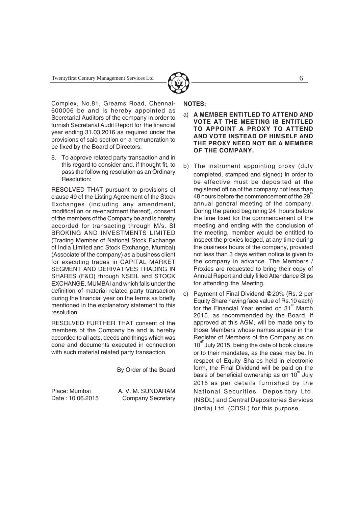Twentyfirst Century Management Services Ltd  $\sim$  6



Complex, No.81, Greams Road, Chennai-600006 be and is hereby appointed as Secretarial Auditors of the company in order to furnish Secretarial Audit Report for the financial year ending 31.03.2016 as required under the provisions of said section on a remuneration to be fixed by the Board of Directors.

8. To approve related party transaction and in this regard to consider and, if thought fit, to pass the following resolution as an Ordinary Resolution:

RESOLVED THAT pursuant to provisions of clause 49 of the Listing Agreement of the Stock Exchanges (including any amendment, modification or re-enactment thereof), consent of the members of the Company be and is hereby accorded for transacting through M/s. SI BROKING AND INVESTMENTS LIMITED (Trading Member of National Stock Exchange of India Limited and Stock Exchange, Mumbai) (Associate of the company) as a business client for executing trades in CAPITAL MARKET SEGMENT AND DERIVATIVES TRADING IN SHARES (F&O) through NSEIL and STOCK EXCHANGE, MUMBAI and which falls under the definition of material related party transaction during the financial year on the terms as briefly mentioned in the explanatory statement to this resolution.

RESOLVED FURTHER THAT consent of the members of the Company be and is hereby accorded to all acts, deeds and things which was done and documents executed in connection with such material related party transaction.

By Order of the Board

Place: Mumbai A. V. M. SUNDARAM

Date: 10.06.2015 Company Secretary

#### **NOTES:**

- a) **A MEMBER ENTITLED TO ATTEND AND VOTE AT THE MEETING IS ENTITLED TO APPOINT A PROXY TO ATTEND AND VOTE INSTEAD OF HIMSELF AND THE PROXY NEED NOT BE A MEMBER OF THE COMPANY.**
- b) The instrument appointing proxy (duly completed, stamped and signed) in order to be effective must be deposited at the registered office of the company not less than 48 hours before the commencement of the  $29<sup>′</sup>$ annual general meeting of the company. During the period beginning 24 hours before the time fixed for the commencement of the meeting and ending with the conclusion of the meeting, member would be entitled to inspect the proxies lodged, at any time during the business hours of the company, provided not less than 3 days written notice is given to the company in advance. The Members / Proxies are requested to bring their copy of Annual Report and duly filled Attendance Slips for attending the Meeting.
- c) Payment of Final Dividend @20% (Rs. 2 per Equity Share having face value of Rs.10 each) for the Financial Year ended on  $31<sup>st</sup>$  March 2015, as recommended by the Board, if approved at this AGM, will be made only to those Members whose names appear in the Register of Members of the Company as on  $10<sup>th</sup>$  July 2015, being the date of book closure or to their mandates, as the case may be. In respect of Equity Shares held in electronic form, the Final Dividend will be paid on the basis of beneficial ownership as on  $10^{\degree}$  July 2015 as per details furnished by the National Securities Depository Ltd. (NSDL) and Central Depositories Services (India) Ltd. (CDSL) for this purpose.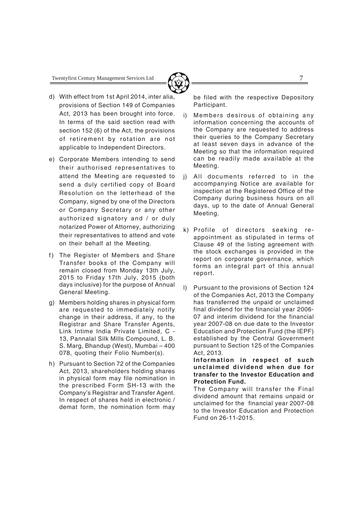Twentyfirst Century Management Services Ltd  $\sim$   $\sim$   $\sim$   $\sim$   $\sim$  7



- e) Corporate Members intending to send their authorised representatives to attend the Meeting are requested to send a duly certified copy of Board Resolution on the letterhead of the Company, signed by one of the Directors or Company Secretary or any other authorized signatory and / or duly notarized Power of Attorney, authorizing their representatives to attend and vote on their behalf at the Meeting.
- f) The Register of Members and Share Transfer books of the Company will remain closed from Monday 13th July, 2015 to Friday 17th July, 2015 (both days inclusive) for the purpose of Annual General Meeting.
- g) Members holding shares in physical form are requested to immediately notify change in their address, if any, to the Registrar and Share Transfer Agents, Link Intime India Private Limited, C - 13, Pannalal Silk Mills Compound, L. B. S. Marg, Bhandup (West), Mumbai – 400 078, quoting their Folio Number(s).
- h) Pursuant to Section 72 of the Companies Act, 2013, shareholders holding shares in physical form may file nomination in the prescribed Form SH-13 with the Company's Registrar and Transfer Agent. In respect of shares held in electronic / demat form, the nomination form may

be filed with the respective Depository Participant.

- i) Members desirous of obtaining any information concerning the accounts of the Company are requested to address their queries to the Company Secretary at least seven days in advance of the Meeting so that the information required can be readily made available at the Meeting.
- j) All documents referred to in the accompanying Notice are available for inspection at the Registered Office of the Company during business hours on all days, up to the date of Annual General Meeting.
- k) Profile of directors seeking reappointment as stipulated in terms of Clause 49 of the listing agreement with the stock exchanges is provided in the report on corporate governance, which forms an integral part of this annual report.
- l) Pursuant to the provisions of Section 124 of the Companies Act, 2013 the Company has transferred the unpaid or unclaimed final dividend for the financial year 2006- 07 and interim dividend for the financial year 2007-08 on due date to the Investor Education and Protection Fund (the IEPF) established by the Central Government pursuant to Section 125 of the Companies Act, 2013.

**Information in respect of such unclaimed dividend when due for transfer to the Investor Education and Protection Fund.**

The Company will transfer the Final dividend amount that remains unpaid or unclaimed for the financial year 2007-08 to the Investor Education and Protection Fund on 26-11-2015.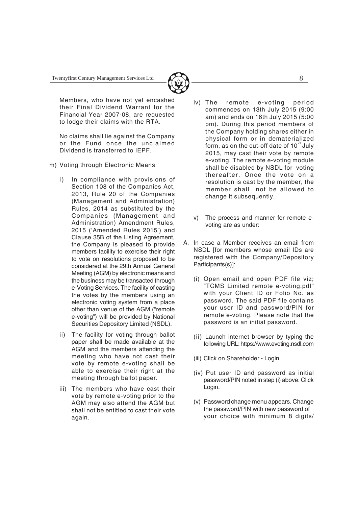Twentyfirst Century Management Services Ltd  $\sim$  8



Members, who have not yet encashed their Final Dividend Warrant for the Financial Year 2007-08, are requested to lodge their claims with the RTA.

No claims shall lie against the Company or the Fund once the unclaimed Dividend is transferred to IEPF.

- m) Voting through Electronic Means
	- i) In compliance with provisions of Section 108 of the Companies Act, 2013, Rule 20 of the Companies (Management and Administration) Rules, 2014 as substituted by the Companies (Management and Administration) Amendment Rules, 2015 ('Amended Rules 2015') and Clause 35B of the Listing Agreement, the Company is pleased to provide members facility to exercise their right to vote on resolutions proposed to be considered at the 29th Annual General Meeting (AGM) by electronic means and the business may be transacted through e-Voting Services. The facility of casting the votes by the members using an electronic voting system from a place other than venue of the AGM ("remote e-voting") will be provided by National Securities Depository Limited (NSDL).
	- ii) The facility for voting through ballot paper shall be made available at the AGM and the members attending the meeting who have not cast their vote by remote e-voting shall be able to exercise their right at the meeting through ballot paper.
	- iii) The members who have cast their vote by remote e-voting prior to the AGM may also attend the AGM but shall not be entitled to cast their vote again.
- iv) The remote e-voting period commences on 13th July 2015 (9:00 am) and ends on 16th July 2015 (5:00 pm). During this period members of the Company holding shares either in physical form or in dematerialized form, as on the cut-off date of  $10^{\circ}$  July 2015, may cast their vote by remote e-voting. The remote e-voting module shall be disabled by NSDL for voting thereafter. Once the vote on a resolution is cast by the member, the member shall not be allowed to change it subsequently.
- v) The process and manner for remote evoting are as under:
- A. In case a Member receives an email from NSDL [for members whose email IDs are registered with the Company/Depository Participants(s)]:
	- (i) Open email and open PDF file viz; "TCMS Limited remote e-voting.pdf" with your Client ID or Folio No. as password. The said PDF file contains your user ID and password/PIN for remote e-voting. Please note that the password is an initial password.
	- (ii) Launch internet browser by typing the following URL: https://www.evoting.nsdl.com
	- (iii) Click on Shareholder Login
	- (iv) Put user ID and password as initial password/PIN noted in step (i) above. Click Login.
	- (v) Password change menu appears. Change the password/PIN with new password of your choice with minimum 8 digits/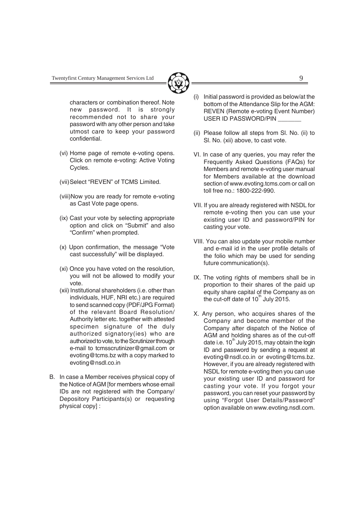

characters or combination thereof. Note new password. It is strongly recommended not to share your password with any other person and take utmost care to keep your password confidential.

- (vi) Home page of remote e-voting opens. Click on remote e-voting: Active Voting Cycles.
- (vii)Select "REVEN" of TCMS Limited.
- (viii)Now you are ready for remote e-voting as Cast Vote page opens.
- (ix) Cast your vote by selecting appropriate option and click on "Submit" and also "Confirm" when prompted.
- (x) Upon confirmation, the message "Vote cast successfully" will be displayed.
- (xi) Once you have voted on the resolution, you will not be allowed to modify your vote.
- (xii) Institutional shareholders (i.e. other than individuals, HUF, NRI etc.) are required to send scanned copy (PDF/JPG Format) of the relevant Board Resolution/ Authority letter etc. together with attested specimen signature of the duly authorized signatory(ies) who are authorized to vote, to the Scrutinizer through e-mail to tcmsscrutinizer@gmail.com or evoting@tcms.bz with a copy marked to evoting@nsdl.co.in
- B. In case a Member receives physical copy of the Notice of AGM [for members whose email IDs are not registered with the Company/ Depository Participants(s) or requesting physical copy] :
- (i) Initial password is provided as below/at the bottom of the Attendance Slip for the AGM: REVEN (Remote e-voting Event Number) USER ID PASSWORD/PIN
- (ii) Please follow all steps from Sl. No. (ii) to Sl. No. (xii) above, to cast vote.
- VI. In case of any queries, you may refer the Frequently Asked Questions (FAQs) for Members and remote e-voting user manual for Members available at the download section of www.evoting.tcms.com or call on toll free no.: 1800-222-990.
- VII. If you are already registered with NSDL for remote e-voting then you can use your existing user ID and password/PIN for casting your vote.
- VIII. You can also update your mobile number and e-mail id in the user profile details of the folio which may be used for sending future communication(s).
- IX. The voting rights of members shall be in proportion to their shares of the paid up equity share capital of the Company as on the cut-off date of  $10<sup>th</sup>$  July 2015.
- X. Any person, who acquires shares of the Company and become member of the Company after dispatch of the Notice of AGM and holding shares as of the cut-off date i.e.  $10<sup>th</sup>$  July 2015, may obtain the login ID and password by sending a request at evoting@nsdl.co.in or evoting@tcms.bz. However, if you are already registered with NSDL for remote e-voting then you can use your existing user ID and password for casting your vote. If you forgot your password, you can reset your password by using "Forgot User Details/Password" option available on www.evoting.nsdl.com.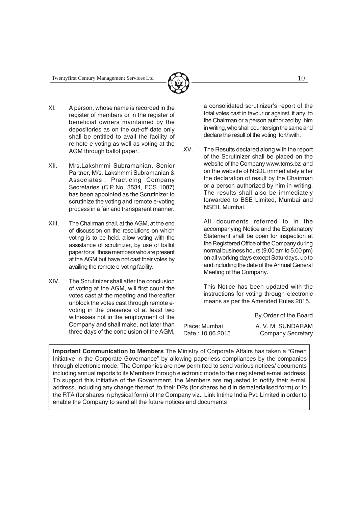

- XI. A person, whose name is recorded in the register of members or in the register of beneficial owners maintained by the depositories as on the cut-off date only shall be entitled to avail the facility of remote e-voting as well as voting at the AGM through ballot paper.
- XII. Mrs.Lakshmmi Subramanian, Senior Partner, M/s. Lakshmmi Subramanian & Associates., Practicing Company Secretaries (C.P.No. 3534, FCS 1087) has been appointed as the Scrutinizer to scrutinize the voting and remote e-voting process in a fair and transparent manner.
- XIII. The Chairman shall, at the AGM, at the end of discussion on the resolutions on which voting is to be held, allow voting with the assistance of scrutinizer, by use of ballot paper for all those members who are present at the AGM but have not cast their votes by availing the remote e-voting facility.
- XIV. The Scrutinizer shall after the conclusion of voting at the AGM, will first count the votes cast at the meeting and thereafter unblock the votes cast through remote evoting in the presence of at least two witnesses not in the employment of the Company and shall make, not later than three days of the conclusion of the AGM,

a consolidated scrutinizer's report of the total votes cast in favour or against, if any, to the Chairman or a person authorized by him in writing, who shall countersign the same and declare the result of the voting forthwith.

XV. The Results declared along with the report of the Scrutinizer shall be placed on the website of the Company www.tcms.bz and on the website of NSDL immediately after the declaration of result by the Chairman or a person authorized by him in writing. The results shall also be immediately forwarded to BSE Limited, Mumbai and NSEIL Mumbai.

> All documents referred to in the accompanying Notice and the Explanatory Statement shall be open for inspection at the Registered Office of the Company during normal business hours (9.00 am to 5.00 pm) on all working days except Saturdays, up to and including the date of the Annual General Meeting of the Company.

> This Notice has been updated with the instructions for voting through electronic means as per the Amended Rules 2015.

By Order of the Board Place: Mumbai A. V. M. SUNDARAM Date : 10.06.2015 Company Secretary

**Important Communication to Members** The Ministry of Corporate Affairs has taken a "Green Initiative in the Corporate Governance" by allowing paperless compliances by the companies through electronic mode. The Companies are now permitted to send various notices/ documents including annual reports to its Members through electronic mode to their registered e-mail address. To support this initiative of the Government, the Members are requested to notify their e-mail address, including any change thereof, to their DPs (for shares held in dematerialised form) or to the RTA (for shares in physical form) of the Company viz., Link Intime India Pvt. Limited in order to enable the Company to send all the future notices and documents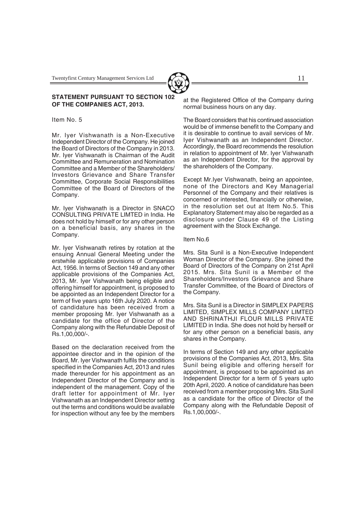

#### **STATEMENT PURSUANT TO SECTION 102 OF THE COMPANIES ACT, 2013.**

Item No. 5

Mr. Iyer Vishwanath is a Non-Executive Independent Director of the Company. He joined the Board of Directors of the Company in 2013. Mr. Iyer Vishwanath is Chairman of the Audit Committee and Remuneration and Nomination Committee and a Member of the Shareholders/ Investors Grievance and Share Transfer Committee, Corporate Social Responsibilities Committee of the Board of Directors of the Company.

Mr. Iyer Vishwanath is a Director in SNACO CONSULTING PRIVATE LIMTED in India. He does not hold by himself or for any other person on a beneficial basis, any shares in the Company.

Mr. Iyer Vishwanath retires by rotation at the ensuing Annual General Meeting under the erstwhile applicable provisions of Companies Act, 1956. In terms of Section 149 and any other applicable provisions of the Companies Act, 2013, Mr. Iyer Vishwanath being eligible and offering himself for appointment, is proposed to be appointed as an Independent Director for a term of five years upto 16th July 2020. A notice of candidature has been received from a member proposing Mr. Iyer Vishwanath as a candidate for the office of Director of the Company along with the Refundable Deposit of Rs.1,00,000/-.

Based on the declaration received from the appointee director and in the opinion of the Board, Mr. Iyer Vishwanath fulfils the conditions specified in the Companies Act, 2013 and rules made thereunder for his appointment as an Independent Director of the Company and is independent of the management. Copy of the draft letter for appointment of Mr. Iyer Vishwanath as an Independent Director setting out the terms and conditions would be available for inspection without any fee by the members

at the Registered Office of the Company during normal business hours on any day.

The Board considers that his continued association would be of immense benefit to the Company and it is desirable to continue to avail services of Mr. Iyer Vishwanath as an Independent Director. Accordingly, the Board recommends the resolution in relation to appointment of Mr. Iyer Vishwanath as an Independent Director, for the approval by the shareholders of the Company.

Except Mr.Iyer Vishwanath, being an appointee, none of the Directors and Key Managerial Personnel of the Company and their relatives is concerned or interested, financially or otherwise, in the resolution set out at Item No.5. This Explanatory Statement may also be regarded as a disclosure under Clause 49 of the Listing agreement with the Stock Exchange.

#### Item No.6

Mrs. Sita Sunil is a Non-Executive Independent Woman Director of the Company. She joined the Board of Directors of the Company on 21st April 2015. Mrs. Sita Sunil is a Member of the Shareholders/Investors Grievance and Share Transfer Committee, of the Board of Directors of the Company.

Mrs. Sita Sunil is a Director in SIMPLEX PAPERS LIMITED, SIMPLEX MILLS COMPANY LIMTED AND SHRINATHJI FLOUR MILLS PRIVATE LIMITED in India. She does not hold by herself or for any other person on a beneficial basis, any shares in the Company.

In terms of Section 149 and any other applicable provisions of the Companies Act, 2013, Mrs. Sita Sunil being eligible and offering herself for appointment, is proposed to be appointed as an Independent Director for a term of 5 years upto 20th April, 2020. A notice of candidature has been received from a member proposing Mrs. Sita Sunil as a candidate for the office of Director of the Company along with the Refundable Deposit of Rs.1,00,000/-.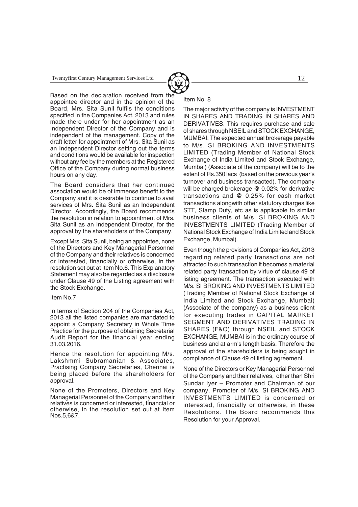Based on the declaration received from the appointee director and in the opinion of the Board, Mrs. Sita Sunil fulfils the conditions specified in the Companies Act, 2013 and rules made there under for her appointment as an Independent Director of the Company and is independent of the management. Copy of the draft letter for appointment of Mrs. Sita Sunil as an Independent Director setting out the terms and conditions would be available for inspection without any fee by the members at the Registered Office of the Company during normal business hours on any day.

The Board considers that her continued association would be of immense benefit to the Company and it is desirable to continue to avail services of Mrs. Sita Sunil as an Independent Director. Accordingly, the Board recommends the resolution in relation to appointment of Mrs. Sita Sunil as an Independent Director, for the approval by the shareholders of the Company.

Except Mrs. Sita Sunil, being an appointee, none of the Directors and Key Managerial Personnel of the Company and their relatives is concerned or interested, financially or otherwise, in the resolution set out at Item No.6. This Explanatory Statement may also be regarded as a disclosure under Clause 49 of the Listing agreement with the Stock Exchange.

#### Item No.7

In terms of Section 204 of the Companies Act, 2013 all the listed companies are mandated to appoint a Company Secretary in Whole Time Practice for the purpose of obtaining Secretarial Audit Report for the financial year ending 31.03.2016.

Hence the resolution for appointing M/s. Lakshmmi Subramanian & Associates, Practising Company Secretaries, Chennai is being placed before the shareholders for approval.

None of the Promoters, Directors and Key Managerial Personnel of the Company and their relatives is concerned or interested, financial or otherwise, in the resolution set out at Item Nos.5,6&7.

#### Item No. 8

The major activity of the company is INVESTMENT IN SHARES AND TRADING IN SHARES AND DERIVATIVES. This requires purchase and sale of shares through NSEIL and STOCK EXCHANGE, MUMBAI. The expected annual brokerage payable to M/s. SI BROKING AND INVESTMENTS LIMITED (Trading Member of National Stock Exchange of India Limited and Stock Exchange, Mumbai) (Associate of the company) will be to the extent of Rs.350 lacs (based on the previous year's turnover and business transacted). The company will be charged brokerage @ 0.02% for derivative transactions and @ 0.25% for cash market transactions alongwith other statutory charges like STT, Stamp Duty, etc as is applicable to similar business clients of M/s. SI BROKING AND INVESTMENTS LIMITED (Trading Member of National Stock Exchange of India Limited and Stock Exchange, Mumbai).

Even though the provisions of Companies Act, 2013 regarding related party transactions are not attracted to such transaction it becomes a material related party transaction by virtue of clause 49 of listing agreement. The transaction executed with M/s. SI BROKING AND INVESTMENTS LIMITED (Trading Member of National Stock Exchange of India Limited and Stock Exchange, Mumbai) (Associate of the company) as a business client for executing trades in CAPITAL MARKET SEGMENT AND DERIVATIVES TRADING IN SHARES (F&O) through NSEIL and STOCK EXCHANGE, MUMBAI is in the ordinary course of business and at arm's length basis. Therefore the approval of the shareholders is being sought in compliance of Clause 49 of listing agreement.

None of the Directors or Key Managerial Personnel of the Company and their relatives, other than Shri Sundar Iyer – Promoter and Chairman of our company, Promoter of M/s. SI BROKING AND INVESTMENTS LIMITED is concerned or interested, financially or otherwise, in these Resolutions. The Board recommends this Resolution for your Approval.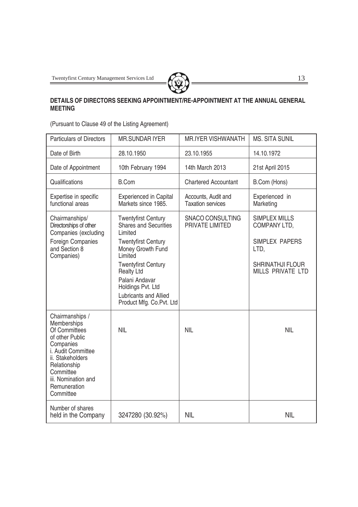## **DETAILS OF DIRECTORS SEEKING APPOINTMENT/RE-APPOINTMENT AT THE ANNUAL GENERAL MEETING**

| <b>Particulars of Directors</b>                                        | <b>MR.SUNDAR IYER</b>                                                 |                                                 | <b>MS. SITA SUNIL</b>                        |  |  |
|------------------------------------------------------------------------|-----------------------------------------------------------------------|-------------------------------------------------|----------------------------------------------|--|--|
| Date of Birth                                                          | 28.10.1950                                                            |                                                 | 14.10.1972                                   |  |  |
| Date of Appointment                                                    | 10th February 1994                                                    | 14th March 2013                                 | 21st April 2015                              |  |  |
| Qualifications                                                         | <b>B.Com</b>                                                          | <b>Chartered Accountant</b>                     | B.Com (Hons)                                 |  |  |
| Expertise in specific<br>functional areas                              | <b>Experienced in Capital</b><br>Markets since 1985.                  | Accounts, Audit and<br><b>Taxation services</b> | Experienced in<br>Marketing                  |  |  |
| Chairmanships/<br>Directorships of other<br>Companies (excluding       | <b>Twentyfirst Century</b><br><b>Shares and Securities</b><br>Limited | <b>SNACO CONSULTING</b><br>PRIVATE LIMITED      | <b>SIMPLEX MILLS</b><br><b>COMPANY LTD,</b>  |  |  |
| Foreign Companies<br>and Section 8<br>Companies)                       | <b>Twentyfirst Century</b><br>Money Growth Fund<br>Limited            |                                                 | SIMPLEX PAPERS<br>LTD,                       |  |  |
|                                                                        | <b>Twentyfirst Century</b><br><b>Realty Ltd</b>                       |                                                 | SHRINATHJI FLOUR<br><b>MILLS PRIVATE LTD</b> |  |  |
|                                                                        | Palani Andavar<br>Holdings Pvt. Ltd                                   |                                                 |                                              |  |  |
|                                                                        | Lubricants and Allied<br>Product Mfg. Co.Pvt. Ltd                     |                                                 |                                              |  |  |
| Chairmanships /<br>Memberships<br>Of Committees                        | <b>NIL</b>                                                            | <b>NIL</b>                                      | <b>NIL</b>                                   |  |  |
| of other Public<br>Companies<br>i. Audit Committee<br>ii. Stakeholders |                                                                       |                                                 |                                              |  |  |
| Relationship<br>Committee<br>iii. Nomination and                       |                                                                       |                                                 |                                              |  |  |
| Remuneration<br>Committee                                              |                                                                       |                                                 |                                              |  |  |
| Number of shares<br>held in the Company                                | 3247280 (30.92%)                                                      | <b>NIL</b>                                      | <b>NIL</b>                                   |  |  |

(Pursuant to Clause 49 of the Listing Agreement)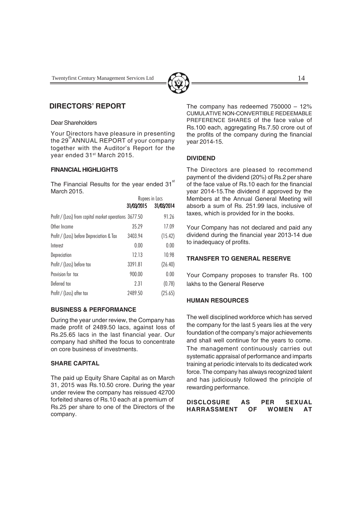

## t**DIRECTORS' REPORT**

#### Dear Shareholders

Your Directors have pleasure in presenting the 29<sup>"</sup>ANNUAL REPORT of your company together with the Auditor's Report for the year ended 31<sup>st</sup> March 2015.

#### **FINANCIAL HIGHLIGHTS**

The Financial Results for the year ended  $31<sup>st</sup>$ March 2015.

|                                                        | Rupees in Lacs |            |  |  |
|--------------------------------------------------------|----------------|------------|--|--|
|                                                        | 31/03/2015     | 31/03/2014 |  |  |
| Profit / (Loss) from capital market operations 3677.50 |                | 91.26      |  |  |
| Other Income                                           | 35.29          | 17.09      |  |  |
| Profit / (Loss) before Depreciation & Tax              | 3403.94        | (15.42)    |  |  |
| Interest                                               | 0.00           | 0.00       |  |  |
| Depreciation                                           | 12.13          | 10.98      |  |  |
| Profit / (Loss) before tax                             | 3391.81        | (26.40)    |  |  |
| Provision for tax                                      | 900.00         | 0.00       |  |  |
| Deferred tax                                           | 2.31           | (0.78)     |  |  |
| Profit / (Loss) after tax                              | 2489.50        | (25.65)    |  |  |
|                                                        |                |            |  |  |

#### **BUSINESS & PERFORMANCE**

During the year under review, the Company has made profit of 2489.50 lacs, against loss of Rs.25.65 lacs in the last financial year. Our company had shifted the focus to concentrate on core business of investments.

#### **SHARE CAPITAL**

The paid up Equity Share Capital as on March 31, 2015 was Rs.10.50 crore. During the year under review the company has reissued 42700 forfeited shares of Rs.10 each at a premium of Rs.25 per share to one of the Directors of the company.

The company has redeemed 750000 – 12% CUMULATIVE NON-CONVERTIBLE REDEEMABLE PREFERENCE SHARES of the face value of Rs.100 each, aggregating Rs.7.50 crore out of the profits of the company during the financial year 2014-15.

#### **DIVIDEND**

The Directors are pleased to recommend payment of the dividend (20%) of Rs.2 per share of the face value of Rs.10 each for the financial year 2014-15.The dividend if approved by the Members at the Annual General Meeting will absorb a sum of Rs. 251.99 lacs, inclusive of taxes, which is provided for in the books.

Your Company has not declared and paid any dividend during the financial year 2013-14 due to inadequacy of profits.

#### **TRANSFER TO GENERAL RESERVE**

Your Company proposes to transfer Rs. 100 lakhs to the General Reserve

#### **HUMAN RESOURCES**

The well disciplined workforce which has served the company for the last 5 years lies at the very foundation of the company's major achievements and shall well continue for the years to come. The management continuously carries out systematic appraisal of performance and imparts training at periodic intervals to its dedicated work force. The company has always recognized talent and has judiciously followed the principle of rewarding performance.

| <b>DISCLOSURE</b>  | AS | PER   | <b>SEXUAL</b> |
|--------------------|----|-------|---------------|
| <b>HARRASSMENT</b> | ΟF | WOMEN | AТ            |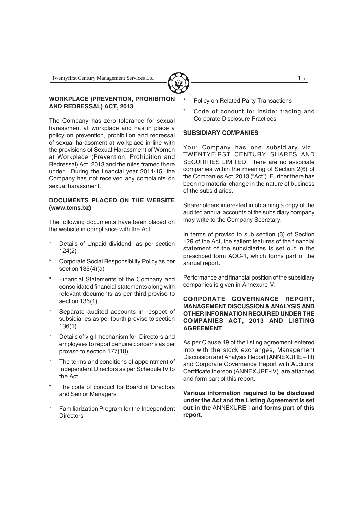Twentyfirst Century Management Services Ltd  $\sim$  15



#### **WORKPLACE (PREVENTION, PROHIBITION AND REDRESSAL) ACT, 2013**

The Company has zero tolerance for sexual harassment at workplace and has in place a policy on prevention, prohibition and redressal of sexual harassment at workplace in line with the provisions of Sexual Harassment of Women at Workplace (Prevention, Prohibition and Redressal) Act, 2013 and the rules framed there under. During the financial year 2014-15, the Company has not received any complaints on sexual harassment.

#### **DOCUMENTS PLACED ON THE WEBSITE (www.tcms.bz)**

The following documents have been placed on the website in compliance with the Act:

- Details of Unpaid dividend as per section 124(2)
- Corporate Social Responsibility Policy as per section 135(4)(a)
- Financial Statements of the Company and consolidated financial statements along with relevant documents as per third proviso to section 136(1)
- Separate audited accounts in respect of subsidiaries as per fourth proviso to section 136(1)
- Details of vigil mechanism for Directors and employees to report genuine concerns as per proviso to section 177(10)
- The terms and conditions of appointment of Independent Directors as per Schedule IV to the Act.
- The code of conduct for Board of Directors and Senior Managers
- Familiarization Program for the Independent **Directors**
- Policy on Related Party Transactions
- Code of conduct for insider trading and Corporate Disclosure Practices

#### **SUBSIDIARY COMPANIES**

Your Company has one subsidiary viz., TWENTYFIRST CENTURY SHARES AND SECURITIES LIMITED. There are no associate companies within the meaning of Section 2(6) of the Companies Act, 2013 ("Act"). Further there has been no material change in the nature of business of the subsidiaries.

Shareholders interested in obtaining a copy of the audited annual accounts of the subsidiary company may write to the Company Secretary.

In terms of proviso to sub section (3) of Section 129 of the Act, the salient features of the financial statement of the subsidiaries is set out in the prescribed form AOC-1, which forms part of the annual report.

Performance and financial position of the subsidiary companies is given in Annexure-V.

#### **CORPORATE GOVERNANCE REPORT, MANAGEMENT DISCUSSION & ANALYSIS AND OTHER INFORMATION REQUIRED UNDER THE COMPANIES ACT, 2013 AND LISTING AGREEMENT**

As per Clause 49 of the listing agreement entered into with the stock exchanges, Management Discussion and Analysis Report (ANNEXURE – III) and Corporate Governance Report with Auditors' Certificate thereon (ANNEXURE-IV) are attached and form part of this report.

**Various information required to be disclosed under the Act and the Listing Agreement is set out in the** ANNEXURE-I **and forms part of this report.**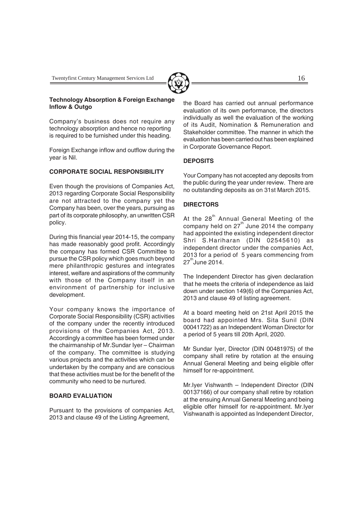

#### **Technology Absorption & Foreign Exchange Inflow & Outgo**

Company's business does not require any technology absorption and hence no reporting is required to be furnished under this heading.

Foreign Exchange inflow and outflow during the year is Nil.

#### **CORPORATE SOCIAL RESPONSIBILITY**

Even though the provisions of Companies Act, 2013 regarding Corporate Social Responsibility are not attracted to the company yet the Company has been, over the years, pursuing as part of its corporate philosophy, an unwritten CSR policy.

During this financial year 2014-15, the company has made reasonably good profit. Accordingly the company has formed CSR Committee to pursue the CSR policy which goes much beyond mere philanthropic gestures and integrates interest, welfare and aspirations of the community with those of the Company itself in an environment of partnership for inclusive development.

Your company knows the importance of Corporate Social Responsibility (CSR) activities of the company under the recently introduced provisions of the Companies Act, 2013. Accordingly a committee has been formed under the chairmanship of Mr.Sundar Iyer – Chairman of the company. The committee is studying various projects and the activities which can be undertaken by the company and are conscious that these activities must be for the benefit of the community who need to be nurtured.

#### **BOARD EVALUATION**

Pursuant to the provisions of companies Act, 2013 and clause 49 of the Listing Agreement,

the Board has carried out annual performance evaluation of its own performance, the directors individually as well the evaluation of the working of its Audit, Nomination & Remuneration and Stakeholder committee. The manner in which the evaluation has been carried out has been explained in Corporate Governance Report.

#### **DEPOSITS**

Your Company has not accepted any deposits from the public during the year under review. There are no outstanding deposits as on 31st March 2015.

#### **DIRECTORS**

At the  $28<sup>th</sup>$  Annual General Meeting of the company held on  $27<sup>th</sup>$  June 2014 the company had appointed the existing independent director Shri S.Hariharan (DIN 02545610) as independent director under the companies Act, 2013 for a period of 5 years commencing from 27"June 2014.

The Independent Director has given declaration that he meets the criteria of independence as laid down under section 149(6) of the Companies Act, 2013 and clause 49 of listing agreement.

At a board meeting held on 21st April 2015 the board had appointed Mrs. Sita Sunil (DIN 00041722) as an Independent Woman Director for a period of 5 years till 20th April, 2020.

Mr Sundar Iyer, Director (DIN 00481975) of the company shall retire by rotation at the ensuing Annual General Meeting and being eligible offer himself for re-appointment.

Mr.Iyer Vishwanth – Independent Director (DIN 00137166) of our company shall retire by rotation at the ensuing Annual General Meeting and being eligible offer himself for re-appointment. Mr.Iyer Vishwanath is appointed as Independent Director,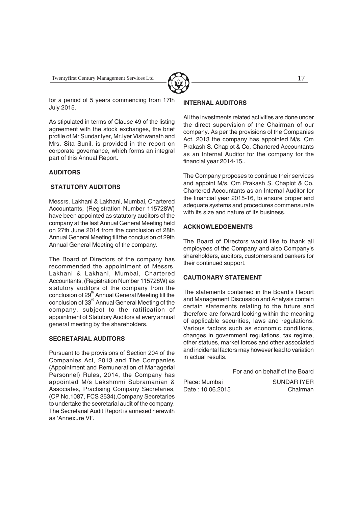

for a period of 5 years commencing from 17th July 2015.

As stipulated in terms of Clause 49 of the listing agreement with the stock exchanges, the brief profile of Mr Sundar Iyer, Mr.Iyer Vishwanath and Mrs. Sita Sunil, is provided in the report on corporate governance, which forms an integral part of this Annual Report.

#### **AUDITORS**

#### **STATUTORY AUDITORS**

Messrs. Lakhani & Lakhani, Mumbai, Chartered Accountants, (Registration Number 115728W) have been appointed as statutory auditors of the company at the last Annual General Meeting held on 27th June 2014 from the conclusion of 28th Annual General Meeting till the conclusion of 29th Annual General Meeting of the company.

The Board of Directors of the company has recommended the appointment of Messrs. Lakhani & Lakhani, Mumbai, Chartered Accountants, (Registration Number 115728W) as statutory auditors of the company from the conclusion of 29<sup>th</sup> Annual General Meeting till the conclusion of 33<sup>rd</sup> Annual General Meeting of the company, subject to the ratification of appointment of Statutory Auditors at every annual general meeting by the shareholders.

#### **SECRETARIAL AUDITORS**

Pursuant to the provisions of Section 204 of the Companies Act, 2013 and The Companies (Appointment and Remuneration of Managerial Personnel) Rules, 2014, the Company has appointed M/s Lakshmmi Subramanian & Associates, Practising Company Secretaries, (CP No.1087, FCS 3534),Company Secretaries to undertake the secretarial audit of the company. The Secretarial Audit Report is annexed herewith as 'Annexure VI'.

#### **INTERNAL AUDITORS**

All the investments related activities are done under the direct supervision of the Chairman of our company. As per the provisions of the Companies Act, 2013 the company has appointed M/s. Om Prakash S. Chaplot & Co, Chartered Accountants as an Internal Auditor for the company for the financial year 2014-15..

The Company proposes to continue their services and appoint M/s. Om Prakash S. Chaplot & Co, Chartered Accountants as an Internal Auditor for the financial year 2015-16, to ensure proper and adequate systems and procedures commensurate with its size and nature of its business.

#### **ACKNOWLEDGEMENTS**

The Board of Directors would like to thank all employees of the Company and also Company's shareholders, auditors, customers and bankers for their continued support.

#### **CAUTIONARY STATEMENT**

The statements contained in the Board's Report and Management Discussion and Analysis contain certain statements relating to the future and therefore are forward looking within the meaning of applicable securities, laws and regulations. Various factors such as economic conditions, changes in government regulations, tax regime, other statues, market forces and other associated and incidental factors may however lead to variation in actual results.

For and on behalf of the Board

| Place: Mumbai    | SUNDAR IYER |
|------------------|-------------|
| Date: 10.06.2015 | Chairman    |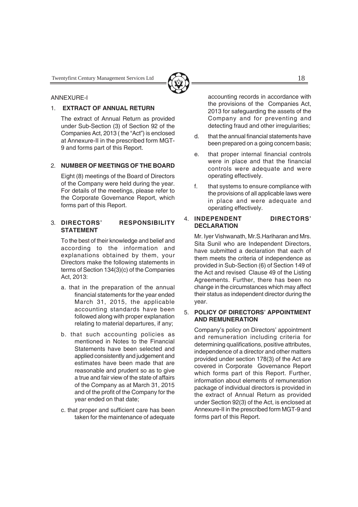

ANNEXURE-I

#### 1. **EXTRACT OF ANNUAL RETURN**

The extract of Annual Return as provided under Sub-Section (3) of Section 92 of the Companies Act, 2013 ( the "Act") is enclosed at Annexure-II in the prescribed form MGT-9 and forms part of this Report.

#### 2. **NUMBER OF MEETINGS OF THE BOARD**

Eight (8) meetings of the Board of Directors of the Company were held during the year. For details of the meetings, please refer to the Corporate Governance Report, which forms part of this Report.

#### 3. **DIRECTORS' RESPONSIBILITY STATEMENT**

To the best of their knowledge and belief and according to the information and explanations obtained by them, your Directors make the following statements in terms of Section 134(3)(c) of the Companies Act, 2013:

- a. that in the preparation of the annual financial statements for the year ended March 31, 2015, the applicable accounting standards have been followed along with proper explanation relating to material departures, if any;
- b. that such accounting policies as mentioned in Notes to the Financial Statements have been selected and applied consistently and judgement and estimates have been made that are reasonable and prudent so as to give a true and fair view of the state of affairs of the Company as at March 31, 2015 and of the profit of the Company for the year ended on that date;
- c. that proper and sufficient care has been taken for the maintenance of adequate

accounting records in accordance with the provisions of the Companies Act, 2013 for safeguarding the assets of the Company and for preventing and detecting fraud and other irregularities;

- d. that the annual financial statements have been prepared on a going concern basis;
- e. that proper internal financial controls were in place and that the financial controls were adequate and were operating effectively.
- f. that systems to ensure compliance with the provisions of all applicable laws were in place and were adequate and operating effectively.

#### 4. **INDEPENDENT DIRECTORS' DECLARATION**

Mr. Iyer Vishwanath, Mr.S.Hariharan and Mrs. Sita Sunil who are Independent Directors, have submitted a declaration that each of them meets the criteria of independence as provided in Sub-Section (6) of Section 149 of the Act and revised Clause 49 of the Listing Agreements. Further, there has been no change in the circumstances which may affect their status as independent director during the year.

#### 5. **POLICY OF DIRECTORS' APPOINTMENT AND REMUNERATION**

Company's policy on Directors' appointment and remuneration including criteria for determining qualifications, positive attributes, independence of a director and other matters provided under section 178(3) of the Act are covered in Corporate Governance Report which forms part of this Report. Further, information about elements of remuneration package of individual directors is provided in the extract of Annual Return as provided under Section 92(3) of the Act, is enclosed at Annexure-II in the prescribed form MGT-9 and forms part of this Report.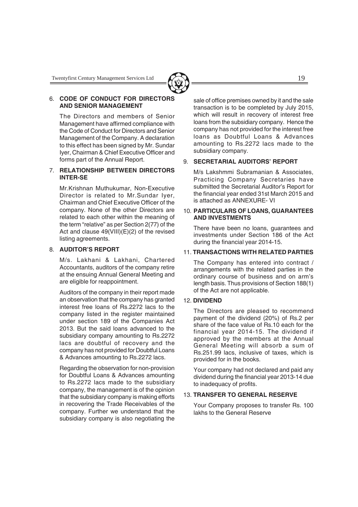Twentyfirst Century Management Services Ltd  $\mathbb{Z}^{\setminus}$ 



#### 6. **CODE OF CONDUCT FOR DIRECTORS AND SENIOR MANAGEMENT**

The Directors and members of Senior Management have affirmed compliance with the Code of Conduct for Directors and Senior Management of the Company. A declaration to this effect has been signed by Mr. Sundar Iyer, Chairman & Chief Executive Officer and forms part of the Annual Report.

#### 7. **RELATIONSHIP BETWEEN DIRECTORS INTER-SE**

Mr.Krishnan Muthukumar, Non-Executive Director is related to Mr.Sundar Iyer, Chairman and Chief Executive Officer of the company. None of the other Directors are related to each other within the meaning of the term "relative" as per Section 2(77) of the Act and clause 49(VIII)(E)(2) of the revised listing agreements.

#### 8. **AUDITOR'S REPORT**

M/s. Lakhani & Lakhani, Chartered Accountants, auditors of the company retire at the ensuing Annual General Meeting and are eligible for reappointment.

Auditors of the company in their report made an observation that the company has granted interest free loans of Rs.2272 lacs to the company listed in the register maintained under section 189 of the Companies Act 2013. But the said loans advanced to the subsidiary company amounting to Rs.2272 lacs are doubtful of recovery and the company has not provided for Doubtful Loans & Advances amounting to Rs.2272 lacs.

Regarding the observation for non-provision for Doubtful Loans & Advances amounting to Rs.2272 lacs made to the subsidiary company, the management is of the opinion that the subsidiary company is making efforts in recovering the Trade Receivables of the company. Further we understand that the subsidiary company is also negotiating the

sale of office premises owned by it and the sale transaction is to be completed by July 2015, which will result in recovery of interest free loans from the subsidiary company. Hence the company has not provided for the interest free loans as Doubtful Loans & Advances amounting to Rs.2272 lacs made to the subsidiary company.

#### 9. **SECRETARIAL AUDITORS' REPORT**

M/s Lakshmmi Subramanian & Associates, Practicing Company Secretaries have submitted the Secretarial Auditor's Report for the financial year ended 31st March 2015 and is attached as ANNEXURE- VI

#### 10. **PARTICULARS OF LOANS, GUARANTEES AND INVESTMENTS**

There have been no loans, guarantees and investments under Section 186 of the Act during the financial year 2014-15.

#### 11. **TRANSACTIONS WITH RELATED PARTIES**

The Company has entered into contract / arrangements with the related parties in the ordinary course of business and on arm's length basis. Thus provisions of Section 188(1) of the Act are not applicable.

#### 12. **DIVIDEND**

The Directors are pleased to recommend payment of the dividend (20%) of Rs.2 per share of the face value of Rs.10 each for the financial year 2014-15. The dividend if approved by the members at the Annual General Meeting will absorb a sum of Rs.251.99 lacs, inclusive of taxes, which is provided for in the books.

Your company had not declared and paid any dividend during the financial year 2013-14 due to inadequacy of profits.

#### 13. **TRANSFER TO GENERAL RESERVE**

Your Company proposes to transfer Rs. 100 lakhs to the General Reserve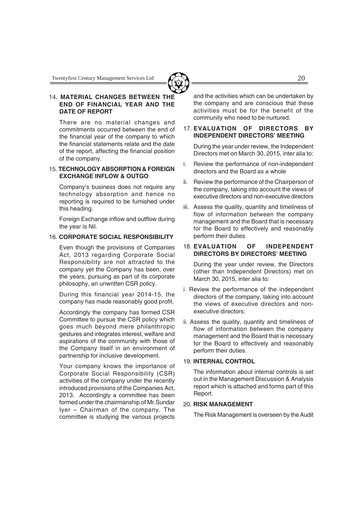Twentyfirst Century Management Services Ltd  $\sim$  20



#### 14. **MATERIAL CHANGES BETWEEN THE END OF FINANCIAL YEAR AND THE DATE OF REPORT**

There are no material changes and commitments occurred between the end of the financial year of the company to which the financial statements relate and the date of the report, affecting the financial position of the company.

#### 15. **TECHNOLOGY ABSORPTION & FOREIGN EXCHANGE INFLOW & OUTGO**

Company's business does not require any technology absorption and hence no reporting is required to be furnished under this heading.

Foreign Exchange inflow and outflow during the year is Nil.

#### 16. **CORPORATE SOCIAL RESPONSIBILITY**

Even though the provisions of Companies Act, 2013 regarding Corporate Social Responsibility are not attracted to the company yet the Company has been, over the years, pursuing as part of its corporate philosophy, an unwritten CSR policy.

During this financial year 2014-15, the company has made reasonably good profit.

Accordingly the company has formed CSR Committee to pursue the CSR policy which goes much beyond mere philanthropic gestures and integrates interest, welfare and aspirations of the community with those of the Company itself in an environment of partnership for inclusive development.

Your company knows the importance of Corporate Social Responsibility (CSR) activities of the company under the recently introduced provisions of the Companies Act, 2013. Accordingly a committee has been formed under the chairmanship of Mr.Sundar Iyer – Chairman of the company. The committee is studying the various projects

and the activities which can be undertaken by the company and are conscious that these activities must be for the benefit of the community who need to be nurtured.

#### 17. **EVALUATION OF DIRECTORS BY INDEPENDENT DIRECTORS' MEETING**

During the year under review, the Independent Directors met on March 30, 2015, inter alia to:

- i. Review the performance of non-independent directors and the Board as a whole
- ii. Review the performance of the Chairperson of the company, taking into account the views of executive directors and non-executive directors
- iii. Assess the quality, quantity and timeliness of flow of information between the company management and the Board that is necessary for the Board to effectively and reasonably perform their duties

#### 18. **EVALUATION OF INDEPENDENT DIRECTORS BY DIRECTORS' MEETING**

During the year under review, the Directors (other than Independent Directors) met on March 30, 2015, inter alia to:

- i. Review the performance of the independent directors of the company, taking into account the views of executive directors and nonexecutive directors;
- ii. Assess the quality, quantity and timeliness of flow of information between the company management and the Board that is necessary for the Board to effectively and reasonably perform their duties.

#### 19. **INTERNAL CONTROL**

The information about internal controls is set out in the Management Discussion & Analysis report which is attached and forms part of this Report.

#### 20. **RISK MANAGEMENT**

The Risk Management is overseen by the Audit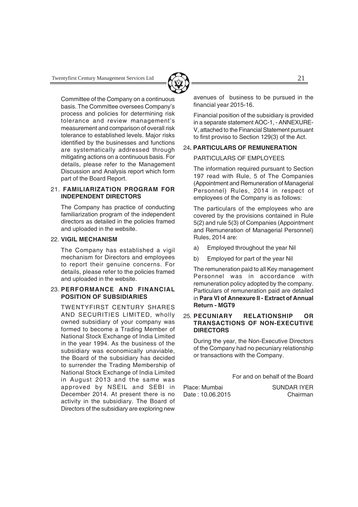Twentyfirst Century Management Services Ltd  $\sim$  21

Committee of the Company on a continuous basis. The Committee oversees Company's process and policies for determining risk tolerance and review management's measurement and comparison of overall risk tolerance to established levels. Major risks identified by the businesses and functions are systematically addressed through mitigating actions on a continuous basis. For details, please refer to the Management Discussion and Analysis report which form part of the Board Report.

#### 21. **FAMILIARIZATION PROGRAM FOR INDEPENDENT DIRECTORS**

The Company has practice of conducting familiarization program of the independent directors as detailed in the policies framed and uploaded in the website.

#### 22. **VIGIL MECHANISM**

The Company has established a vigil mechanism for Directors and employees to report their genuine concerns. For details, please refer to the policies framed and uploaded in the website.

#### 23. **PERFORMANCE AND FINANCIAL POSITION OF SUBSIDIARIES**

TWENTYFIRST CENTURY SHARES AND SECURITIES LIMITED, wholly owned subsidiary of your company was formed to become a Trading Member of National Stock Exchange of India Limited in the year 1994. As the business of the subsidiary was economically unaviable, the Board of the subsidiary has decided to surrender the Trading Membership of National Stock Exchange of India Limited in August 2013 and the same was approved by NSEIL and SEBI in December 2014. At present there is no activity in the subsidiary. The Board of Directors of the subsidiary are exploring new avenues of business to be pursued in the financial year 2015-16.

Financial position of the subsidiary is provided in a separate statement AOC-1, - ANNEXURE-V, attached to the Financial Statement pursuant to first proviso to Section 129(3) of the Act.

#### 24**. PARTICULARS OF REMUNERATION**

#### PARTICULARS OF EMPLOYEES

The information required pursuant to Section 197 read with Rule, 5 of The Companies (Appointment and Remuneration of Managerial Personnel) Rules, 2014 in respect of employees of the Company is as follows:

The particulars of the employees who are covered by the provisions contained in Rule 5(2) and rule 5(3) of Companies (Appointment and Remuneration of Managerial Personnel) Rules, 2014 are:

- a) Employed throughout the year Nil
- b) Employed for part of the year Nil

The remuneration paid to all Key management Personnel was in accordance with remuneration policy adopted by the company. Particulars of remuneration paid are detailed in **Para VI of Annexure II - Extract of Annual Return - MGT9**

#### 25. **PECUNIARY RELATIONSHIP OR TRANSACTIONS OF NON-EXECUTIVE DIRECTORS**

During the year, the Non-Executive Directors of the Company had no pecuniary relationship or transactions with the Company.

For and on behalf of the Board

| Place: Mumbai    | SUNDAR IYER |
|------------------|-------------|
| Date: 10.06.2015 | Chairman    |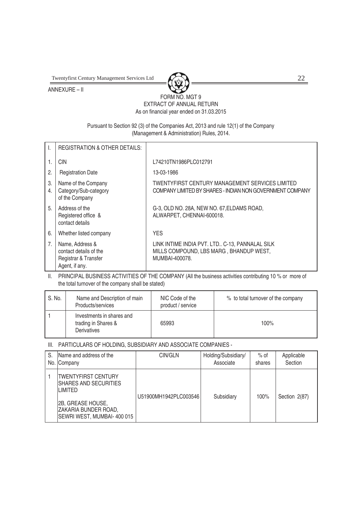ANNEXURE – II

#### FORM NO. MGT 9 EXTRACT OF ANNUAL RETURN As on financial year ended on 31.03.2015

#### Pursuant to Section 92 (3) of the Companies Act, 2013 and rule 12(1) of the Company (Management & Administration) Rules, 2014.

| $\perp$  | <b>REGISTRATION &amp; OTHER DETAILS:</b>                                            |                                                                                                              |
|----------|-------------------------------------------------------------------------------------|--------------------------------------------------------------------------------------------------------------|
|          |                                                                                     |                                                                                                              |
|          | <b>CIN</b>                                                                          | L74210TN1986PLC012791                                                                                        |
| 2.       | <b>Registration Date</b>                                                            | 13-03-1986                                                                                                   |
| 3.<br>4. | Name of the Company<br>Category/Sub-category<br>of the Company                      | TWENTYFIRST CENTURY MANAGEMENT SERVICES LIMITED<br>COMPANY LIMITED BY SHARES - INDIAN NON GOVERNMENT COMPANY |
| 5.       | Address of the<br>Registered office &<br>contact details                            | G-3, OLD NO. 28A, NEW NO. 67, ELDAMS ROAD,<br>ALWARPET, CHENNAI-600018.                                      |
| 6.       | Whether listed company                                                              | <b>YES</b>                                                                                                   |
| 7.       | Name, Address &<br>contact details of the<br>Registrar & Transfer<br>Agent, if any. | LINK INTIME INDIA PVT. LTD C-13, PANNALAL SILK<br>MILLS COMPOUND, LBS MARG, BHANDUP WEST,<br>MUMBAI-400078.  |

II. PRINCIPAL BUSINESS ACTIVITIES OF THE COMPANY (All the business activities contributing 10 % or more of the total turnover of the company shall be stated)

| S. No. | Name and Description of main<br>Products/services                      | NIC Code of the<br>product / service | % to total turnover of the company |
|--------|------------------------------------------------------------------------|--------------------------------------|------------------------------------|
|        | Investments in shares and<br>trading in Shares &<br><b>Derivatives</b> | 65993                                | 100%                               |

#### III. PARTICULARS OF HOLDING, SUBSIDIARY AND ASSOCIATE COMPANIES -

| S. | Name and address of the                                                                                                                                          | CIN/GLN               | Holding/Subsidiary/ | $%$ of | Applicable    |
|----|------------------------------------------------------------------------------------------------------------------------------------------------------------------|-----------------------|---------------------|--------|---------------|
| No | Company                                                                                                                                                          |                       | Associate           | shares | Section       |
|    | <b>TWENTYFIRST CENTURY</b><br>ISHARES AND SECURITIES<br><b>LIMITED</b><br><b>2B, GREASE HOUSE,</b><br><b>ZAKARIA BUNDER ROAD,</b><br>SEWRI WEST, MUMBAI- 400 015 | U51900MH1942PLC003546 | Subsidiary          | 100%   | Section 2(87) |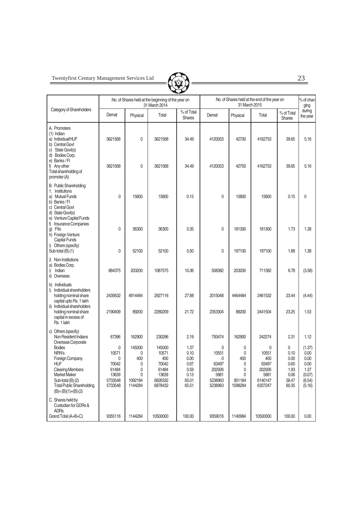

|                                                                                                                                                                                               | No. of Shares held at the beginning of the year on<br>31 March 2014 |                                                         |                                                                         | No. of Shares held at the end of the year on<br>31 March 2015  |                                                                  |                                                   |                                                                    | % of chan<br>ging                                           |                                                                      |
|-----------------------------------------------------------------------------------------------------------------------------------------------------------------------------------------------|---------------------------------------------------------------------|---------------------------------------------------------|-------------------------------------------------------------------------|----------------------------------------------------------------|------------------------------------------------------------------|---------------------------------------------------|--------------------------------------------------------------------|-------------------------------------------------------------|----------------------------------------------------------------------|
| Category of Shareholders                                                                                                                                                                      | Demat                                                               | Physical                                                | Total                                                                   | % of Total<br><b>Shares</b>                                    | Demat                                                            | Physical                                          | Total                                                              | % of Total<br>Shares                                        | during<br>the year                                                   |
| A. Promoters<br>$(1)$ Indian<br>a) Individual/HUF<br>b) Central Govt<br>State Govt(s)<br>C)<br>d) Bodies Corp.<br>e) Banks / Fl<br>f) Any other                                               | 3621568<br>3621568                                                  | 0<br>0                                                  | 3621568<br>3621568                                                      | 34.49<br>34.49                                                 | 4120053<br>4120053                                               | 42700<br>42700                                    | 4162753<br>4162753                                                 | 39.65<br>39.65                                              | 5.16<br>5.16                                                         |
| Total shareholding of<br>promoter (A)                                                                                                                                                         |                                                                     |                                                         |                                                                         |                                                                |                                                                  |                                                   |                                                                    |                                                             |                                                                      |
| <b>B.</b> Public Shareholding<br>Institutions<br>1.<br>a) Mutual Funds<br>b) Banks / Fl<br>c) Central Govt<br>d) State Govt(s)<br>e) Venture Capital Funds                                    | 0                                                                   | 15800                                                   | 15800                                                                   | 0.15                                                           | $\mathbf 0$                                                      | 15800                                             | 15800                                                              | 0.15                                                        | 0                                                                    |
| Insurance Companies<br>f)<br>Flls<br>g)<br>h) Foreign Venture<br><b>Capital Funds</b><br>i) Others (specify)                                                                                  | 0                                                                   | 36300                                                   | 36300                                                                   | 0.35                                                           | $\mathbf 0$                                                      | 181300                                            | 181300                                                             | 1.73                                                        | 1.38                                                                 |
| Sub-total (B) (1)<br>2. Non-Institutions                                                                                                                                                      | 0                                                                   | 52100                                                   | 52100                                                                   | 0.50                                                           | 0                                                                | 197100                                            | 197100                                                             | 1.88                                                        | 1.38                                                                 |
| a) Bodies Corp.<br>Indian<br>i)<br>ii) Overseas                                                                                                                                               | 884375                                                              | 203200                                                  | 1087575                                                                 | 10.36                                                          | 508382                                                           | 203200                                            | 711582                                                             | 6.78                                                        | (3.58)                                                               |
| b) Individuals<br>i) Individual shareholders<br>holding nominal share<br>capital upto Rs. 1 lakh                                                                                              | 2435632                                                             | 4914484                                                 | 2927116                                                                 | 27.88                                                          | 2015048                                                          | 4464484                                           | 2461532                                                            | 23.44                                                       | (4.44)                                                               |
| ii) Individual shareholders<br>holding nominal share<br>capital in excess of<br>Rs. 1 lakh                                                                                                    | 2190409                                                             | 89200                                                   | 2280209                                                                 | 21.72                                                          | 2353304                                                          | 88200                                             | 2441504                                                            | 23.25                                                       | 1.53                                                                 |
| c) Others (specify)<br>Non Resident Indians<br>Overseas Corporate                                                                                                                             | 67396                                                               | 162900                                                  | 230296                                                                  | 2.19                                                           | 793474                                                           | 162900                                            | 242274                                                             | 2.31                                                        | 1.12                                                                 |
| <b>Bodies</b><br>NRN's<br>Foreign Company<br><b>HUF</b><br><b>Clearing Members</b><br><b>Market Maker</b><br>Sub-total $(B)$ $(2)$<br><b>Total Public Shareholding</b><br>$(B)=(B)(1)+(B)(2)$ | 0<br>10571<br>0<br>70042<br>61484<br>13639<br>5733548<br>5733548    | 145000<br>0<br>400<br>0<br>0<br>0<br>1092184<br>1144284 | 145000<br>10571<br>400<br>70042<br>61484<br>13639<br>6826332<br>6878432 | 1.37<br>0.10<br>0.00<br>0.67<br>0.59<br>0.13<br>65.01<br>65.51 | 0<br>10551<br>0<br>63497<br>202926<br>5881<br>5238963<br>5238963 | 0<br>0<br>400<br>0<br>0<br>0<br>901184<br>1098284 | 0<br>10551<br>400<br>63497<br>202926<br>5881<br>6140147<br>6337247 | 0<br>0.10<br>0.00<br>0.60<br>1.93<br>0.06<br>58.47<br>60.35 | (1.37)<br>0.00<br>0.00<br>0.00<br>1.37<br>(0.07)<br>(6.54)<br>(5.16) |
| C. Shares held by<br>Custodian for GDRs &<br><b>ADRs</b><br>Grand Total (A+B+C)                                                                                                               | 9355116                                                             | 1144284                                                 | 10500000                                                                | 100.00                                                         | 9359016                                                          | 1140984                                           | 10500000                                                           | 100.00                                                      | 0.00                                                                 |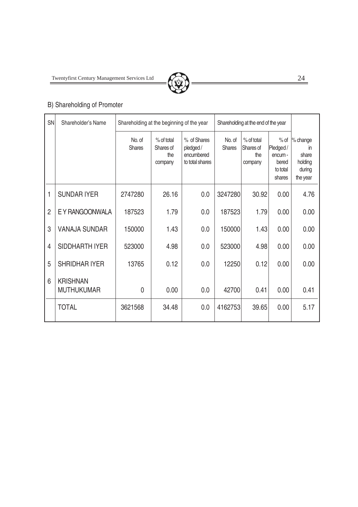

# B) Shareholding of Promoter

| SN             | Shareholder's Name                   | Shareholding at the beginning of the year |                                             |                                                           | Shareholding at the end of the year |                                           |                                                              |                                                          |
|----------------|--------------------------------------|-------------------------------------------|---------------------------------------------|-----------------------------------------------------------|-------------------------------------|-------------------------------------------|--------------------------------------------------------------|----------------------------------------------------------|
|                |                                      | No. of<br><b>Shares</b>                   | $%$ of total<br>Shares of<br>the<br>company | % of Shares<br>pledged /<br>encumbered<br>to total shares | No. of<br><b>Shares</b>             | % of total<br>Shares of<br>the<br>company | $%$ of<br>Pledged/<br>encum -<br>bered<br>to total<br>shares | % change<br>in<br>share<br>holding<br>during<br>the year |
| 1              | <b>SUNDAR IYER</b>                   | 2747280                                   | 26.16                                       | 0.0                                                       | 3247280                             | 30.92                                     | 0.00                                                         | 4.76                                                     |
| $\overline{2}$ | E Y RANGOONWALA                      | 187523                                    | 1.79                                        | 0.0                                                       | 187523                              | 1.79                                      | 0.00                                                         | 0.00                                                     |
| 3              | <b>VANAJA SUNDAR</b>                 | 150000                                    | 1.43                                        | 0.0                                                       | 150000                              | 1.43                                      | 0.00                                                         | 0.00                                                     |
| 4              | <b>SIDDHARTH IYER</b>                | 523000                                    | 4.98                                        | 0.0                                                       | 523000                              | 4.98                                      | 0.00                                                         | 0.00                                                     |
| 5              | <b>SHRIDHAR IYER</b>                 | 13765                                     | 0.12                                        | 0.0                                                       | 12250                               | 0.12                                      | 0.00                                                         | 0.00                                                     |
| 6              | <b>KRISHNAN</b><br><b>MUTHUKUMAR</b> | 0                                         | 0.00                                        | 0.0                                                       | 42700                               | 0.41                                      | 0.00                                                         | 0.41                                                     |
|                | <b>TOTAL</b>                         | 3621568                                   | 34.48                                       | 0.0                                                       | 4162753                             | 39.65                                     | 0.00                                                         | 5.17                                                     |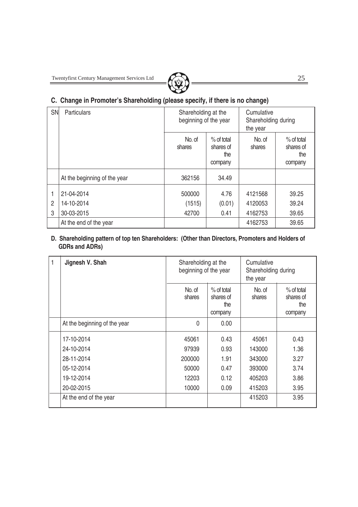

# **C. Change in Promoter's Shareholding (please specify, if there is no change)**

| SN             | <b>Particulars</b>           | Shareholding at the<br>beginning of the year |                                             | Cumulative<br>Shareholding during<br>the year |                                             |  |
|----------------|------------------------------|----------------------------------------------|---------------------------------------------|-----------------------------------------------|---------------------------------------------|--|
|                |                              | No. of<br>shares                             | $%$ of total<br>shares of<br>the<br>company |                                               | $%$ of total<br>shares of<br>the<br>company |  |
|                | At the beginning of the year | 362156                                       | 34.49                                       |                                               |                                             |  |
|                | 21-04-2014                   | 500000                                       | 4.76                                        | 4121568                                       | 39.25                                       |  |
| $\overline{2}$ | 14-10-2014                   | (1515)                                       | (0.01)                                      | 4120053                                       | 39.24                                       |  |
| 3              | 30-03-2015                   | 42700<br>0.41                                |                                             | 4162753                                       | 39.65                                       |  |
|                | At the end of the year       |                                              |                                             | 4162753                                       | 39.65                                       |  |

#### **D. Shareholding pattern of top ten Shareholders: (Other than Directors, Promoters and Holders of GDRs and ADRs)**

| $\mathbf{1}$ | Jignesh V. Shah              | Shareholding at the<br>beginning of the year |                                             | Cumulative<br>Shareholding during<br>the year |                                             |
|--------------|------------------------------|----------------------------------------------|---------------------------------------------|-----------------------------------------------|---------------------------------------------|
|              |                              | No. of<br>shares                             | $%$ of total<br>shares of<br>the<br>company | No. of<br>shares                              | $%$ of total<br>shares of<br>the<br>company |
|              | At the beginning of the year | $\Omega$                                     | 0.00                                        |                                               |                                             |
|              | 17-10-2014                   | 45061                                        | 0.43                                        | 45061                                         | 0.43                                        |
|              | 24-10-2014                   | 97939                                        | 0.93                                        | 143000                                        | 1.36                                        |
|              | 28-11-2014                   | 200000                                       | 1.91                                        | 343000                                        | 3.27                                        |
|              | 05-12-2014                   | 50000                                        | 0.47                                        | 393000                                        | 3.74                                        |
|              | 19-12-2014                   | 12203                                        | 0.12                                        | 405203                                        | 3.86                                        |
|              | 20-02-2015                   | 10000                                        | 0.09                                        | 415203                                        | 3.95                                        |
|              | At the end of the year       |                                              |                                             | 415203                                        | 3.95                                        |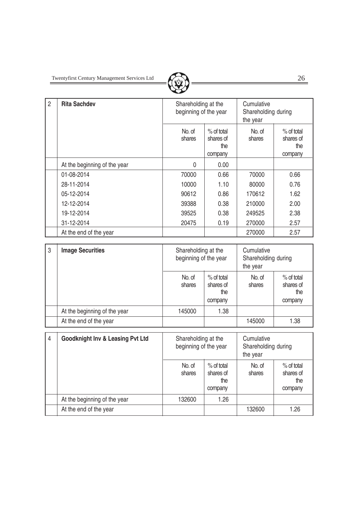

| $\overline{2}$ | <b>Rita Sachdev</b>          | Shareholding at the<br>beginning of the year |                                             | Cumulative<br>Shareholding during<br>the year |                                             |
|----------------|------------------------------|----------------------------------------------|---------------------------------------------|-----------------------------------------------|---------------------------------------------|
|                |                              | No. of<br>shares                             | $%$ of total<br>shares of<br>the<br>company | No. of<br>shares                              | $%$ of total<br>shares of<br>the<br>company |
|                | At the beginning of the year | $\Omega$                                     | 0.00                                        |                                               |                                             |
|                | 01-08-2014                   | 70000                                        | 0.66                                        | 70000                                         | 0.66                                        |
|                | 28-11-2014                   | 10000                                        | 1.10                                        | 80000                                         | 0.76                                        |
|                | 05-12-2014                   | 90612                                        | 0.86                                        | 170612                                        | 1.62                                        |
|                | 12-12-2014                   | 39388                                        | 0.38                                        | 210000                                        | 2.00                                        |
|                | 19-12-2014                   | 39525                                        | 0.38                                        | 249525                                        | 2.38                                        |
|                | 31-12-2014                   | 20475                                        | 0.19                                        | 270000                                        | 2.57                                        |
|                | At the end of the year       |                                              |                                             | 270000                                        | 2.57                                        |

| 3 | <b>Image Securities</b>      | Shareholding at the<br>beginning of the year |                                             | Cumulative<br>Shareholding during<br>the year |                                             |
|---|------------------------------|----------------------------------------------|---------------------------------------------|-----------------------------------------------|---------------------------------------------|
|   |                              | No. of<br>shares                             | $%$ of total<br>shares of<br>the<br>company | No. of<br>shares                              | $%$ of total<br>shares of<br>the<br>company |
|   | At the beginning of the year | 145000                                       | 1.38                                        |                                               |                                             |
|   | At the end of the year       |                                              |                                             | 145000                                        | 1.38                                        |

| 4 | <b>Goodknight Inv &amp; Leasing Pvt Ltd</b> | Shareholding at the<br>beginning of the year |                                             | Cumulative<br>Shareholding during<br>the year |                                             |
|---|---------------------------------------------|----------------------------------------------|---------------------------------------------|-----------------------------------------------|---------------------------------------------|
|   |                                             | No. of<br>shares                             | $%$ of total<br>shares of<br>the<br>company | No. of<br>shares                              | $%$ of total<br>shares of<br>the<br>company |
|   | At the beginning of the year                | 132600                                       | 1.26                                        |                                               |                                             |
|   | At the end of the year                      |                                              |                                             | 132600                                        | 1.26                                        |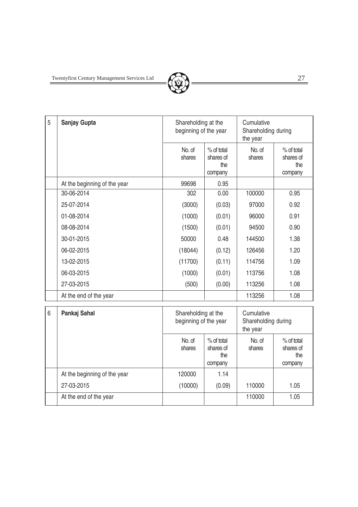

| 5 | <b>Sanjay Gupta</b>          | Shareholding at the<br>beginning of the year |                                           | Cumulative<br>Shareholding during<br>the year |                                           |
|---|------------------------------|----------------------------------------------|-------------------------------------------|-----------------------------------------------|-------------------------------------------|
|   |                              | No. of<br>shares                             | % of total<br>shares of<br>the<br>company | No. of<br>shares                              | % of total<br>shares of<br>the<br>company |
|   | At the beginning of the year | 99698                                        | 0.95                                      |                                               |                                           |
|   | 30-06-2014                   | 302                                          | 0.00                                      | 100000                                        | 0.95                                      |
|   | 25-07-2014                   | (3000)                                       | (0.03)                                    | 97000                                         | 0.92                                      |
|   | 01-08-2014                   | (1000)                                       | (0.01)                                    | 96000                                         | 0.91                                      |
|   | 08-08-2014                   | (1500)                                       | (0.01)                                    | 94500                                         | 0.90                                      |
|   | 30-01-2015                   | 50000                                        | 0.48                                      | 144500                                        | 1.38                                      |
|   | 06-02-2015                   | (18044)                                      | (0.12)                                    | 126456                                        | 1.20                                      |
|   | 13-02-2015                   | (11700)                                      | (0.11)                                    | 114756                                        | 1.09                                      |
|   | 06-03-2015                   | (1000)                                       | (0.01)                                    | 113756                                        | 1.08                                      |
|   | 27-03-2015                   | (500)                                        | (0.00)                                    | 113256                                        | 1.08                                      |
|   | At the end of the year       |                                              |                                           | 113256                                        | 1.08                                      |

| 6 | Pankaj Sahal<br>Shareholding at the<br>Cumulative<br>beginning of the year<br>Shareholding during<br>the year |                  |                                             |                  |                                             |
|---|---------------------------------------------------------------------------------------------------------------|------------------|---------------------------------------------|------------------|---------------------------------------------|
|   |                                                                                                               | No. of<br>shares | $%$ of total<br>shares of<br>the<br>company | No. of<br>shares | $%$ of total<br>shares of<br>the<br>company |
|   | At the beginning of the year                                                                                  | 120000           | 1.14                                        |                  |                                             |
|   | 27-03-2015                                                                                                    | (10000)          | (0.09)                                      | 110000           | 1.05                                        |
|   | At the end of the year                                                                                        |                  |                                             | 110000           | 1.05                                        |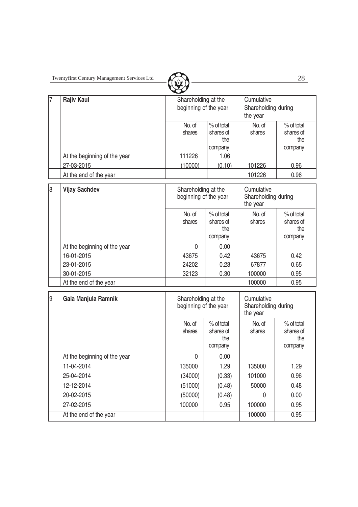

| $\overline{7}$ | <b>Rajiv Kaul</b>            | Shareholding at the<br>beginning of the year |              | Cumulative<br>Shareholding during |              |  |  |  |
|----------------|------------------------------|----------------------------------------------|--------------|-----------------------------------|--------------|--|--|--|
|                |                              |                                              |              |                                   |              |  |  |  |
|                |                              |                                              |              |                                   |              |  |  |  |
|                |                              | No. of                                       | $%$ of total | No. of                            | $%$ of total |  |  |  |
|                |                              | shares                                       | shares of    | shares                            | shares of    |  |  |  |
|                |                              |                                              | the          |                                   | the          |  |  |  |
|                |                              |                                              | company      |                                   | company      |  |  |  |
|                | At the beginning of the year | 111226                                       | 1.06         |                                   |              |  |  |  |
|                | 27-03-2015                   | (10000)                                      | (0.10)       | 101226                            | 0.96         |  |  |  |
|                | At the end of the year       |                                              |              | 101226                            | 0.96         |  |  |  |

| 18 | <b>Vijay Sachdev</b>         | Shareholding at the<br>beginning of the year |                                             | Cumulative<br>Shareholding during<br>the year |                                             |
|----|------------------------------|----------------------------------------------|---------------------------------------------|-----------------------------------------------|---------------------------------------------|
|    |                              | No. of<br>shares                             | $%$ of total<br>shares of<br>the<br>company | No. of<br>shares                              | $%$ of total<br>shares of<br>the<br>company |
|    | At the beginning of the year | 0                                            | 0.00                                        |                                               |                                             |
|    | 16-01-2015                   | 43675                                        | 0.42                                        | 43675                                         | 0.42                                        |
|    | 23-01-2015                   | 24202                                        | 0.23                                        | 67877                                         | 0.65                                        |
|    | 30-01-2015                   | 32123                                        | 0.30                                        | 100000                                        | 0.95                                        |
|    | At the end of the year       |                                              |                                             | 100000                                        | 0.95                                        |

| l9 | Gala Manjula Ramnik          | Shareholding at the<br>beginning of the year |                                             | Cumulative<br>Shareholding during<br>the year |                                             |
|----|------------------------------|----------------------------------------------|---------------------------------------------|-----------------------------------------------|---------------------------------------------|
|    |                              | No. of<br>shares                             | $%$ of total<br>shares of<br>the<br>company | No. of<br>shares                              | $%$ of total<br>shares of<br>the<br>company |
|    | At the beginning of the year | 0                                            | 0.00                                        |                                               |                                             |
|    | 11-04-2014                   | 135000                                       | 1.29                                        | 135000                                        | 1.29                                        |
|    | 25-04-2014                   | (34000)                                      | (0.33)                                      | 101000                                        | 0.96                                        |
|    | 12-12-2014                   | (51000)                                      | (0.48)                                      | 50000                                         | 0.48                                        |
|    | 20-02-2015                   | (50000)                                      | (0.48)                                      | 0                                             | 0.00                                        |
|    | 27-02-2015                   | 100000                                       | 0.95                                        | 100000                                        | 0.95                                        |
|    | At the end of the year       |                                              |                                             | 100000                                        | 0.95                                        |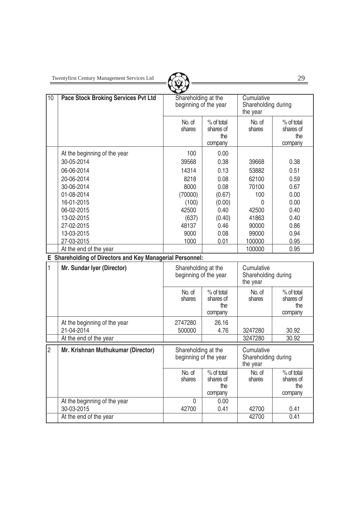

|    | n                                          |                                              |                                             |                                               |                                             |  |  |  |
|----|--------------------------------------------|----------------------------------------------|---------------------------------------------|-----------------------------------------------|---------------------------------------------|--|--|--|
| 10 | <b>Pace Stock Broking Services Pvt Ltd</b> | Shareholding at the<br>beginning of the year |                                             | Cumulative<br>Shareholding during<br>the year |                                             |  |  |  |
|    |                                            | No. of<br>shares                             | $%$ of total<br>shares of<br>the<br>company | No. of<br>shares                              | $%$ of total<br>shares of<br>the<br>company |  |  |  |
|    | At the beginning of the year               | 100                                          | 0.00                                        |                                               |                                             |  |  |  |
|    | 30-05-2014                                 | 39568                                        | 0.38                                        | 39668                                         | 0.38                                        |  |  |  |
|    | 06-06-2014                                 | 14314                                        | 0.13                                        | 53882                                         | 0.51                                        |  |  |  |
|    | 20-06-2014                                 | 8218                                         | 0.08                                        | 62100                                         | 0.59                                        |  |  |  |
|    | 30-06-2014                                 | 8000                                         | 0.08                                        | 70100                                         | 0.67                                        |  |  |  |
|    | 01-08-2014                                 | (70000)                                      | (0.67)                                      | 100                                           | 0.00                                        |  |  |  |
|    | 16-01-2015                                 | (100)                                        | (0.00)                                      | Ω                                             | 0.00                                        |  |  |  |
|    | 06-02-2015                                 | 42500                                        | 0.40                                        | 42500                                         | 0.40                                        |  |  |  |
|    | 13-02-2015                                 | (637)                                        | (0.40)                                      | 41863                                         | 0.40                                        |  |  |  |
|    | 27-02-2015                                 | 48137                                        | 0.46                                        | 90000                                         | 0.86                                        |  |  |  |
|    | 13-03-2015                                 | 9000                                         | 0.08                                        | 99000                                         | 0.94                                        |  |  |  |
|    | 27-03-2015                                 | 1000                                         | 0.01                                        | 100000                                        | 0.95                                        |  |  |  |
|    | At the end of the year                     |                                              |                                             | 100000                                        | 0.95                                        |  |  |  |

# **E Shareholding of Directors and Key Managerial Personnel:**

| 1              | Mr. Sundar Iyer (Director)                 | Shareholding at the<br>beginning of the year |                                             | Cumulative<br>Shareholding during<br>the year |                                             |
|----------------|--------------------------------------------|----------------------------------------------|---------------------------------------------|-----------------------------------------------|---------------------------------------------|
|                |                                            | No. of<br>shares                             | $%$ of total<br>shares of<br>the<br>company | No. of<br>shares                              | $%$ of total<br>shares of<br>the<br>company |
|                | At the beginning of the year<br>21-04-2014 | 2747280<br>500000                            | 26.16<br>4.76                               | 3247280                                       | 30.92                                       |
|                | At the end of the year                     |                                              |                                             | 3247280                                       | 30.92                                       |
|                |                                            | Shareholding at the<br>beginning of the year |                                             |                                               |                                             |
| $\overline{2}$ | Mr. Krishnan Muthukumar (Director)         |                                              |                                             | Cumulative<br>Shareholding during<br>the year |                                             |
|                |                                            | No. of<br>shares                             | $%$ of total<br>shares of<br>the<br>company | No. of<br>shares                              | $%$ of total<br>shares of<br>the<br>company |
|                | At the beginning of the year               | 0                                            | 0.00                                        |                                               |                                             |
|                | 30-03-2015                                 | 42700                                        | 0.41                                        | 42700                                         | 0.41                                        |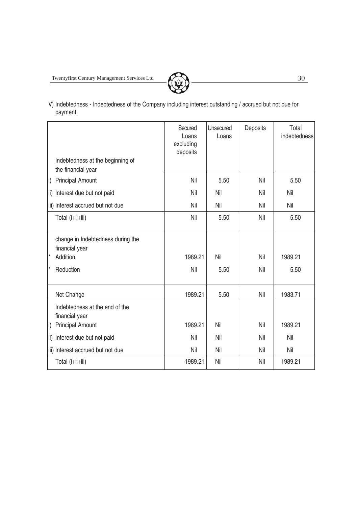

V) Indebtedness - Indebtedness of the Company including interest outstanding / accrued but not due for payment.

|                                                        | Secured<br>Loans<br>excluding<br>deposits | <b>Unsecured</b><br>Loans | Deposits | Total<br>indebtedness |
|--------------------------------------------------------|-------------------------------------------|---------------------------|----------|-----------------------|
| Indebtedness at the beginning of<br>the financial year |                                           |                           |          |                       |
| <b>Principal Amount</b><br>li)                         | Nil                                       | 5.50                      | Nil      | 5.50                  |
| ii) Interest due but not paid                          | Nil                                       | Nil                       | Nil      | Nil                   |
| iii) Interest accrued but not due                      | Nil                                       | Nil                       | Nil      | Nil                   |
| Total (i+ii+iii)                                       | Nil                                       | 5.50                      | Nil      | 5.50                  |
| change in Indebtedness during the<br>financial year    |                                           |                           |          |                       |
| I∗<br>Addition                                         | 1989.21                                   | Nil                       | Nil      | 1989.21               |
| I∗<br>Reduction                                        | Nil                                       | 5.50                      | Nil      | 5.50                  |
| Net Change                                             | 1989.21                                   | 5.50                      | Nil      | 1983.71               |
| Indebtedness at the end of the<br>financial year       |                                           |                           |          |                       |
| <b>Principal Amount</b><br>$\vert$ i)                  | 1989.21                                   | Nil                       | Nil      | 1989.21               |
| ii) Interest due but not paid                          | Nil                                       | Nil                       | Nil      | Nil                   |
| iii) Interest accrued but not due                      | Nil                                       | Nil                       | Nil      | Nil                   |
| Total (i+ii+iii)                                       | 1989.21                                   | Nil                       | Nil      | 1989.21               |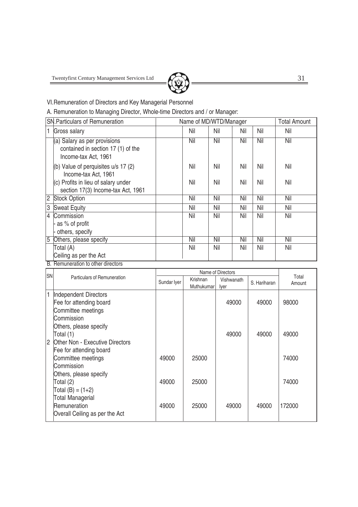

VI.Remuneration of Directors and Key Managerial Personnel

A. Remuneration to Managing Director, Whole-time Directors and / or Manager:

|                | <b>SN.Particulars of Remuneration</b>                                                      |  | Name of MD/WTD/Manager |     |     |     | <b>Total Amount</b> |
|----------------|--------------------------------------------------------------------------------------------|--|------------------------|-----|-----|-----|---------------------|
|                | Gross salary                                                                               |  | Nil                    | Nil | Nil | Nil | Nil                 |
|                | (a) Salary as per provisions<br>contained in section 17 (1) of the<br>Income-tax Act, 1961 |  | Nil                    | Nil | Nil | Nil | Nil                 |
|                | (b) Value of perquisites $u/s$ 17 (2)<br>Income-tax Act, 1961                              |  | Nil                    | Nil | Nil | Nil | Nil                 |
|                | $(c)$ Profits in lieu of salary under<br>section 17(3) Income-tax Act, 1961                |  | Nil                    | Nil | Nil | Nil | Nil                 |
| $\overline{2}$ | <b>Stock Option</b>                                                                        |  | Nil                    | Nil | Nil | Nil | Nil                 |
| 3              | <b>Sweat Equity</b>                                                                        |  | Nil                    | Nil | Nil | Nil | Nil                 |
| $\overline{4}$ | Commission<br>as % of profit<br>others, specify                                            |  | Nil                    | Nil | Nil | Nil | Nil                 |
|                | 5 Others, please specify                                                                   |  | Nil                    | Nil | Nil | Nil | Nil                 |
|                | Total (A)<br>Ceiling as per the Act                                                        |  | Nil                    | Nil | Nil | Nil | Nil                 |
|                | B. Remuneration to other directors                                                         |  |                        |     |     |     |                     |

| SN  |                                                                                      |             |                        |                           |              |                 |
|-----|--------------------------------------------------------------------------------------|-------------|------------------------|---------------------------|--------------|-----------------|
|     | Particulars of Remuneration                                                          | Sundar lyer | Krishnan<br>Muthukumar | Vishwanath<br><b>Iver</b> | S. Hariharan | Total<br>Amount |
| 1   | Independent Directors<br>Fee for attending board<br>Committee meetings<br>Commission |             |                        | 49000                     | 49000        | 98000           |
| 12. | Others, please specify<br>Total (1)<br>Other Non - Executive Directors               |             |                        | 49000                     | 49000        | 49000           |
|     | Fee for attending board<br>Committee meetings<br>Commission                          | 49000       | 25000                  |                           |              | 74000           |
|     | Others, please specify<br>Total (2)<br>Total $(B) = (1+2)$                           | 49000       | 25000                  |                           |              | 74000           |
|     | <b>Total Managerial</b><br>Remuneration<br>Overall Ceiling as per the Act            | 49000       | 25000                  | 49000                     | 49000        | 172000          |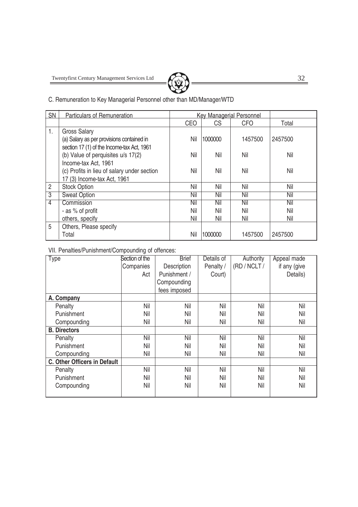

C. Remuneration to Key Managerial Personnel other than MD/Manager/WTD

| <b>SN</b>      | <b>Particulars of Remuneration</b>          | <b>Key Managerial Personnel</b> |         |            |         |
|----------------|---------------------------------------------|---------------------------------|---------|------------|---------|
|                |                                             | <b>CEO</b>                      | СS      | <b>CFO</b> | Total   |
| 1.             | <b>Gross Salary</b>                         |                                 |         |            |         |
|                | (a) Salary as per provisions contained in   | Nil                             | 1000000 | 1457500    | 2457500 |
|                | section 17 (1) of the Income-tax Act, 1961  |                                 |         |            |         |
|                | (b) Value of perquisites u/s 17(2)          | Nil                             | Nil     | Nil        | Nil     |
|                | Income-tax Act, 1961                        |                                 |         |            |         |
|                | (c) Profits in lieu of salary under section | Nil                             | Nil     | Nil        | Nil     |
|                | 17 (3) Income-tax Act, 1961                 |                                 |         |            |         |
| $\overline{2}$ | <b>Stock Option</b>                         | Nil                             | Nil     | Nil        | Nil     |
| $\overline{3}$ | <b>Sweat Option</b>                         | Nil                             | Nil     | Nil        | Nil     |
| 4              | Commission                                  | Nil                             | Nil     | Nil        | Nil     |
|                | - as % of profit                            | Nil                             | Nil     | Nil        | Nil     |
|                | others, specify                             | Nil                             | Nil     | Nil        | Nil     |
| 5              | Others, Please specify                      |                                 |         |            |         |
|                | Total                                       | Nil                             | 1000000 | 1457500    | 2457500 |

VII. Penalties/Punishment/Compounding of offences:

| Type                         | Section of the | <b>Brief</b> | Details of | Authority    | Appeal made  |
|------------------------------|----------------|--------------|------------|--------------|--------------|
|                              | Companies      | Description  | Penalty /  | (RD / NCLT / | if any (give |
|                              | Act            | Punishment / | Court)     |              | Details)     |
|                              |                | Compounding  |            |              |              |
|                              |                | fees imposed |            |              |              |
| A. Company                   |                |              |            |              |              |
| Penalty                      | Nil            | Nil          | Nil        | Nil          | Nil          |
| Punishment                   | Nil            | Nil          | Nil        | Nil          | Nil          |
| Compounding                  | Nil            | Nil          | Nil        | Nil          | Nil          |
| <b>B. Directors</b>          |                |              |            |              |              |
| Penalty                      | Nil            | Nil          | Nil        | Nil          | Nil          |
| Punishment                   | Nil            | Nil          | Nil        | Nil          | Nil          |
| Compounding                  | Nil            | Nil          | Nil        | Nil          | Nil          |
| C. Other Officers in Default |                |              |            |              |              |
| Penalty                      | Nil            | Nil          | Nil        | Nil          | Nil          |
| <b>Punishment</b>            | Nil            | Nil          | Nil        | Nil          | Nil          |
| Compounding                  | Nil            | Nil          | Nil        | Nil          | Nil          |
|                              |                |              |            |              |              |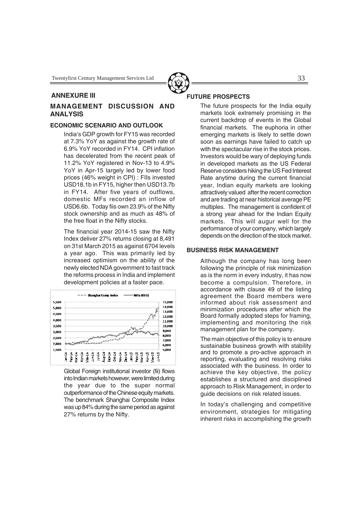

#### **ANNEXURE III**

#### **MANAGEMENT DISCUSSION AND ANALYSIS**

#### **ECONOMIC SCENARIO AND OUTLOOK**

India's GDP growth for FY15 was recorded at 7.3% YoY as against the growth rate of 6.9% YoY recorded in FY14. CPI inflation has decelerated from the recent peak of 11.2% YoY registered in Nov-13 to 4.9% YoY in Apr-15 largely led by lower food prices (46% weight in CPI) : FIIs invested USD18.1b in FY15, higher then USD13.7b in FY14. After five years of outflows, domestic MFs recorded an inflow of USD6.6b. Today fiis own 23.9% of the Nifty stock ownership and as much as 48% of the free float in the Nifty stocks.

The financial year 2014-15 saw the Nifty Index deliver 27% returns closing at 8,491 on 31st March 2015 as against 6704 levels a year ago. This was primarily led by increased optimism on the ability of the newly elected NDA government to fast track the reforms process in India and implement development policies at a faster pace.



Global Foreign institutional investor (fii) flows into Indian markets however, were limited during the year due to the super normal outperformance of the Chinese equity markets. The benchmark Shanghai Composite Index was up 84% during the same period as against 27% returns by the Nifty.

#### **FUTURE PROSPECTS**

The future prospects for the India equity markets look extremely promising in the current backdrop of events in the Global financial markets. The euphoria in other emerging markets is likely to settle down soon as earnings have failed to catch up with the spectacular rise in the stock prices. Investors would be wary of deploying funds in developed markets as the US Federal Reserve considers hiking the US Fed Interest Rate anytime during the current financial year, Indian equity markets are looking attractively valued after the recent correction and are trading at near historical average PE multiples. The management is confident of a strong year ahead for the Indian Equity markets. This will augur well for the performance of your company, which largely depends on the direction of the stock market.

#### **BUSINESS RISK MANAGEMENT**

Although the company has long been following the principle of risk minimization as is the norm in every industry, it has now become a compulsion. Therefore, in accordance with clause 49 of the listing agreement the Board members were informed about risk assessment and minimization procedures after which the Board formally adopted steps for framing, implementing and monitoring the risk management plan for the company.

The main objective of this policy is to ensure sustainable business growth with stability and to promote a pro-active approach in reporting, evaluating and resolving risks associated with the business. In order to achieve the key objective, the policy establishes a structured and disciplined approach to Risk Management, in order to guide decisions on risk related issues.

In today's challenging and competitive environment, strategies for mitigating inherent risks in accomplishing the growth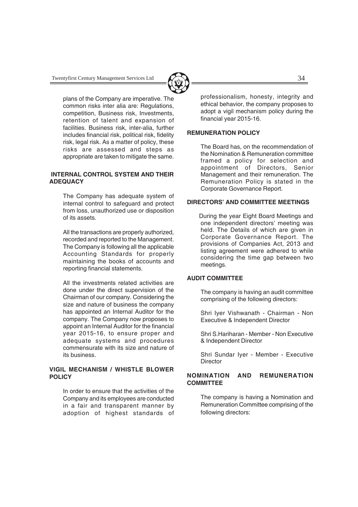plans of the Company are imperative. The common risks inter alia are: Regulations, competition, Business risk, Investments, retention of talent and expansion of facilities. Business risk, inter-alia, further includes financial risk, political risk, fidelity risk, legal risk. As a matter of policy, these risks are assessed and steps as appropriate are taken to mitigate the same.

#### **INTERNAL CONTROL SYSTEM AND THEIR ADEQUACY**

The Company has adequate system of internal control to safeguard and protect from loss, unauthorized use or disposition of its assets.

All the transactions are properly authorized, recorded and reported to the Management. The Company is following all the applicable Accounting Standards for properly maintaining the books of accounts and reporting financial statements.

All the investments related activities are done under the direct supervision of the Chairman of our company. Considering the size and nature of business the company has appointed an Internal Auditor for the company. The Company now proposes to appoint an Internal Auditor for the financial year 2015-16, to ensure proper and adequate systems and procedures commensurate with its size and nature of its business.

#### **VIGIL MECHANISM / WHISTLE BLOWER POLICY**

In order to ensure that the activities of the Company and its employees are conducted in a fair and transparent manner by adoption of highest standards of

professionalism, honesty, integrity and ethical behavior, the company proposes to adopt a vigil mechanism policy during the financial year 2015-16.

#### **REMUNERATION POLICY**

The Board has, on the recommendation of the Nomination & Remuneration committee framed a policy for selection and appointment of Directors, Senior Management and their remuneration. The Remuneration Policy is stated in the Corporate Governance Report.

#### **DIRECTORS' AND COMMITTEE MEETINGS**

 During the year Eight Board Meetings and one independent directors' meeting was held. The Details of which are given in Corporate Governance Report. The provisions of Companies Act, 2013 and listing agreement were adhered to while considering the time gap between two meetings.

#### **AUDIT COMMITTEE**

The company is having an audit committee comprising of the following directors:

Shri Iyer Vishwanath - Chairman - Non Executive & Independent Director

Shri S.Hariharan - Member - Non Executive & Independent Director

Shri Sundar Iyer - Member - Executive **Director** 

#### **NOMINATION AND REMUNERATION COMMITTEE**

The company is having a Nomination and Remuneration Committee comprising of the following directors: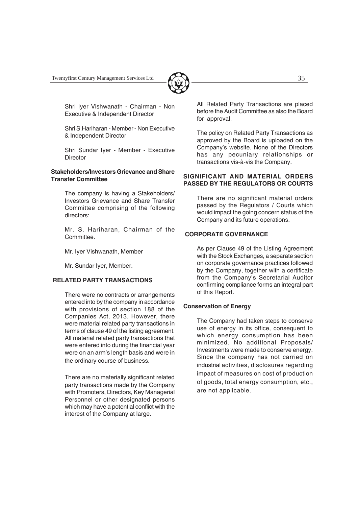

Shri Iyer Vishwanath - Chairman - Non Executive & Independent Director

Shri S.Hariharan - Member - Non Executive & Independent Director

Shri Sundar Iyer - Member - Executive **Director** 

#### **Stakeholders/Investors Grievance and Share Transfer Committee**

The company is having a Stakeholders/ Investors Grievance and Share Transfer Committee comprising of the following directors:

Mr. S. Hariharan, Chairman of the Committee.

Mr. Iyer Vishwanath, Member

Mr. Sundar Iyer, Member.

#### **RELATED PARTY TRANSACTIONS**

There were no contracts or arrangements entered into by the company in accordance with provisions of section 188 of the Companies Act, 2013. However, there were material related party transactions in terms of clause 49 of the listing agreement. All material related party transactions that were entered into during the financial year were on an arm's length basis and were in the ordinary course of business.

There are no materially significant related party transactions made by the Company with Promoters, Directors, Key Managerial Personnel or other designated persons which may have a potential conflict with the interest of the Company at large.

All Related Party Transactions are placed before the Audit Committee as also the Board for approval.

The policy on Related Party Transactions as approved by the Board is uploaded on the Company's website. None of the Directors has any pecuniary relationships or transactions vis-à-vis the Company.

#### **SIGNIFICANT AND MATERIAL ORDERS PASSED BY THE REGULATORS OR COURTS**

There are no significant material orders passed by the Regulators / Courts which would impact the going concern status of the Company and its future operations.

#### **CORPORATE GOVERNANCE**

As per Clause 49 of the Listing Agreement with the Stock Exchanges, a separate section on corporate governance practices followed by the Company, together with a certificate from the Company's Secretarial Auditor confirming compliance forms an integral part of this Report.

#### **Conservation of Energy**

The Company had taken steps to conserve use of energy in its office, consequent to which energy consumption has been minimized. No additional Proposals/ Investments were made to conserve energy. Since the company has not carried on industrial activities, disclosures regarding impact of measures on cost of production of goods, total energy consumption, etc., are not applicable.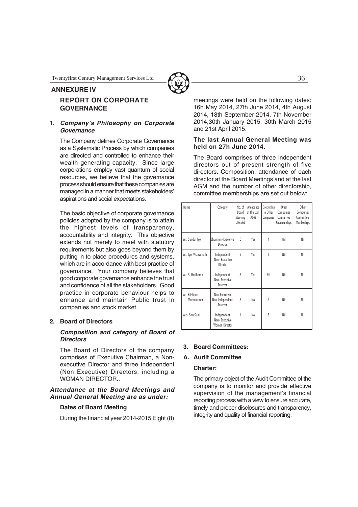#### **ANNEXURE IV**

## **REPORT ON CORPORATE GOVERNANCE**

#### **1.** *Company's Philosophy on Corporate Governance*

The Company defines Corporate Governance as a Systematic Process by which companies are directed and controlled to enhance their wealth generating capacity. Since large corporations employ vast quantum of social resources, we believe that the governance process should ensure that these companies are managed in a manner that meets stakeholders' aspirations and social expectations.

The basic objective of corporate governance policies adopted by the company is to attain the highest levels of transparency, accountability and integrity. This objective extends not merely to meet with statutory requirements but also goes beyond them by putting in to place procedures and systems, which are in accordance with best practice of governance. Your company believes that good corporate governance enhance the trust and confidence of all the stakeholders. Good practice in corporate behaviour helps to enhance and maintain Public trust in companies and stock market.

#### **2. Board of Directors**

#### *Composition and category of Board of Directors*

The Board of Directors of the company comprises of Executive Chairman, a Nonexecutive Director and three Independent (Non Executive) Directors, including a WOMAN DIRECTOR..

#### *Attendance at the Board Meetings and Annual General Meeting are as under:*

#### **Dates of Board Meeting**

During the financial year 2014-2015 Eight (8)

meetings were held on the following dates: 16h May 2014, 27th June 2014, 4th August 2014, 18th September 2014, 7th November 2014,30th January 2015, 30th March 2015 and 21st April 2015.

#### **The last Annual General Meeting was held on 27h June 2014.**

The Board comprises of three independent directors out of present strength of five directors. Composition, attendance of each director at the Board Meetings and at the last AGM and the number of other directorship, committee memberships are set out below:

| Name                       | Category                                              | No. of<br>Board<br>Meeting<br>attended | Attendance<br>at the Last<br>AGM | <b>Directorship</b><br>in Other<br>Companies | Other<br>Companies<br>Committee<br>Chairmanships | Other<br>Companies<br>Committee<br>Memberships |
|----------------------------|-------------------------------------------------------|----------------------------------------|----------------------------------|----------------------------------------------|--------------------------------------------------|------------------------------------------------|
| Mr. Sundar Iver            | Chairman-Executive<br>Director                        | 8                                      | Yes                              | 4                                            | Nil                                              | Nil                                            |
| Mr. Iver Vishwanath        | Independent<br>Non-Executive<br>Director              | 8                                      | Yes                              | 1                                            | Nil                                              | Nil                                            |
| Mr. S. Hariharan           | Independent<br>Non-Executive<br>Director              | 8                                      | Yes                              | Nil                                          | Nil                                              | Nil                                            |
| Mr. Krishnan<br>Muthukumar | Non-Executive<br>Non Independent<br>Director          | 8                                      | No                               | $\overline{2}$                               | Nil                                              | Nil                                            |
| Mrs. Sita Sunil            | Independent<br>Non-Executive<br><b>Woman Director</b> | 1                                      | No                               | 3                                            | Nil                                              | Nil                                            |

#### **3. Board Committees:**

#### **A. Audit Committee**

#### **Charter:**

The primary object of the Audit Committee of the company is to monitor and provide effective supervision of the management's financial reporting process with a view to ensure accurate, timely and proper disclosures and transparency, integrity and quality of financial reporting.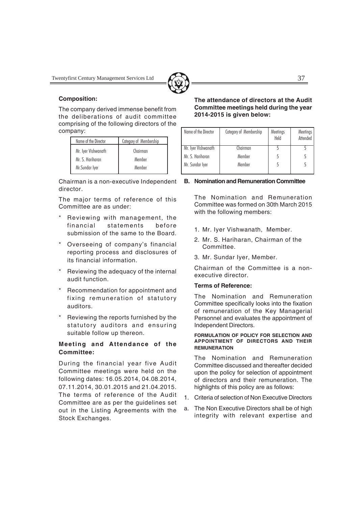Twentyfirst Century Management Services Ltd  $\sqrt{2\sqrt{3}}$  37



## **Composition:**

The company derived immense benefit from the deliberations of audit committee comprising of the following directors of the company:

| Name of the Director | Category of Membership |
|----------------------|------------------------|
| Mr. Iyer Vishwanath  | Chairman               |
| Mr. S. Hariharan     | Member                 |
| Mr.Sundar Iver       | Member                 |

Chairman is a non-executive Independent **B. Nomination and Remuneration Committee** director.

The major terms of reference of this Committee are as under:

- Reviewing with management, the financial statements before submission of the same to the Board.
- Overseeing of company's financial reporting process and disclosures of its financial information.
- Reviewing the adequacy of the internal audit function.
- Recommendation for appointment and fixing remuneration of statutory auditors.
- Reviewing the reports furnished by the statutory auditors and ensuring suitable follow up thereon.

## **Meeting and Attendance of the Committee:**

During the financial year five Audit Committee meetings were held on the following dates: 16.05.2014, 04.08.2014, 07.11.2014, 30.01.2015 and 21.04.2015. The terms of reference of the Audit Committee are as per the guidelines set out in the Listing Agreements with the Stock Exchanges.

**The attendance of directors at the Audit Committee meetings held during the year 2014-2015 is given below:**

| Name of the Director | Category of Membership | Meetings<br>Held | Meetings<br>Attended |
|----------------------|------------------------|------------------|----------------------|
| Mr. Iver Vishwanath  | Chairman               |                  |                      |
| Mr. S. Hariharan     | Member                 |                  |                      |
| Mr. Sundar Iver      | Member                 |                  |                      |
|                      |                        |                  |                      |

The Nomination and Remuneration Committee was formed on 30th March 2015 with the following members:

- 1. Mr. Iyer Vishwanath, Member.
- 2. Mr. S. Hariharan, Chairman of the Committee.
- 3. Mr. Sundar Iyer, Member.

Chairman of the Committee is a nonexecutive director.

## **Terms of Reference:**

The Nomination and Remuneration Committee specifically looks into the fixation of remuneration of the Key Managerial Personnel and evaluates the appointment of Independent Directors.

#### **FORMULATION OF POLICY FOR SELECTION AND APPOINTMENT OF DIRECTORS AND THEIR REMUNERATION**

The Nomination and Remuneration Committee discussed and thereafter decided upon the policy for selection of appointment of directors and their remuneration. The highlights of this policy are as follows:

- 1. Criteria of selection of Non Executive Directors
- a. The Non Executive Directors shall be of high integrity with relevant expertise and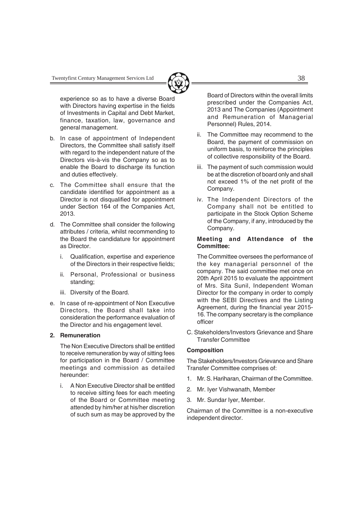experience so as to have a diverse Board with Directors having expertise in the fields of Investments in Capital and Debt Market, finance, taxation, law, governance and general management.

- b. In case of appointment of Independent Directors, the Committee shall satisfy itself with regard to the independent nature of the Directors vis-à-vis the Company so as to enable the Board to discharge its function and duties effectively.
- c. The Committee shall ensure that the candidate identified for appointment as a Director is not disqualified for appointment under Section 164 of the Companies Act, 2013.
- d. The Committee shall consider the following attributes / criteria, whilst recommending to the Board the candidature for appointment as Director.
	- i. Qualification, expertise and experience of the Directors in their respective fields;
	- ii. Personal, Professional or business standing;
	- iii. Diversity of the Board.
- e. In case of re-appointment of Non Executive Directors, the Board shall take into consideration the performance evaluation of the Director and his engagement level.

## **2. Remuneration**

The Non Executive Directors shall be entitled to receive remuneration by way of sitting fees for participation in the Board / Committee meetings and commission as detailed hereunder:

i. A Non Executive Director shall be entitled to receive sitting fees for each meeting of the Board or Committee meeting attended by him/her at his/her discretion of such sum as may be approved by the

Board of Directors within the overall limits prescribed under the Companies Act, 2013 and The Companies (Appointment and Remuneration of Managerial Personnel) Rules, 2014.

- ii. The Committee may recommend to the Board, the payment of commission on uniform basis, to reinforce the principles of collective responsibility of the Board.
- iii. The payment of such commission would be at the discretion of board only and shall not exceed 1% of the net profit of the Company.
- iv. The Independent Directors of the Company shall not be entitled to participate in the Stock Option Scheme of the Company, if any, introduced by the Company.

## **Meeting and Attendance of the Committee:**

The Committee oversees the performance of the key managerial personnel of the company. The said committee met once on 20th April 2015 to evaluate the appointment of Mrs. Sita Sunil, Independent Woman Director for the company in order to comply with the SEBI Directives and the Listing Agreement, during the financial year 2015- 16. The company secretary is the compliance officer

C. Stakeholders/Investors Grievance and Share Transfer Committee

## **Composition**

The Stakeholders/Investors Grievance and Share Transfer Committee comprises of:

- 1. Mr. S. Hariharan, Chairman of the Committee.
- 2. Mr. Iyer Vishwanath, Member
- 3. Mr. Sundar Iyer, Member.

Chairman of the Committee is a non-executive independent director.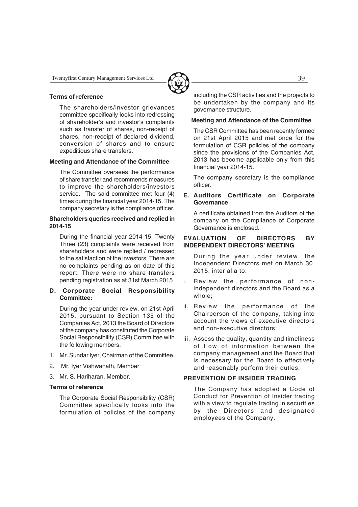

#### **Terms of reference**

The shareholders/investor grievances committee specifically looks into redressing of shareholder's and investor's complaints such as transfer of shares, non-receipt of shares, non-receipt of declared dividend, conversion of shares and to ensure expeditious share transfers.

## **Meeting and Attendance of the Committee**

The Committee oversees the performance of share transfer and recommends measures to improve the shareholders/investors service. The said committee met four (4) times during the financial year 2014-15. The company secretary is the compliance officer.

### **Shareholders queries received and replied in 2014-15**

During the financial year 2014-15, Twenty Three (23) complaints were received from shareholders and were replied / redressed to the satisfaction of the investors. There are no complaints pending as on date of this report. There were no share transfers pending registration as at 31st March 2015

## **D. Corporate Social Responsibility Committee:**

During the year under review, on 21st April 2015, pursuant to Section 135 of the Companies Act, 2013 the Board of Directors of the company has constituted the Corporate Social Responsibility (CSR) Committee with the following members:

- 1. Mr. Sundar Iyer, Chairman of the Committee.
- 2. Mr. Iyer Vishwanath, Member
- 3. Mr. S. Hariharan, Member.

## **Terms of reference**

The Corporate Social Responsibility (CSR) Committee specifically looks into the formulation of policies of the company

including the CSR activities and the projects to be undertaken by the company and its governance structure.

#### **Meeting and Attendance of the Committee**

The CSR Committee has been recently formed on 21st April 2015 and met once for the formulation of CSR policies of the company since the provisions of the Companies Act, 2013 has become applicable only from this financial year 2014-15.

The company secretary is the compliance officer.

## **E. Auditors Certificate on Corporate Governance**

A certificate obtained from the Auditors of the company on the Compliance of Corporate Governance is enclosed.

## **EVALUATION OF DIRECTORS BY INDEPENDENT DIRECTORS' MEETING**

During the year under review, the Independent Directors met on March 30, 2015, inter alia to:

- i. Review the performance of nonindependent directors and the Board as a whole;
- ii. Review the performance of the Chairperson of the company, taking into account the views of executive directors and non-executive directors;
- iii. Assess the quality, quantity and timeliness of flow of information between the company management and the Board that is necessary for the Board to effectively and reasonably perform their duties.

## **PREVENTION OF INSIDER TRADING**

The Company has adopted a Code of Conduct for Prevention of Insider trading with a view to regulate trading in securities by the Directors and designated employees of the Company.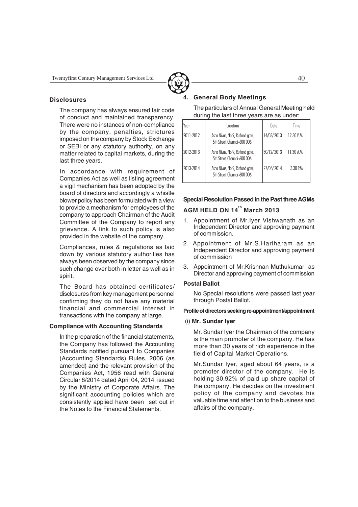

### **Disclosures**

The company has always ensured fair code of conduct and maintained transparency. There were no instances of non-compliance by the company, penalties, strictures imposed on the company by Stock Exchange or SEBI or any statutory authority, on any matter related to capital markets, during the last three years.

In accordance with requirement of Companies Act as well as listing agreement a vigil mechanism has been adopted by the board of directors and accordingly a whistle blower policy has been formulated with a view to provide a mechanism for employees of the company to approach Chairman of the Audit Committee of the Company to report any grievance. A link to such policy is also provided in the website of the company.

Compliances, rules & regulations as laid down by various statutory authorities has always been observed by the company since such change over both in letter as well as in spirit.

The Board has obtained certificates/ disclosures from key management personnel confirming they do not have any material financial and commercial interest in transactions with the company at large.

## **Compliance with Accounting Standards**

In the preparation of the financial statements, the Company has followed the Accounting Standards notified pursuant to Companies (Accounting Standards) Rules, 2006 (as amended) and the relevant provision of the Companies Act, 1956 read with General Circular 8/2014 dated April 04, 2014, issued by the Ministry of Corporate Affairs. The significant accounting policies which are consistently applied have been set out in the Notes to the Financial Statements.

### **4. General Body Meetings**

The particulars of Annual General Meeting held during the last three years are as under:

| Year      | Location                                                        | Date       | Time       |
|-----------|-----------------------------------------------------------------|------------|------------|
| 2011-2012 | Asha Nivas, No.9, Rutland gate,<br>5th Street, Chennai-600 006. | 14/03/2013 | 12.30 P.M. |
| 2012-2013 | Asha Nivas, No.9, Rutland gate,<br>5th Street, Chennai-600 006. | 30/12/2013 | 11.30 A.M. |
| 2013-2014 | Asha Nivas, No.9, Rutland gate,<br>5th Street, Chennai-600 006. | 27/06/2014 | 3.30 P.M.  |

# **Special Resolution Passed in the Past three AGMs AGM HELD ON 14th March 2013**

- 1. Appointment of Mr.Iyer Vishwanath as an Independent Director and approving payment of commission.
- 2. Appointment of Mr.S.Hariharam as an Independent Director and approving payment of commission
- 3. Appointment of Mr.Krishnan Muthukumar as Director and approving payment of commission

## **Postal Ballot**

No Special resolutions were passed last year through Postal Ballot.

#### **Profile of directors seeking re-appointment/appointment**

#### (i) **Mr. Sundar Iyer**

Mr. Sundar Iyer the Chairman of the company is the main promoter of the company. He has more than 30 years of rich experience in the field of Capital Market Operations.

Mr.Sundar Iyer, aged about 64 years, is a promoter director of the company. He is holding 30.92% of paid up share capital of the company. He decides on the investment policy of the company and devotes his valuable time and attention to the business and affairs of the company.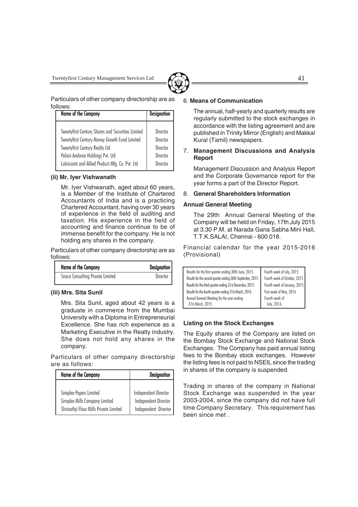

Particulars of other company directorship are as follows:

| <b>Name of the Company</b>                        | <b>Designation</b> |
|---------------------------------------------------|--------------------|
| Twentyfirst Century Shares and Securities Limited | Director           |
| Twentyfirst Century Money Growth Fund Limited     | Director           |
| <b>Twentyfirst Century Realty Ltd</b>             | Director           |
| Palani Andavar Holdings Pvt. Ltd                  | Director           |
| Lubricants and Allied Product Mfg. Co. Pvt. Ltd   | Director           |

## **(ii) Mr. Iyer Vishwanath**

Mr. Iyer Vishwanath, aged about 60 years, is a Member of the Institute of Chartered Accountants of India and is a practicing Chartered Accountant, having over 30 years of experience in the field of auditing and taxation. His experience in the field of accounting and finance continue to be of immense benefit for the company. He is not holding any shares in the company.

Particulars of other company directorship are as follows:

| Name of the Company                     | Designation |
|-----------------------------------------|-------------|
| <b>Snaco Consulting Private Limited</b> | Director    |

## **(iii) Mrs. Sita Sunil**

Mrs. Sita Sunil, aged about 42 years is a graduate in commerce from the Mumbai University with a Diploma in Entrepreneurial Excellence. She has rich experience as a Marketing Executive in the Realty industry. She does not hold any shares in the company.

Particulars of other company directorship are as follows:

| Name of the Company                    | <b>Designation</b>          |
|----------------------------------------|-----------------------------|
|                                        |                             |
| Simplex Papers Limited                 | <b>Independent Director</b> |
| Simplex Mills Company Limited          | <b>Independent Director</b> |
| Shrinathji Flour Mills Private Limited | Independent Director        |

## 6. **Means of Communication**

The annual, half-yearly and quarterly results are regularly submitted to the stock exchanges in accordance with the listing agreement and are published in Trinity Mirror (English) and Makkal Kural (Tamil) newspapers.

## 7. **Management Discussions and Analysis Report**

Management Discussion and Analysis Report and the Corporate Governance report for the year forms a part of the Director Report.

## 8. **General Shareholders Information**

## **Annual General Meeting**

The 29th Annual General Meeting of the Company will be held on Friday, 17th July 2015 at 3.30 P.M. at Narada Gana Sabha Mini Hall, T.T.K.SALAI, Chennai - 600 018.

Financial calendar for the year 2015-2016 (Provisional)

| Results for the first quarter ending 30th June, 2015       | Fourth week of July, 2015    |
|------------------------------------------------------------|------------------------------|
| Results for the second quarter ending 30th September, 2015 | Fourth week of October, 2015 |
| Results for the third quarter ending 31st December, 2015   | Fourth week of January, 2015 |
| Results for the fourth quarter ending 31st March, 2016     | First week of May, 2016      |
| Annual General Meeting for the year ending                 | Fourth week of               |
| 31st March, 2015                                           | July, 2016                   |

## **Listing on the Stock Exchanges**

The Equity shares of the Company are listed on the Bombay Stock Exchange and National Stock Exchanges. The Company has paid annual listing fees to the Bombay stock exchanges. However the listing fees is not paid to NSEIL since the trading in shares of the company is suspended.

Trading in shares of the company in National Stock Exchange was suspended in the year 2003-2004, since the company did not have full time Company Secretary. This requirement has been since met .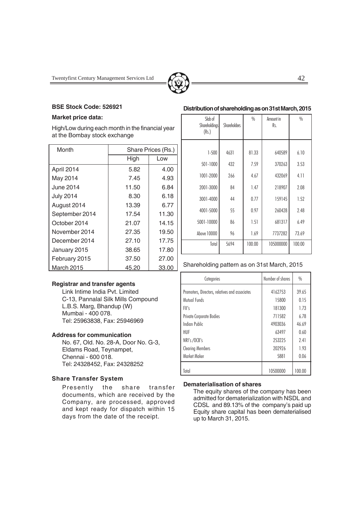

## **BSE Stock Code: 526921**

#### **Market price data:**

High/Low during each month in the financial year at the Bombay stock exchange

| Month            | Share Prices (Rs.) |       |
|------------------|--------------------|-------|
|                  | High               | Low   |
| April 2014       | 5.82               | 4.00  |
| May 2014         | 7.45               | 4.93  |
| June 2014        | 11.50              | 6.84  |
| <b>July 2014</b> | 8.30               | 6.18  |
| August 2014      | 13.39              | 6.77  |
| September 2014   | 17.54              | 11.30 |
| October 2014     | 21.07              | 14.15 |
| November 2014    | 27.35              | 19.50 |
| December 2014    | 27.10              | 17.75 |
| January 2015     | 38.65              | 17.80 |
| February 2015    | 37.50              | 27.00 |
| March 2015       | 45.20              | 33.00 |

# **Distribution of shareholding as on 31st March, 2015**

| Slab of<br>Shareholdings<br>(Rs.) | Shareholders | $\frac{0}{0}$ | Amount in<br>Rs. | $\frac{0}{0}$ |
|-----------------------------------|--------------|---------------|------------------|---------------|
|                                   |              |               |                  |               |
| $1 - 500$                         | 4631         | 81.33         | 640589           | 6.10          |
| 501-1000                          | 432          | 7.59          | 370263           | 3.53          |
| 1001-2000                         | 266          | 4.67          | 432069           | 4.11          |
| 2001-3000                         | 84           | 1.47          | 218907           | 2.08          |
| 3001-4000                         | 44           | 0.77          | 159145           | 1.52          |
| 4001-5000                         | 55           | 0.97          | 260428           | 2.48          |
| 5001-10000                        | 86           | 1.51          | 681317           | 6.49          |
| Above 10000                       | 96           | 1.69          | 7737282          | 73.69         |
| Total                             | 5694         | 100.00        | 105000000        | 100.00        |

## **Registrar and transfer agents**

Link Intime India Pvt. Limited C-13, Pannalal Silk Mills Compound L.B.S. Marg, Bhandup (W) Mumbai - 400 078. Tel: 25963838, Fax: 25946969

### **Address for communication**

No. 67, Old. No. 28-A, Door No. G-3, Eldams Road, Teynampet, Chennai - 600 018. Tel: 24328452, Fax: 24328252

## **Share Transfer System**

Presently the share transfer documents, which are received by the Company, are processed, approved and kept ready for dispatch within 15 days from the date of the receipt.

## Shareholding pattern as on 31st March, 2015

| Categories                                     | Number of shares | $\frac{0}{0}$ |
|------------------------------------------------|------------------|---------------|
| Promoters, Directors, relatives and associates | 4162753          | 39.65         |
| Mutual Funds                                   | 15800            | 0.15          |
| FII's                                          | 181300           | 1.73          |
| Private Corporate Bodies                       | 711582           | 6.78          |
| Indian Public                                  | 4903036          | 46.69         |
| HUF                                            | 63497            | 0.60          |
| NRI's /OCB's                                   | 253225           | 2.41          |
| <b>Clearing Members</b>                        | 202926           | 1.93          |
| Market Maker                                   | 5881             | 0.06          |
| Total                                          | 10500000         | 100.00        |

#### **Dematerialisation of shares**

The equity shares of the company has been admitted for dematerialization with NSDL and CDSL and 89.13% of the company's paid up Equity share capital has been dematerialised up to March 31, 2015.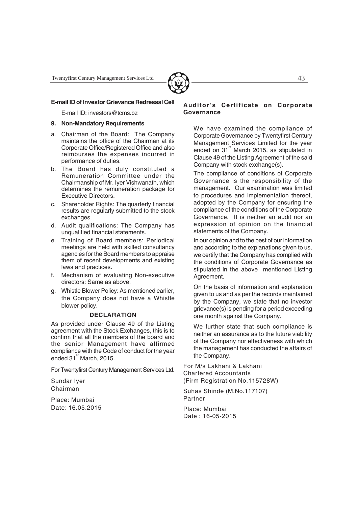

## **E-mail ID of Investor Grievance Redressal Cell**

E-mail ID: investors@tcms.bz

#### **9. Non-Mandatory Requirements**

- a. Chairman of the Board: The Company maintains the office of the Chairman at its Corporate Office/Registered Office and also reimburses the expenses incurred in performance of duties.
- b. The Board has duly constituted a Remuneration Committee under the Chairmanship of Mr. Iyer Vishwanath, which determines the remuneration package for Executive Directors.
- c. Shareholder Rights: The quarterly financial results are regularly submitted to the stock exchanges.
- d. Audit qualifications: The Company has unqualified financial statements.
- e. Training of Board members: Periodical meetings are held with skilled consultancy agencies for the Board members to appraise them of recent developments and existing laws and practices.
- f. Mechanism of evaluating Non-executive directors: Same as above.
- g. Whistle Blower Policy: As mentioned earlier, the Company does not have a Whistle blower policy.

#### **DECLARATION**

As provided under Clause 49 of the Listing agreement with the Stock Exchanges, this is to confirm that all the members of the board and the senior Management have affirmed compliance with the Code of conduct for the year ended  $31<sup>st</sup>$  March, 2015.

For Twentyfirst Century Management Services Ltd.

Sundar Iyer Chairman

Place: Mumbai Date: 16.05.2015

## **Auditor's Certificate on Corporate Governance**

We have examined the compliance of Corporate Governance by Twentyfirst Century Management Services Limited for the year ended on  $31<sup>st</sup>$  March 2015, as stipulated in Clause 49 of the Listing Agreement of the said Company with stock exchange(s).

The compliance of conditions of Corporate Governance is the responsibility of the management. Our examination was limited to procedures and implementation thereof, adopted by the Company for ensuring the compliance of the conditions of the Corporate Governance. It is neither an audit nor an expression of opinion on the financial statements of the Company.

In our opinion and to the best of our information and according to the explanations given to us, we certify that the Company has complied with the conditions of Corporate Governance as stipulated in the above mentioned Listing Agreement.

On the basis of information and explanation given to us and as per the records maintained by the Company, we state that no investor grievance(s) is pending for a period exceeding one month against the Company.

We further state that such compliance is neither an assurance as to the future viability of the Company nor effectiveness with which the management has conducted the affairs of the Company.

For M/s Lakhani & Lakhani Chartered Accountants (Firm Registration No.115728W)

Suhas Shinde (M.No.117107) Partner

Place: Mumbai Date : 16-05-2015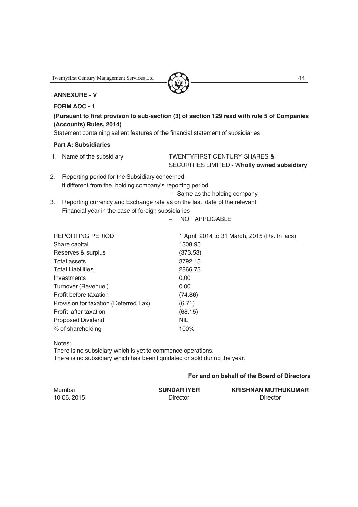## **ANNEXURE - V**

## **FORM AOC - 1**

# **(Pursuant to first provison to sub-section (3) of section 129 read with rule 5 of Companies (Accounts) Rules, 2014)**

Statement containing salient features of the financial statement of subsidiaries

## **Part A: Subsidiaries**

1. Name of the subsidiary TWENTYFIRST CENTURY SHARES & SECURITIES LIMITED - W**holly owned subsidiary**

2. Reporting period for the Subsidiary concerned, if different from the holding company's reporting period

- Same as the holding company

3. Reporting currency and Exchange rate as on the last date of the relevant Financial year in the case of foreign subsidiaries

– NOT APPLICABLE

| REPORTING PERIOD                      | 1 April, 2014 to 31 March, 2015 (Rs. In lacs) |
|---------------------------------------|-----------------------------------------------|
| Share capital                         | 1308.95                                       |
| Reserves & surplus                    | (373.53)                                      |
| Total assets                          | 3792.15                                       |
| <b>Total Liabilities</b>              | 2866.73                                       |
| Investments                           | 0.00                                          |
| Turnover (Revenue)                    | 0.00                                          |
| Profit before taxation                | (74.86)                                       |
| Provision for taxation (Deferred Tax) | (6.71)                                        |
| Profit after taxation                 | (68.15)                                       |
| <b>Proposed Dividend</b>              | <b>NIL</b>                                    |
| % of shareholding                     | 100%                                          |

Notes:

There is no subsidiary which is yet to commence operations. There is no subsidiary which has been liquidated or sold during the year.

**For and on behalf of the Board of Directors**

10.06. 2015 Director Director

Mumbai **SUNDAR IYER KRISHNAN MUTHUKUMAR**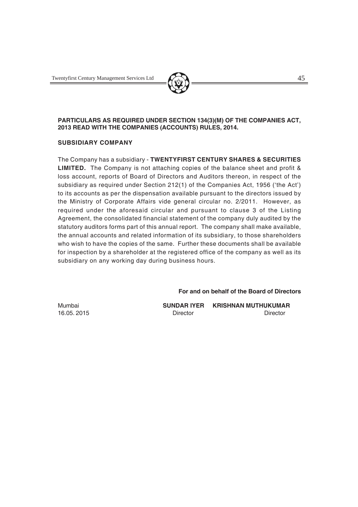## **PARTICULARS AS REQUIRED UNDER SECTION 134(3)(M) OF THE COMPANIES ACT, 2013 READ WITH THE COMPANIES (ACCOUNTS) RULES, 2014.**

## **SUBSIDIARY COMPANY**

The Company has a subsidiary - **TWENTYFIRST CENTURY SHARES & SECURITIES LIMITED.** The Company is not attaching copies of the balance sheet and profit & loss account, reports of Board of Directors and Auditors thereon, in respect of the subsidiary as required under Section 212(1) of the Companies Act, 1956 ('the Act') to its accounts as per the dispensation available pursuant to the directors issued by the Ministry of Corporate Affairs vide general circular no. 2/2011. However, as required under the aforesaid circular and pursuant to clause 3 of the Listing Agreement, the consolidated financial statement of the company duly audited by the statutory auditors forms part of this annual report. The company shall make available, the annual accounts and related information of its subsidiary, to those shareholders who wish to have the copies of the same. Further these documents shall be available for inspection by a shareholder at the registered office of the company as well as its subsidiary on any working day during business hours.

**For and on behalf of the Board of Directors**

Mumbai **SUNDAR IYER KRISHNAN MUTHUKUMAR** 16.05. 2015 Director Director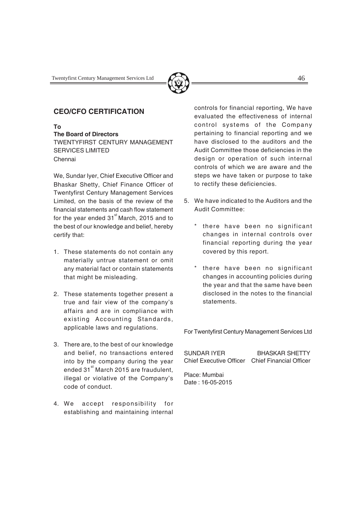

# **CEO/CFO CERTIFICATION**

**To The Board of Directors** TWENTYFIRST CENTURY MANAGEMENT SERVICES LIMITED Chennai

We, Sundar Iyer, Chief Executive Officer and Bhaskar Shetty, Chief Finance Officer of Twentyfirst Century Management Services Limited, on the basis of the review of the financial statements and cash flow statement for the year ended  $31<sup>st</sup>$  March, 2015 and to the best of our knowledge and belief, hereby certify that:

- 1. These statements do not contain any materially untrue statement or omit any material fact or contain statements that might be misleading.
- 2. These statements together present a true and fair view of the company's affairs and are in compliance with existing Accounting Standards, applicable laws and regulations.
- 3. There are, to the best of our knowledge and belief, no transactions entered into by the company during the year ended 31<sup>st</sup> March 2015 are fraudulent, illegal or violative of the Company's code of conduct.
- 4. We accept responsibility for establishing and maintaining internal

controls for financial reporting, We have evaluated the effectiveness of internal control systems of the Company pertaining to financial reporting and we have disclosed to the auditors and the Audit Committee those deficiencies in the design or operation of such internal controls of which we are aware and the steps we have taken or purpose to take to rectify these deficiencies.

- 5. We have indicated to the Auditors and the Audit Committee:
	- there have been no significant changes in internal controls over financial reporting during the year covered by this report.
	- there have been no significant changes in accounting policies during the year and that the same have been disclosed in the notes to the financial statements.

For Twentyfirst Century Management Services Ltd

| SUNDAR IYER                                      | <b>BHASKAR SHETTY</b> |
|--------------------------------------------------|-----------------------|
| Chief Executive Officer  Chief Financial Officer |                       |
|                                                  |                       |

Place: Mumbai Date : 16-05-2015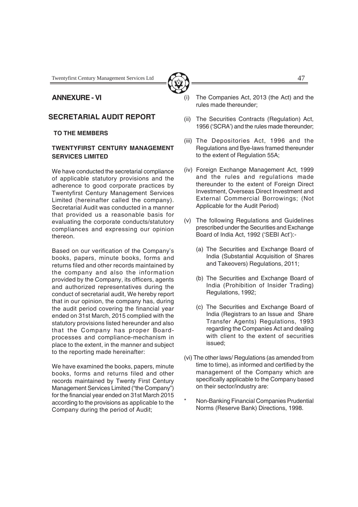Twentyfirst Century Management Services Ltd  $\sqrt{2\Delta}$  47



# **ANNEXURE - VI**

# **SECRETARIAL AUDIT REPORT**

## **TO THE MEMBERS**

# **TWENTYFIRST CENTURY MANAGEMENT SERVICES LIMITED**

We have conducted the secretarial compliance of applicable statutory provisions and the adherence to good corporate practices by Twentyfirst Century Management Services Limited (hereinafter called the company). Secretarial Audit was conducted in a manner that provided us a reasonable basis for evaluating the corporate conducts/statutory compliances and expressing our opinion thereon.

Based on our verification of the Company's books, papers, minute books, forms and returns filed and other records maintained by the company and also the information provided by the Company, its officers, agents and authorized representatives during the conduct of secretarial audit, We hereby report that in our opinion, the company has, during the audit period covering the financial year ended on 31st March, 2015 complied with the statutory provisions listed hereunder and also that the Company has proper Boardprocesses and compliance-mechanism in place to the extent, in the manner and subject to the reporting made hereinafter:

We have examined the books, papers, minute books, forms and returns filed and other records maintained by Twenty First Century Management Services Limited ("the Company") for the financial year ended on 31st March 2015 according to the provisions as applicable to the Company during the period of Audit;

The Companies Act, 2013 (the Act) and the rules made thereunder;

- (ii) The Securities Contracts (Regulation) Act, 1956 ('SCRA') and the rules made thereunder;
- (iii) The Depositories Act, 1996 and the Regulations and Bye-laws framed thereunder to the extent of Regulation 55A;
- (iv) Foreign Exchange Management Act, 1999 and the rules and regulations made thereunder to the extent of Foreign Direct Investment, Overseas Direct Investment and External Commercial Borrowings; (Not Applicable for the Audit Period)
- (v) The following Regulations and Guidelines prescribed under the Securities and Exchange Board of India Act, 1992 ('SEBI Act'):-
	- (a) The Securities and Exchange Board of India (Substantial Acquisition of Shares and Takeovers) Regulations, 2011;
	- (b) The Securities and Exchange Board of India (Prohibition of Insider Trading) Regulations, 1992;
	- (c) The Securities and Exchange Board of India (Registrars to an Issue and Share Transfer Agents) Regulations, 1993 regarding the Companies Act and dealing with client to the extent of securities issued;
- (vi) The other laws/ Regulations (as amended from time to time), as informed and certified by the management of the Company which are specifically applicable to the Company based on their sector/industry are:
- Non-Banking Financial Companies Prudential Norms (Reserve Bank) Directions, 1998.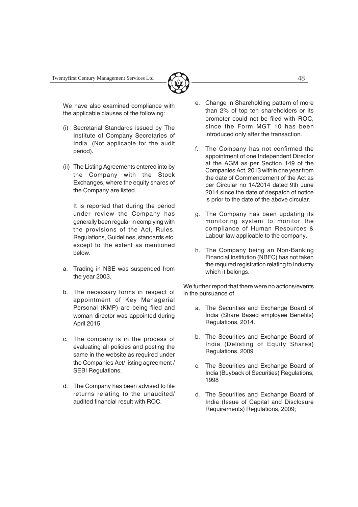

We have also examined compliance with the applicable clauses of the following:

- (i) Secretarial Standards issued by The Institute of Company Secretaries of India. (Not applicable for the audit period).
- (ii) The Listing Agreements entered into by the Company with the Stock Exchanges, where the equity shares of the Company are listed.

It is reported that during the period under review the Company has generally been regular in complying with the provisions of the Act, Rules, Regulations, Guidelines, standards etc. except to the extent as mentioned below.

- a. Trading in NSE was suspended from the year 2003.
- b. The necessary forms in respect of appointment of Key Managerial Personal (KMP) are being filed and woman director was appointed during April 2015.
- c. The company is in the process of evaluating all policies and posting the same in the website as required under the Companies Act/ listing agreement / SEBI Regulations.
- d. The Company has been advised to file returns relating to the unaudited/ audited financial result with ROC.
- e. Change in Shareholding pattern of more than 2% of top ten shareholders or its promoter could not be filed with ROC, since the Form MGT 10 has been introduced only after the transaction.
- f. The Company has not confirmed the appointment of one Independent Director at the AGM as per Section 149 of the Companies Act, 2013 within one year from the date of Commencement of the Act as per Circular no 14/2014 dated 9th June 2014 since the date of despatch of notice is prior to the date of the above circular.
- g. The Company has been updating its monitoring system to monitor the compliance of Human Resources & Labour law applicable to the company.
- h. The Company being an Non-Banking Financial Institution (NBFC) has not taken the required registration relating to Industry which it belongs.

We further report that there were no actions/events in the pursuance of

- a. The Securities and Exchange Board of India (Share Based employee Benefits) Regulations, 2014.
- b. The Securities and Exchange Board of India (Delisting of Equity Shares) Regulations, 2009
- c. The Securities and Exchange Board of India (Buyback of Securities) Regulations, 1998
- d. The Securities and Exchange Board of India (Issue of Capital and Disclosure Requirements) Regulations, 2009;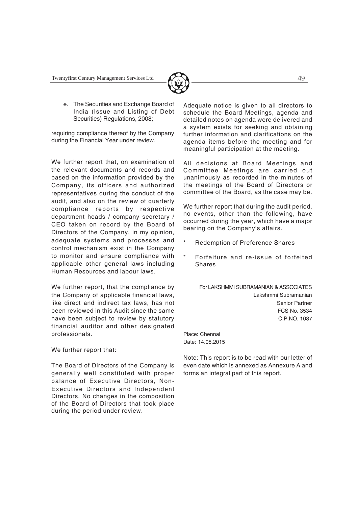

e. The Securities and Exchange Board of India (Issue and Listing of Debt Securities) Regulations, 2008;

requiring compliance thereof by the Company during the Financial Year under review.

We further report that, on examination of the relevant documents and records and based on the information provided by the Company, its officers and authorized representatives during the conduct of the audit, and also on the review of quarterly compliance reports by respective department heads / company secretary / CEO taken on record by the Board of Directors of the Company, in my opinion, adequate systems and processes and control mechanism exist in the Company to monitor and ensure compliance with applicable other general laws including Human Resources and labour laws.

We further report, that the compliance by the Company of applicable financial laws, like direct and indirect tax laws, has not been reviewed in this Audit since the same have been subject to review by statutory financial auditor and other designated professionals.

We further report that:

The Board of Directors of the Company is generally well constituted with proper balance of Executive Directors, Non-Executive Directors and Independent Directors. No changes in the composition of the Board of Directors that took place during the period under review.

Adequate notice is given to all directors to schedule the Board Meetings, agenda and detailed notes on agenda were delivered and a system exists for seeking and obtaining further information and clarifications on the agenda items before the meeting and for meaningful participation at the meeting.

All decisions at Board Meetings and Committee Meetings are carried out unanimously as recorded in the minutes of the meetings of the Board of Directors or committee of the Board, as the case may be.

We further report that during the audit period, no events, other than the following, have occurred during the year, which have a major bearing on the Company's affairs.

- \* Redemption of Preference Shares
- Forfeiture and re-issue of forfeited Shares

For LAKSHMMI SUBRAMANIAN & ASSOCIATES Lakshmmi Subramanian Senior Partner FCS No. 3534 C.P.NO. 1087

Place: Chennai Date: 14.05.2015

Note: This report is to be read with our letter of even date which is annexed as Annexure A and forms an integral part of this report.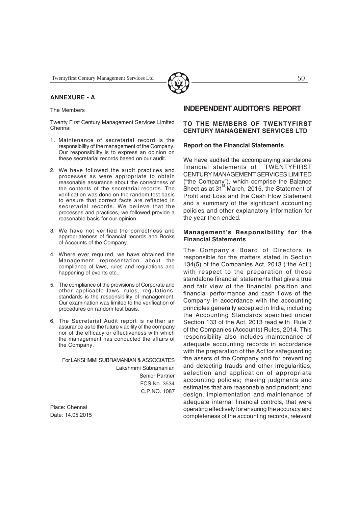## **ANNEXURE - A**

The Members

Twenty First Century Management Services Limited **Chennai** 

- 1. Maintenance of secretarial record is the responsibility of the management of the Company. Our responsibility is to express an opinion on these secretarial records based on our audit.
- 2. We have followed the audit practices and processes as were appropriate to obtain reasonable assurance about the correctness of the contents of the secretarial records. The verification was done on the random test basis to ensure that correct facts are reflected in secretarial records. We believe that the processes and practices, we followed provide a reasonable basis for our opinion.
- 3. We have not verified the correctness and appropriateness of financial records and Books of Accounts of the Company.
- 4. Where ever required, we have obtained the Management representation about the compliance of laws, rules and regulations and happening of events etc..
- 5. The compliance of the provisions of Corporate and other applicable laws, rules, regulations, standards is the responsibility of management. Our examination was limited to the verification of procedures on random test basis.
- 6. The Secretarial Audit report is neither an assurance as to the future viability of the company nor of the efficacy or effectiveness with which the management has conducted the affairs of the Company.

For LAKSHMMI SUBRAMANIAN & ASSOCIATES Lakshmmi Subramanian Senior Partner FCS No. 3534 C.P.NO. 1087

Place: Chennai Date: 14.05.2015

# **INDEPENDENT AUDITOR'S REPORT**

# **TO THE MEMBERS OF TWENTYFIRST CENTURY MANAGEMENT SERVICES LTD**

## **Report on the Financial Statements**

We have audited the accompanying standalone financial statements of TWENTYFIRST CENTURY MANAGEMENT SERVICES LIMITED ("the Company"), which comprise the Balance Sheet as at  $31<sup>st</sup>$  March, 2015, the Statement of Profit and Loss and the Cash Flow Statement and a summary of the significant accounting policies and other explanatory information for the year then ended.

## **Management's Responsibility for the Financial Statements**

The Company's Board of Directors is responsible for the matters stated in Section 134(5) of the Companies Act, 2013 ("the Act") with respect to the preparation of these standalone financial statements that give a true and fair view of the financial position and financial performance and cash flows of the Company in accordance with the accounting principles generally accepted in India, including the Accounting Standards specified under Section 133 of the Act, 2013 read with Rule 7 of the Companies (Accounts) Rules, 2014. This responsibility also includes maintenance of adequate accounting records in accordance with the preparation of the Act for safeguarding the assets of the Company and for preventing and detecting frauds and other irregularities; selection and application of appropriate accounting policies; making judgments and estimates that are reasonable and prudent; and design, implementation and maintenance of adequate internal financial controls, that were operating effectively for ensuring the accuracy and completeness of the accounting records, relevant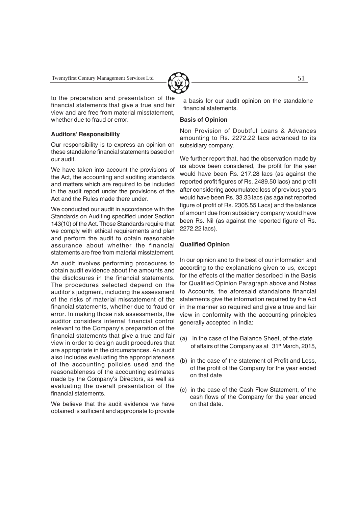Twentyfirst Century Management Services Ltd  $\sqrt{2\sqrt{2}}$  51



to the preparation and presentation of the financial statements that give a true and fair view and are free from material misstatement, whether due to fraud or error.

## **Auditors' Responsibility**

Our responsibility is to express an opinion on these standalone financial statements based on our audit.

We have taken into account the provisions of the Act, the accounting and auditing standards and matters which are required to be included in the audit report under the provisions of the Act and the Rules made there under.

We conducted our audit in accordance with the Standards on Auditing specified under Section 143(10) of the Act. Those Standards require that we comply with ethical requirements and plan and perform the audit to obtain reasonable assurance about whether the financial statements are free from material misstatement.

An audit involves performing procedures to obtain audit evidence about the amounts and the disclosures in the financial statements. The procedures selected depend on the auditor's judgment, including the assessment of the risks of material misstatement of the financial statements, whether due to fraud or error. In making those risk assessments, the auditor considers internal financial control relevant to the Company's preparation of the financial statements that give a true and fair view in order to design audit procedures that are appropriate in the circumstances. An audit also includes evaluating the appropriateness of the accounting policies used and the reasonableness of the accounting estimates made by the Company's Directors, as well as evaluating the overall presentation of the financial statements.

We believe that the audit evidence we have obtained is sufficient and appropriate to provide

a basis for our audit opinion on the standalone financial statements.

## **Basis of Opinion**

Non Provision of Doubtful Loans & Advances amounting to Rs. 2272.22 lacs advanced to its subsidiary company.

We further report that, had the observation made by us above been considered, the profit for the year would have been Rs. 217.28 lacs (as against the reported profit figures of Rs. 2489.50 lacs) and profit after considering accumulated loss of previous years would have been Rs. 33.33 lacs (as against reported figure of profit of Rs. 2305.55 Lacs) and the balance of amount due from subsidiary company would have been Rs. Nil (as against the reported figure of Rs. 2272.22 lacs).

## **Qualified Opinion**

In our opinion and to the best of our information and according to the explanations given to us, except for the effects of the matter described in the Basis for Qualified Opinion Paragraph above and Notes to Accounts, the aforesaid standalone financial statements give the information required by the Act in the manner so required and give a true and fair view in conformity with the accounting principles generally accepted in India:

- (a) in the case of the Balance Sheet, of the state of affairs of the Company as at 31<sup>st</sup> March, 2015,
- (b) in the case of the statement of Profit and Loss, of the profit of the Company for the year ended on that date
- (c) in the case of the Cash Flow Statement, of the cash flows of the Company for the year ended on that date.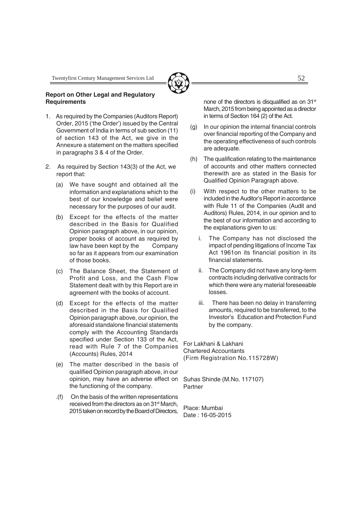Twentyfirst Century Management Services Ltd  $\sqrt{2\Delta}$  52



## **Report on Other Legal and Regulatory Requirements**

- 1. As required by the Companies (Auditors Report) Order, 2015 ('the Order') issued by the Central Government of India in terms of sub section (11) of section 143 of the Act, we give in the Annexure a statement on the matters specified in paragraphs 3 & 4 of the Order.
- 2. As required by Section 143(3) of the Act, we report that:
	- (a) We have sought and obtained all the information and explanations which to the best of our knowledge and belief were necessary for the purposes of our audit.
	- (b) Except for the effects of the matter described in the Basis for Qualified Opinion paragraph above, in our opinion, proper books of account as required by law have been kept by the Company so far as it appears from our examination of those books.
	- (c) The Balance Sheet, the Statement of Profit and Loss, and the Cash Flow Statement dealt with by this Report are in agreement with the books of account.
	- (d) Except for the effects of the matter described in the Basis for Qualified Opinion paragraph above, our opinion, the aforesaid standalone financial statements comply with the Accounting Standards specified under Section 133 of the Act, read with Rule 7 of the Companies (Accounts) Rules, 2014
	- (e) The matter described in the basis of qualified Opinion paragraph above, in our opinion, may have an adverse effect on the functioning of the company.
	- .(f) On the basis of the written representations received from the directors as on 31<sup>st</sup> March, 2015 taken on record by the Board of Directors,

none of the directors is disqualified as on 31<sup>st</sup> March, 2015 from being appointed as a director in terms of Section 164 (2) of the Act.

- (g) In our opinion the internal financial controls over financial reporting of the Company and the operating effectiveness of such controls are adequate.
- (h) The qualification relating to the maintenance of accounts and other matters connected therewith are as stated in the Basis for Qualified Opinion Paragraph above.
- (i) With respect to the other matters to be included in the Auditor's Report in accordance with Rule 11 of the Companies (Audit and Auditors) Rules, 2014, in our opinion and to the best of our information and according to the explanations given to us:
	- The Company has not disclosed the impact of pending litigations of Income Tax Act 1961on its financial position in its financial statements.
	- ii. The Company did not have any long-term contracts including derivative contracts for which there were any material foreseeable losses.
	- iii. There has been no delay in transferring amounts, required to be transferred, to the Investor's Education and Protection Fund by the company.

For Lakhani & Lakhani Chartered Accountants (Firm Registration No.115728W)

Suhas Shinde (M.No. 117107) Partner

Place: Mumbai Date : 16-05-2015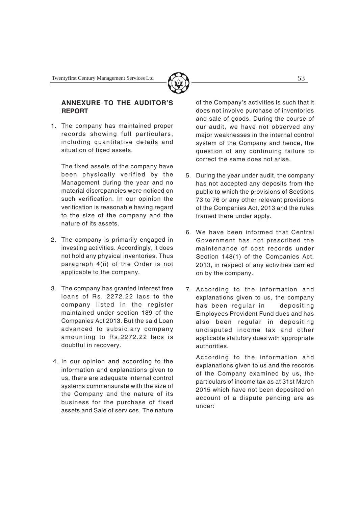

# **ANNEXURE TO THE AUDITOR'S REPORT**

1. The company has maintained proper records showing full particulars, including quantitative details and situation of fixed assets.

The fixed assets of the company have been physically verified by the Management during the year and no material discrepancies were noticed on such verification. In our opinion the verification is reasonable having regard to the size of the company and the nature of its assets.

- 2. The company is primarily engaged in investing activities. Accordingly, it does not hold any physical inventories. Thus paragraph 4(ii) of the Order is not applicable to the company.
- 3. The company has granted interest free loans of Rs. 2272.22 lacs to the company listed in the register maintained under section 189 of the Companies Act 2013. But the said Loan advanced to subsidiary company amounting to Rs.2272.22 lacs is doubtful in recovery.
- 4. In our opinion and according to the information and explanations given to us, there are adequate internal control systems commensurate with the size of the Company and the nature of its business for the purchase of fixed assets and Sale of services. The nature

of the Company's activities is such that it does not involve purchase of inventories and sale of goods. During the course of our audit, we have not observed any major weaknesses in the internal control system of the Company and hence, the question of any continuing failure to correct the same does not arise.

- 5. During the year under audit, the company has not accepted any deposits from the public to which the provisions of Sections 73 to 76 or any other relevant provisions of the Companies Act, 2013 and the rules framed there under apply.
- 6. We have been informed that Central Government has not prescribed the maintenance of cost records under Section 148(1) of the Companies Act, 2013, in respect of any activities carried on by the company.
- 7. According to the information and explanations given to us, the company has been regular in depositing Employees Provident Fund dues and has also been regular in depositing undisputed income tax and other applicable statutory dues with appropriate authorities.

According to the information and explanations given to us and the records of the Company examined by us, the particulars of income tax as at 31st March 2015 which have not been deposited on account of a dispute pending are as under: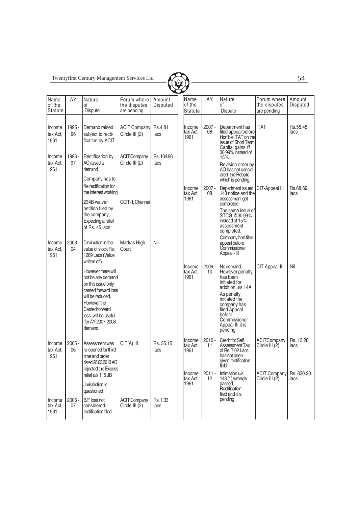|                            |                | Twentyfirst Century Management Services Ltd                                                                                                                                                                       |                                            |                           |                            |                |                                                                                                                                                                                                       |                                             | 54                 |
|----------------------------|----------------|-------------------------------------------------------------------------------------------------------------------------------------------------------------------------------------------------------------------|--------------------------------------------|---------------------------|----------------------------|----------------|-------------------------------------------------------------------------------------------------------------------------------------------------------------------------------------------------------|---------------------------------------------|--------------------|
| Name<br>of the<br>Statute  | AY             | <b>Nature</b><br>٥f<br><b>Dispute</b>                                                                                                                                                                             | Forum where<br>the disputes<br>are pending | Amount<br><b>Disputed</b> | Name<br>of the<br>Statute  | AY             | Nature<br>οf                                                                                                                                                                                          | Forum where<br>the disputes                 | Amount<br>Disputed |
| Income<br>tax Act.<br>1961 | 1995 -<br>96   | Demand raised<br>subject to recti-<br>fication by ACIT                                                                                                                                                            | <b>ACIT Company</b><br>Circle III (2)      | Rs.4.81<br>lacs           | Income<br>tax Act.<br>1961 | $2007 -$<br>08 | Dispute<br>Department has<br>filed appeal before<br>Hon'ble ITAT on the<br>issue of Short Term<br>Capital gains @                                                                                     | are pending<br><b>ITAT</b>                  | Rs.55.45<br>lacs   |
| Income<br>tax Act,<br>1961 | 1996 -<br>97   | Rectification by<br>AO raised a<br>demand<br>Company has to                                                                                                                                                       | <b>ACIT Company</b><br>Circle III (2)      | Rs. 104.96<br>lacs        |                            |                | 30.99% instead of<br>$15%$ .<br>Revision order by<br>AO has not consid-<br>ered the Rebate<br>which is pending.                                                                                       |                                             |                    |
|                            |                | file rectification for<br>the interest working<br>234B waiver                                                                                                                                                     | CCIT-I, Chennai                            |                           | Income<br>tax Act.<br>1961 | $2007 -$<br>08 | Department issued<br>148 notice and the<br>assessment got                                                                                                                                             | CIT-Appeal III                              | Rs.68.69<br>lacs   |
|                            |                | petition filed by<br>the company,<br>Expecting a relief<br>of Rs. 45 lacs                                                                                                                                         |                                            |                           |                            |                | completed<br>The same issue of<br>STCG @30.99%<br>instead of 15%<br>assessment<br>completed.                                                                                                          |                                             |                    |
| Income<br>tax Act.<br>1961 | $2003 -$<br>04 | Diminution in the<br>value of stock Rs.<br>1289 Lacs (Value                                                                                                                                                       | Madras High<br>Court                       | Nil                       |                            |                | Company had filed<br>appeal before<br>Commissioner<br>Appeal - III                                                                                                                                    |                                             |                    |
|                            |                | written off)<br>However there will<br>not be any demand<br>on this issue only<br>carried forward loss<br>will be reduced.<br>However the<br>Carried forward<br>loss will be useful<br>for AY 2007-2008<br>demand. |                                            |                           | Income<br>tax Act.<br>1961 | $2009 -$<br>10 | No demand,<br>However penalty<br>has been<br>initiated for<br>addition u/s 14A<br>As penalty<br>initiated the<br>company has<br>filed Appeal<br>hefore<br>Commissioner<br>Appeal III it is<br>pending | CIT Appeal III                              | Nil                |
| Income<br>tax Act,<br>1961 | $2005 -$<br>06 | Assessment was<br>re-opened for third<br>time and order<br>dated 28.03.2013 AO<br>rejected the Excess                                                                                                             | $ClT(A)$ III                               | <b>HS. 35.15</b><br>lacs  | Income<br>tax Act,<br>1961 | 11             | 2010 - Credit for Self<br><b>Assessment Tax</b><br>of Rs. 7.02 Lacs<br>has not been<br>given, rectification<br>field                                                                                  | ACITCompany   Rs. 13.28<br>Circle III $(2)$ | lacs               |
|                            |                | relief u/s 115 JB<br>Jurisdiction is<br>questioned                                                                                                                                                                |                                            |                           | Income<br>tax Act.<br>1961 | $2011 -$<br>12 | Intimation u/s<br>143 (1) wrongly<br>passed.<br>Rectification<br>filed and it is                                                                                                                      | <b>ACIT Company</b><br>Circle III (2)       | Rs. 830.20<br>lacs |
| Income<br>tax Act,<br>1961 | $2006 -$<br>07 | B/F loss not<br>considered,<br>rectification filed                                                                                                                                                                | <b>ACIT Company</b><br>Circle III (2)      | Rs. 1.33<br>lacs          |                            |                | pending                                                                                                                                                                                               |                                             |                    |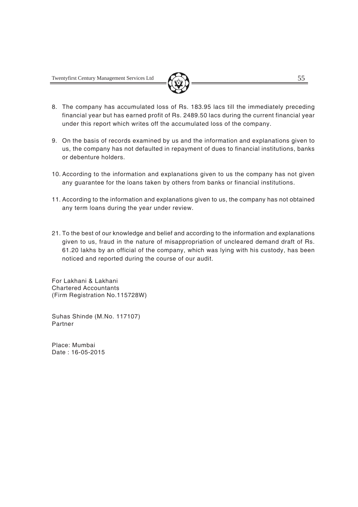- 8. The company has accumulated loss of Rs. 183.95 lacs till the immediately preceding financial year but has earned profit of Rs. 2489.50 lacs during the current financial year under this report which writes off the accumulated loss of the company.
- 9. On the basis of records examined by us and the information and explanations given to us, the company has not defaulted in repayment of dues to financial institutions, banks or debenture holders.
- 10. According to the information and explanations given to us the company has not given any guarantee for the loans taken by others from banks or financial institutions.
- 11. According to the information and explanations given to us, the company has not obtained any term loans during the year under review.
- 21. To the best of our knowledge and belief and according to the information and explanations given to us, fraud in the nature of misappropriation of uncleared demand draft of Rs. 61.20 lakhs by an official of the company, which was lying with his custody, has been noticed and reported during the course of our audit.

For Lakhani & Lakhani Chartered Accountants (Firm Registration No.115728W)

Suhas Shinde (M.No. 117107) Partner

Place: Mumbai Date : 16-05-2015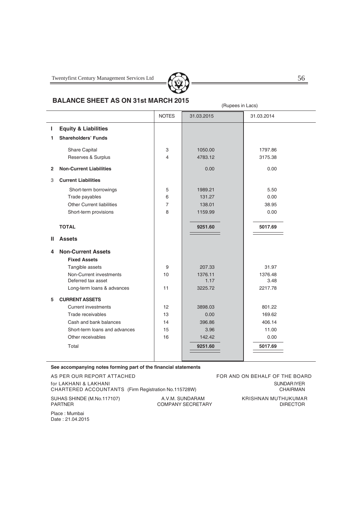Twentyfirst Century Management Services Ltd  $\sqrt{2\sqrt{2}}$  56



# **BALANCE SHEET AS ON 31st MARCH 2015**

NOTES 31.03.2015 31.03.2014 **I Equity & Liabilities 1 Shareholders' Funds** Share Capital 1050.00 1797.86 Reserves & Surplus **4** 4 4783.12 3175.38 **2 Non-Current Liabilities** 0.00 0.00 3 **Current Liabilities** Short-term borrowings 1989.21 5 1989.21 5.50 Trade payables 6 | 131.27 0.00 Other Current liabilities **7** 138.01 38.95 Short-term provisions 8 1159.99 0.00 **TOTAL 9251.60 5017.69 II Assets 4 Non-Current Assets Fixed Assets** Tangible assets 19 207.33 31.97 Non-Current investments 10 1376.11 1376.48<br>Deferred tax asset 1.17 3.48 Deferred tax asset Long-term loans & advances 11 1 3225.72 2217.78 **5 CURRENT ASSETS Current investments** 12 12 3898.03 801.22 Trade receivables  $13 \t 13 \t 0.00 \t 169.62$ Cash and bank balances  $\begin{vmatrix} 14 & 1 \end{vmatrix}$  396.86  $\begin{vmatrix} 36 & 14 \end{vmatrix}$  406.14 Short-term loans and advances 15 15 3.96 11.00 Other receivables 16 16 142.42 0.00 Total **9251.60 5017.69** (Rupees in Lacs)

**See accompanying notes forming part of the financial statements**

AS PER OUR REPORT ATTACHED FOR AND ON BEHALF OF THE BOARD for LAKHANI & LAKHANI NAME IN THE SUNDAR IT IS A SUNDAR IT IS A SUNDAR IT IS A SUNDAR IT IS A SUNDAR IT IS A SUNDAR IT IS A SUNDAR IT IS A SUNDAR IT IS A SUNDAR IT IS A SUNDAR IT IS A SUNDAR IT IS A SUNDAR IT IS A SUNDAR I CHARTERED ACCOUNTANTS (Firm Registration No.115728W) CHAIRMAN CHAIRMAN

SUHAS SHINDE (M.No.117107) A.V.M. SUNDARAM KRISHNAN MUTHUKUMAR

Place : Mumbai Date : 21.04.2015 COMPANY SECRETARY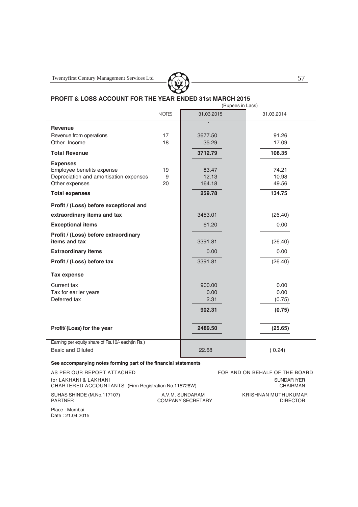

## **PROFIT & LOSS ACCOUNT FOR THE YEAR ENDED 31st MARCH 2015**

|                                                  |              | (Rupees in Lacs) |            |
|--------------------------------------------------|--------------|------------------|------------|
|                                                  | <b>NOTES</b> | 31.03.2015       | 31.03.2014 |
| <b>Revenue</b>                                   |              |                  |            |
| Revenue from operations                          | 17           | 3677.50          | 91.26      |
| Other Income                                     | 18           | 35.29            | 17.09      |
| <b>Total Revenue</b>                             |              | 3712.79          | 108.35     |
| <b>Expenses</b>                                  |              |                  |            |
| Employee benefits expense                        | 19           | 83.47            | 74.21      |
| Depreciation and amortisation expenses           | 9            | 12.13            | 10.98      |
| Other expenses                                   | 20           | 164.18           | 49.56      |
| <b>Total expenses</b>                            |              | 259.78           | 134.75     |
| Profit / (Loss) before exceptional and           |              |                  |            |
| extraordinary items and tax                      |              | 3453.01          | (26.40)    |
| <b>Exceptional items</b>                         |              | 61.20            | 0.00       |
| Profit / (Loss) before extraordinary             |              |                  |            |
| items and tax                                    |              | 3391.81          | (26.40)    |
| <b>Extraordinary items</b>                       |              | 0.00             | 0.00       |
| Profit / (Loss) before tax                       |              | 3391.81          | (26.40)    |
| <b>Tax expense</b>                               |              |                  |            |
| Current tax                                      |              | 900.00           | 0.00       |
| Tax for earlier years                            |              | 0.00             | 0.00       |
| Deferred tax                                     |              | 2.31             | (0.75)     |
|                                                  |              | 902.31           | (0.75)     |
| Profit/ (Loss) for the year                      |              | 2489.50          | (25.65)    |
|                                                  |              |                  |            |
| Earning per equity share of Rs.10/- each(in Rs.) |              |                  |            |
| <b>Basic and Diluted</b>                         |              | 22.68            | (0.24)     |

**See accompanying notes forming part of the financial statements**

AS PER OUR REPORT ATTACHED FOR AND ON BEHALF OF THE BOARD for LAKHANI & LAKHANI<br>CHARTERED ACCOUNTANTS (Firm Registration No.115728W) **SUNDAR INCHALAN** CHAIRMAN CHARTERED ACCOUNTANTS (Firm Registration No.115728W)

SUHAS SHINDE (M.No.117107) A.V.M. SUNDARAM KRISHNAN MUTHUKUMAR<br>PARTNER DIRECTOR COMPANY SECRETARY COMPANY SECRETARY

Place : Mumbai Date : 21.04.2015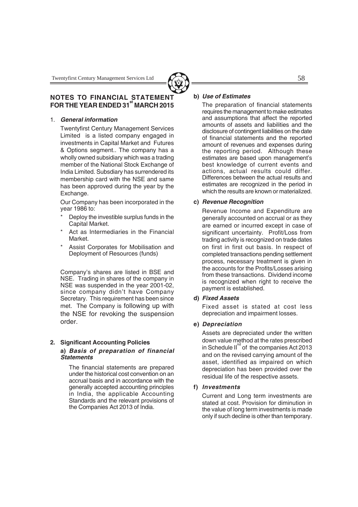

# **NOTES TO FINANCIAL STATEMENT FOR THE YEAR ENDED 31<sup>st</sup> MARCH 2015**

## 1. *General information*

Twentyfirst Century Management Services Limited is a listed company engaged in investments in Capital Market and Futures & Options segment.. The company has a wholly owned subsidiary which was a trading member of the National Stock Exchange of India Limited. Subsdiary has surrendered its membership card with the NSE and same has been approved during the year by the Exchange.

Our Company has been incorporated in the year 1986 to:

- Deploy the investible surplus funds in the Capital Market.
- Act as Intermediaries in the Financial Market.
- Assist Corporates for Mobilisation and Deployment of Resources (funds)

Company's shares are listed in BSE and NSE. Trading in shares of the company in NSE was suspended in the year 2001-02, since company didn't have Company Secretary. This requirement has been since met. The Company is following up with the NSE for revoking the suspension order.

# **2. Significant Accounting Policies**

## **a)** *Basis of preparation of financial Statements*

The financial statements are prepared under the historical cost convention on an accrual basis and in accordance with the generally accepted accounting principles in India, the applicable Accounting Standards and the relevant provisions of the Companies Act 2013 of India.

## **b)** *Use of Estimates*

The preparation of financial statements requires the management to make estimates and assumptions that affect the reported amounts of assets and liabilities and the disclosure of contingent liabilities on the date of financial statements and the reported amount of revenues and expenses during the reporting period. Although these estimates are based upon management's best knowledge of current events and actions, actual results could differ. Differences between the actual results and estimates are recognized in the period in which the results are known or materialized.

# **c)** *Revenue Recognition*

Revenue Income and Expenditure are generally accounted on accrual or as they are earned or incurred except in case of significant uncertainty. Profit/Loss from trading activity is recognized on trade dates on first in first out basis. In respect of completed transactions pending settlement process, necessary treatment is given in the accounts for the Profits/Losses arising from these transactions. Dividend income is recognized when right to receive the payment is established.

## **d)** *Fixed Assets*

Fixed asset is stated at cost less depreciation and impairment losses.

# **e)** *Depreciation*

Assets are depreciated under the written down value method at the rates prescribed in Schedule  $II^{\text{nd}}$  of the companies Act 2013 and on the revised carrying amount of the asset, identified as impaired on which depreciation has been provided over the residual life of the respective assets.

## **f)** *Investments*

Current and Long term investments are stated at cost. Provision for diminution in the value of long term investments is made only if such decline is other than temporary.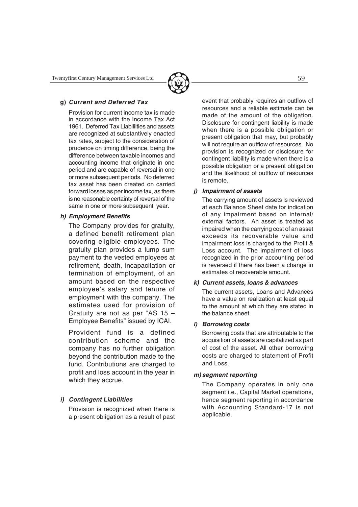

## **g)** *Current and Deferred Tax*

Provision for current income tax is made in accordance with the Income Tax Act 1961. Deferred Tax Liabililties and assets are recognized at substantively enacted tax rates, subject to the consideration of prudence on timing difference, being the difference between taxable incomes and accounting income that originate in one period and are capable of reversal in one or more subsequent periods. No deferred tax asset has been created on carried forward losses as per income tax, as there is no reasonable certainty of reversal of the same in one or more subsequent year.

## *h) Employment Benefits*

The Company provides for gratuity, a defined benefit retirement plan covering eligible employees. The gratuity plan provides a lump sum payment to the vested employees at retirement, death, incapacitation or termination of employment, of an amount based on the respective employee's salary and tenure of employment with the company. The estimates used for provision of Gratuity are not as per "AS 15 – Employee Benefits" issued by ICAI.

Provident fund is a defined contribution scheme and the company has no further obligation beyond the contribution made to the fund. Contributions are charged to profit and loss account in the year in which they accrue.

## *i) Contingent Liabilities*

Provision is recognized when there is a present obligation as a result of past event that probably requires an outflow of resources and a reliable estimate can be made of the amount of the obligation. Disclosure for contingent liability is made when there is a possible obligation or present obligation that may, but probably will not require an outflow of resources. No provision is recognized or disclosure for contingent liability is made when there is a possible obligation or a present obligation and the likelihood of outflow of resources is remote.

## *j) Impairment of assets*

The carrying amount of assets is reviewed at each Balance Sheet date for indication of any impairment based on internal/ external factors. An asset is treated as impaired when the carrying cost of an asset exceeds its recoverable value and impairment loss is charged to the Profit & Loss account. The impairment of loss recognized in the prior accounting period is reversed if there has been a change in estimates of recoverable amount.

#### *k) Current assets, loans & advances*

The current assets, Loans and Advances have a value on realization at least equal to the amount at which they are stated in the balance sheet.

## *l) Borrowing costs*

Borrowing costs that are attributable to the acquisition of assets are capitalized as part of cost of the asset. All other borrowing costs are charged to statement of Profit and Loss.

#### *m) segment reporting*

The Company operates in only one segment i.e., Capital Market operations, hence segment reporting in accordance with Accounting Standard-17 is not applicable.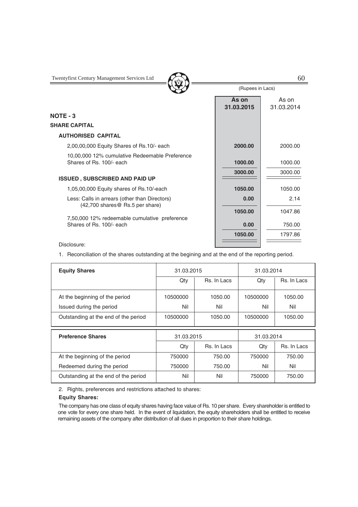| <b>Twentyfirst Century Management Services Ltd</b>                               |                     | 60                  |
|----------------------------------------------------------------------------------|---------------------|---------------------|
|                                                                                  | (Rupees in Lacs)    |                     |
|                                                                                  | As on<br>31.03.2015 | As on<br>31.03.2014 |
| $NOTE - 3$                                                                       |                     |                     |
| <b>SHARE CAPITAL</b>                                                             |                     |                     |
| <b>AUTHORISED CAPITAL</b>                                                        |                     |                     |
| 2,00,00,000 Equity Shares of Rs.10/- each                                        | 2000.00             | 2000.00             |
| 10,00,000 12% cumulative Redeemable Preference<br>Shares of Rs. 100/- each       | 1000.00             | 1000.00             |
| <b>ISSUED, SUBSCRIBED AND PAID UP</b>                                            | 3000.00             | 3000.00             |
| 1,05,00,000 Equity shares of Rs.10/-each                                         | 1050.00             | 1050.00             |
| Less: Calls in arrears (other than Directors)<br>(42,700 shares@ Rs.5 per share) | 0.00                | 2.14                |
| 7,50,000 12% redeemable cumulative preference<br>Shares of Rs. 100/- each        | 1050.00<br>0.00     | 1047.86             |
|                                                                                  | 1050.00             | 750.00<br>1797.86   |
| Disclosure:                                                                      |                     |                     |

1. Reconciliation of the shares outstanding at the begining and at the end of the reporting period.

| <b>Equity Shares</b>                 | 31.03.2015 |             | 31.03.2014 |             |
|--------------------------------------|------------|-------------|------------|-------------|
|                                      | Qty        | Rs. In Lacs | Qty        | Rs. In Lacs |
| At the beginning of the period       | 10500000   | 1050.00     | 10500000   | 1050.00     |
| Issued during the period             | Nil        | Nil         | Nil        | Nil         |
| Outstanding at the end of the period | 10500000   | 1050.00     | 10500000   | 1050.00     |
|                                      |            |             |            |             |
| <b>Preference Shares</b>             | 31.03.2015 |             | 31.03.2014 |             |
|                                      | Qty        | Rs. In Lacs | Qtv        | Rs. In Lacs |
| At the beginning of the period       | 750000     | 750.00      | 750000     | 750.00      |
| Redeemed during the period           | 750000     | 750.00      | Nil        | Nil         |
| Outstanding at the end of the period | Nil        | Nil         | 750000     | 750.00      |

2. Rights, preferences and restrictions attached to shares:

## **Equity Shares:**

The company has one class of equity shares having face value of Rs. 10 per share. Every shareholder is entitled to one vote for every one share held. In the event of liquidation, the equity shareholders shall be entitled to receive remaining assets of the company after distribution of all dues in proportion to their share holdings.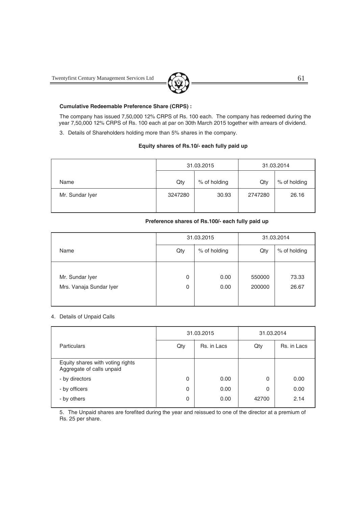

## **Cumulative Redeemable Preference Share (CRPS) :**

The company has issued 7,50,000 12% CRPS of Rs. 100 each. The company has redeemed during the year 7,50,000 12% CRPS of Rs. 100 each at par on 30th March 2015 together with arrears of dividend.

3. Details of Shareholders holding more than 5% shares in the company.

## **Equity shares of Rs.10/- each fully paid up**

|                 |         | 31.03.2015   |         | 31.03.2014   |
|-----------------|---------|--------------|---------|--------------|
| Name            | Qty     | % of holding | Qty     | % of holding |
| Mr. Sundar Iyer | 3247280 | 30.93        | 2747280 | 26.16        |
|                 |         |              |         |              |

#### **Preference shares of Rs.100/- each fully paid up**

|                                            | 31.03.2015 |              | 31.03.2014       |                |
|--------------------------------------------|------------|--------------|------------------|----------------|
| Name                                       | Qty        | % of holding | Qty              | % of holding   |
| Mr. Sundar Iyer<br>Mrs. Vanaja Sundar Iyer | 0<br>0     | 0.00<br>0.00 | 550000<br>200000 | 73.33<br>26.67 |

#### 4. Details of Unpaid Calls

|                                                               | 31.03.2015 |             | 31.03.2014 |             |
|---------------------------------------------------------------|------------|-------------|------------|-------------|
| <b>Particulars</b>                                            | Qty        | Rs. in Lacs | Qty        | Rs. in Lacs |
| Equity shares with voting rights<br>Aggregate of calls unpaid |            |             |            |             |
| - by directors                                                | 0          | 0.00        | 0          | 0.00        |
| - by officers                                                 | 0          | 0.00        | 0          | 0.00        |
| - by others                                                   | 0          | 0.00        | 42700      | 2.14        |

5. The Unpaid shares are forefited during the year and reissued to one of the director at a premium of Rs. 25 per share.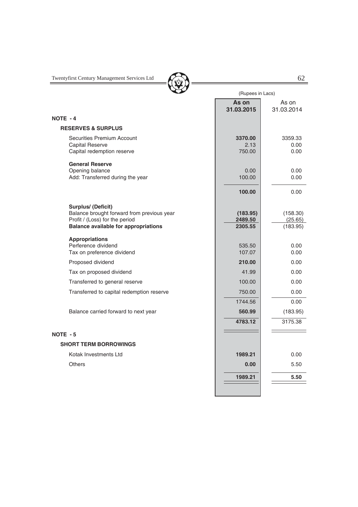|                                                                                                                                                          | (Rupees in Lacs)               |                                 |
|----------------------------------------------------------------------------------------------------------------------------------------------------------|--------------------------------|---------------------------------|
|                                                                                                                                                          | As on<br>31.03.2015            | As on<br>31.03.2014             |
| NOTE - 4                                                                                                                                                 |                                |                                 |
| <b>RESERVES &amp; SURPLUS</b>                                                                                                                            |                                |                                 |
| <b>Securities Premium Account</b><br><b>Capital Reserve</b><br>Capital redemption reserve                                                                | 3370.00<br>2.13<br>750.00      | 3359.33<br>0.00<br>0.00         |
| <b>General Reserve</b><br>Opening balance<br>Add: Transferred during the year                                                                            | 0.00<br>100.00                 | 0.00<br>0.00                    |
|                                                                                                                                                          | 100.00                         | 0.00                            |
| <b>Surplus/ (Deficit)</b><br>Balance brought forward from previous year<br>Profit / (Loss) for the period<br><b>Balance available for appropriations</b> | (183.95)<br>2489.50<br>2305.55 | (158.30)<br>(25.65)<br>(183.95) |
| <b>Appropriations</b><br>Perference dividend<br>Tax on preference dividend                                                                               | 535.50<br>107.07               | 0.00<br>0.00                    |
| Proposed dividend                                                                                                                                        | 210.00                         | 0.00                            |
| Tax on proposed dividend                                                                                                                                 | 41.99                          | 0.00                            |
| Transferred to general reserve                                                                                                                           | 100.00                         | 0.00                            |
| Transferred to capital redemption reserve                                                                                                                | 750.00                         | 0.00                            |
|                                                                                                                                                          | 1744.56                        | 0.00                            |
| Balance carried forward to next year                                                                                                                     | 560.99                         | (183.95)                        |
|                                                                                                                                                          | 4783.12                        | 3175.38                         |
| NOTE - 5                                                                                                                                                 |                                |                                 |
| <b>SHORT TERM BORROWINGS</b>                                                                                                                             |                                |                                 |
| Kotak Investments Ltd                                                                                                                                    | 1989.21                        | 0.00                            |
| <b>Others</b>                                                                                                                                            | 0.00                           | 5.50                            |
|                                                                                                                                                          | 1989.21                        | 5.50                            |
|                                                                                                                                                          |                                |                                 |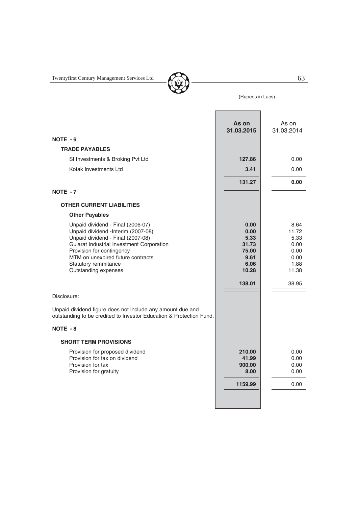

(Rupees in Lacs)

| NOTE - 6                                                                                                                                                                                                                                                                                                                                                                                                                        | As on<br>31.03.2015                                                       | As on<br>31.03.2014                                                     |
|---------------------------------------------------------------------------------------------------------------------------------------------------------------------------------------------------------------------------------------------------------------------------------------------------------------------------------------------------------------------------------------------------------------------------------|---------------------------------------------------------------------------|-------------------------------------------------------------------------|
| <b>TRADE PAYABLES</b>                                                                                                                                                                                                                                                                                                                                                                                                           |                                                                           |                                                                         |
| SI Investments & Broking Pvt Ltd                                                                                                                                                                                                                                                                                                                                                                                                | 127.86                                                                    | 0.00                                                                    |
| Kotak Investments Ltd                                                                                                                                                                                                                                                                                                                                                                                                           | 3.41                                                                      | 0.00                                                                    |
|                                                                                                                                                                                                                                                                                                                                                                                                                                 | 131.27                                                                    | 0.00                                                                    |
| NOTE - 7                                                                                                                                                                                                                                                                                                                                                                                                                        |                                                                           |                                                                         |
| <b>OTHER CURRENT LIABILITIES</b>                                                                                                                                                                                                                                                                                                                                                                                                |                                                                           |                                                                         |
| <b>Other Payables</b>                                                                                                                                                                                                                                                                                                                                                                                                           |                                                                           |                                                                         |
| Unpaid dividend - Final (2006-07)<br>Unpaid dividend -Interim (2007-08)<br>Unpaid dividend - Final (2007-08)<br>Gujarat Industrial Investment Corporation<br>Provision for contingency<br>MTM on unexpired future contracts<br>Statutory remmitance<br>Outstanding expenses<br>Disclosure:<br>Unpaid dividend figure does not include any amount due and<br>outstanding to be credited to Investor Education & Protection Fund. | 0.00<br>0.00<br>5.33<br>31.73<br>75.00<br>9.61<br>6.06<br>10.28<br>138.01 | 8.64<br>11.72<br>5.33<br>0.00<br>0.00<br>0.00<br>1.88<br>11.38<br>38.95 |
| NOTE - 8                                                                                                                                                                                                                                                                                                                                                                                                                        |                                                                           |                                                                         |
| <b>SHORT TERM PROVISIONS</b>                                                                                                                                                                                                                                                                                                                                                                                                    |                                                                           |                                                                         |
| Provision for proposed dividend<br>Provision for tax on dividend<br>Provision for tax<br>Provision for gratuity                                                                                                                                                                                                                                                                                                                 | 210.00<br>41.99<br>900.00<br>8.00<br>1159.99                              | 0.00<br>0.00<br>0.00<br>0.00<br>0.00                                    |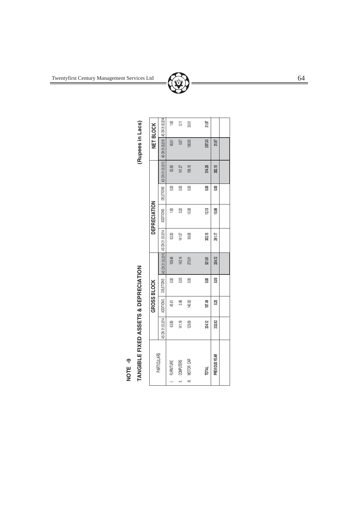| ၐု |  |
|----|--|
| Ц  |  |
| t  |  |

| TANGIBLE FIXED ASSETS & DEPRECIATION |                  |                  |                  |                  |                  |                  |                  |                  | (Rupees in Lacs)                  |                   |
|--------------------------------------|------------------|------------------|------------------|------------------|------------------|------------------|------------------|------------------|-----------------------------------|-------------------|
|                                      |                  |                  | GROSS BLOCK      |                  |                  | DEPRECIATION     |                  |                  |                                   | NET BLOCK         |
| <b>PARTICULARS</b>                   | AS ON 31.03.2014 | <b>ADDITIONS</b> | <b>DELETIONS</b> | AS ON 31.03.2015 | AS ON 31.03.2014 | <b>ADDITIONS</b> | <b>DELETIONS</b> | AS ON 31.03.2015 | AS ON 31.03.2015 AS ON 31.03.2014 |                   |
| <b>FURNITURE</b>                     | 63.85            | 45.61            | 0.00             | 109.46           | 62.00            | 1.85             | 0.00             | 63.85            | 45.61                             | æ.                |
| <b>COMPUTERS</b><br>═                | 141.18           | 0.96             | 0.00             | 142.14           | 141.07           | 0.20             | 0.00             | 141.27           | 0.87                              | $\overline{0.11}$ |
| MOTOR CAR<br>≡                       | 129.09           | 140.92           | 0.00             | 270.01           | 99.08            | 10.08            | 0.00             | 109.16           | 160.85                            | 30.01             |
| <b>TOTAL</b>                         | 334.12           | 187.49           | 0.00             | 521.61           | 302.15           | 12.13            | <b>0.00</b>      | 314.28           | 207.33                            | 31.97             |
| PREVIOUS YEAR                        | 333.92           | <b>Q.20</b>      | 0.00             | 334.12           | 291.17           | 10.98            | 8.00             | 302.15           | 31.97                             |                   |
|                                      |                  |                  |                  |                  |                  |                  |                  |                  |                                   |                   |

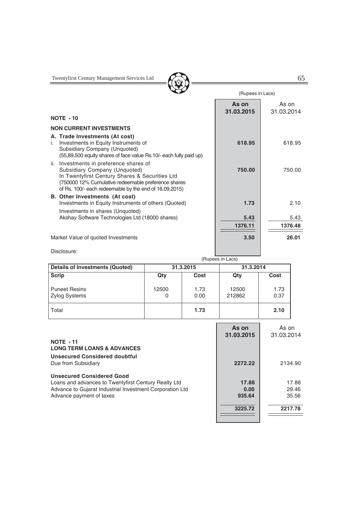| Twentyfirst Century Management Services Ltd                                                                                                                                                                                                 |                     | 65                  |
|---------------------------------------------------------------------------------------------------------------------------------------------------------------------------------------------------------------------------------------------|---------------------|---------------------|
|                                                                                                                                                                                                                                             | (Rupees in Lacs)    |                     |
|                                                                                                                                                                                                                                             | As on<br>31.03.2015 | As on<br>31.03.2014 |
| $NOTE - 10$                                                                                                                                                                                                                                 |                     |                     |
| <b>NON CURRENT INVESTMENTS</b>                                                                                                                                                                                                              |                     |                     |
| A. Trade Investments (At cost)<br>Investments in Equity Instruments of<br>i.<br>Subsidiary Company (Unquoted)<br>(55,89,500 equity shares of face value Rs.10/- each fully paid up)                                                         | 618.95              | 618.95              |
| ii. Investments in preference shares of<br>Subsidiary Company (Unquoted)<br>In Twentyfirst Century Shares & Securities Ltd<br>(750000 12% Cumulative redeemable preference shares<br>of Rs. 100/- each redeemable by the end of 16.09.2015) | 750.00              | 750.00              |
| <b>B.</b> Other Investments (At cost)<br>Investments in Equity Instruments of others (Quoted)                                                                                                                                               | 1.73                | 2.10                |
| Investments in shares (Unquoted)<br>Akshay Software Technologies Ltd (18000 shares)                                                                                                                                                         | 5.43<br>1376.11     | 5.43<br>1376.48     |
| Market Value of guoted Investments                                                                                                                                                                                                          | 3.50                | 26.01               |
| Disclosure:                                                                                                                                                                                                                                 |                     |                     |

|                                                                                                   | (Rupees in Lacs) |              |                     |                     |
|---------------------------------------------------------------------------------------------------|------------------|--------------|---------------------|---------------------|
| 31.3.2015<br>Details of Investments (Quoted)                                                      |                  | 31.3.2014    |                     |                     |
| <b>Scrip</b>                                                                                      | Qty              | Cost         | Qty                 | Cost                |
| <b>Puneet Resins</b><br>Zylog Systems                                                             | 12500<br>0       | 1.73<br>0.00 | 12500<br>212862     | 1.73<br>0.37        |
| Total                                                                                             |                  | 1.73         |                     | 2.10                |
|                                                                                                   |                  |              | As on<br>31.03.2015 | As on<br>31.03.2014 |
| <b>NOTE - 11</b><br><b>LONG TERM LOANS &amp; ADVANCES</b><br><b>Unsecured Considered doubtful</b> |                  |              |                     |                     |

## **Unsecured Considered Good**

Loans and advances to Twentyfirst Century Realty Ltd **17.86**<br>Advance to Gujarat Industrial Investment Corporation Ltd **17.86 17.86 17.86 17.86 17.86 17.86** Advance to Gujarat Industrial Investment Corporation Ltd **0.00** 29.46 Advance payment of taxes **1935.64** 35.56

**Due from Subsidiary 19 2272.22** 2134.90 **3225.72 2217.78**

 $\frac{1}{\sqrt{2}}$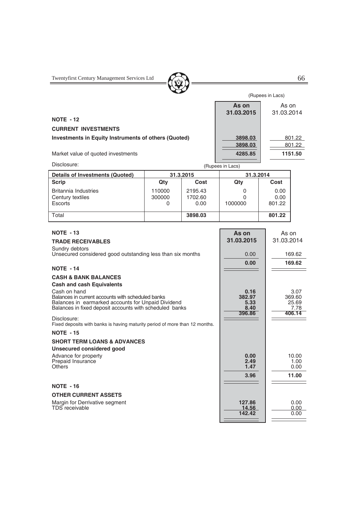| <b>Twentyfirst Century Management Services Ltd</b><br>∨∙ |                     | 66                  |
|----------------------------------------------------------|---------------------|---------------------|
|                                                          |                     | (Rupees in Lacs)    |
|                                                          | As on<br>31.03.2015 | As on<br>31.03.2014 |
| <b>NOTE - 12</b>                                         |                     |                     |
| <b>CURRENT INVESTMENTS</b>                               |                     |                     |
| Investments in Equity Instruments of others (Quoted)     | 3898.03             | 801.22              |
|                                                          | 3898.03             | 801.22              |
| Market value of quoted investments                       | 4285.85             | 1151.50             |
| Disclosure:                                              | (Rupees in Lacs)    |                     |

| Details of Investments (Quoted)                                   | 31.3.2015             |                            | 31.3.2014    |                        |
|-------------------------------------------------------------------|-----------------------|----------------------------|--------------|------------------------|
| <b>Scrip</b>                                                      | Qty                   | Cost                       | Qty          | Cost                   |
| <b>Britannia Industries</b><br>Century textiles<br><b>Escorts</b> | 110000<br>300000<br>0 | 2195.43<br>1702.60<br>0.00 | 0<br>1000000 | 0.00<br>0.00<br>801.22 |
| Total                                                             |                       | 3898.03                    |              | 801.22                 |

| $NOTE - 13$                                                                                                                                                                                                                                                              | As on                                    | As on                                     |
|--------------------------------------------------------------------------------------------------------------------------------------------------------------------------------------------------------------------------------------------------------------------------|------------------------------------------|-------------------------------------------|
| <b>TRADE RECEIVABLES</b>                                                                                                                                                                                                                                                 | 31.03.2015                               | 31.03.2014                                |
| Sundry debtors<br>Unsecured considered good outstanding less than six months                                                                                                                                                                                             | 0.00                                     | 169.62                                    |
| <b>NOTE - 14</b>                                                                                                                                                                                                                                                         | 0.00                                     | 169.62                                    |
| <b>CASH &amp; BANK BALANCES</b><br><b>Cash and cash Equivalents</b><br>Cash on hand<br>Balances in current accounts with scheduled banks<br>Balances in earmarked accounts for Unpaid Dividend<br>Balances in fixed deposit accounts with scheduled banks<br>Disclosure: | 0.16<br>382.97<br>5.33<br>8.40<br>396.86 | 3.07<br>369.60<br>25.69<br>7.78<br>406.14 |
| Fixed deposits with banks is having maturity period of more than 12 months.                                                                                                                                                                                              |                                          |                                           |
| <b>NOTE - 15</b>                                                                                                                                                                                                                                                         |                                          |                                           |
| <b>SHORT TERM LOANS &amp; ADVANCES</b>                                                                                                                                                                                                                                   |                                          |                                           |
| Unsecured considered good                                                                                                                                                                                                                                                |                                          |                                           |
| Advance for property<br>Prepaid Insurance<br><b>Others</b>                                                                                                                                                                                                               | 0.00<br>2.49<br>1.47<br>3.96             | 10.00<br>1.00<br>0.00<br>11.00            |
| <b>NOTE - 16</b>                                                                                                                                                                                                                                                         |                                          |                                           |
| <b>OTHER CURRENT ASSETS</b><br>Margin for Derrivative segment<br><b>TDS</b> receivable                                                                                                                                                                                   | 127.86<br>14.56<br>142.42                | 0.00<br>0.00<br>0.00                      |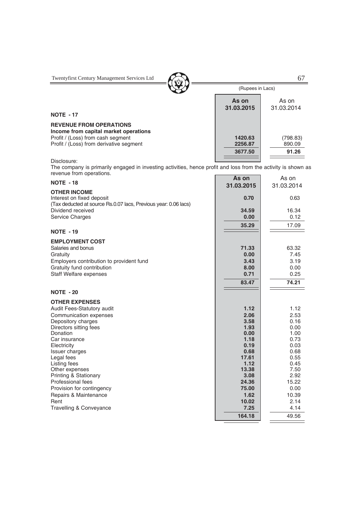| <b>Twentyfirst Century Management Services Ltd</b>                           |                               | 67                          |
|------------------------------------------------------------------------------|-------------------------------|-----------------------------|
|                                                                              | (Rupees in Lacs)              |                             |
| <b>NOTE - 17</b>                                                             | As on<br>31.03.2015           | As on<br>31.03.2014         |
| <b>REVENUE FROM OPERATIONS</b><br>Income from capital market operations      |                               |                             |
| Profit / (Loss) from cash segment<br>Profit / (Loss) from derivative segment | 1420.63<br>2256.87<br>3677.50 | (798.83)<br>890.09<br>91.26 |
| Disclosure:                                                                  |                               |                             |

Disclosure:

The company is primarily engaged in investing activities, hence profit and loss from the activity is shown as

| revenue from operations.                                                                                            |                     |                     |
|---------------------------------------------------------------------------------------------------------------------|---------------------|---------------------|
| <b>NOTE - 18</b>                                                                                                    | As on<br>31.03.2015 | As on<br>31.03.2014 |
| <b>OTHER INCOME</b><br>Interest on fixed deposit<br>(Tax deducted at source Rs.0.07 lacs, Previous year: 0.06 lacs) | 0.70                | 0.63                |
| Dividend received                                                                                                   | 34.59               | 16.34               |
| Service Charges                                                                                                     | 0.00                | 0.12                |
|                                                                                                                     | 35.29               | 17.09               |
| <b>NOTE - 19</b>                                                                                                    |                     |                     |
| <b>EMPLOYMENT COST</b>                                                                                              |                     |                     |
| Salaries and bonus                                                                                                  | 71.33               | 63.32               |
| Gratuity                                                                                                            | 0.00                | 7.45                |
| Employers contribution to provident fund                                                                            | 3.43                | 3.19                |
| Gratuity fund contribution                                                                                          | 8.00                | 0.00                |
| Staff Welfare expenses                                                                                              | 0.71                | 0.25                |
|                                                                                                                     | 83.47               | 74.21               |
| <b>NOTE - 20</b>                                                                                                    |                     |                     |
|                                                                                                                     |                     |                     |
| <b>OTHER EXPENSES</b>                                                                                               |                     |                     |
| Audit Fees-Statutory audit                                                                                          | 1.12                | 1.12                |
| Communication expenses                                                                                              | 2.06                | 2.53                |
| Depository charges<br>Directors sitting fees                                                                        | 3.58<br>1.93        | 0.16<br>0.00        |
| Donation                                                                                                            | 0.00                | 1.00                |
| Car insurance                                                                                                       | 1.18                | 0.73                |
| Electricity                                                                                                         | 0.19                | 0.03                |
| Issuer charges                                                                                                      | 0.68                | 0.68                |
| Legal fees                                                                                                          | 17.61               | 0.55                |
| Listing fees                                                                                                        | 1.12                | 0.45                |
| Other expenses                                                                                                      | 13.38               | 7.50                |
| Printing & Stationary                                                                                               | 3.08                | 2.92                |
| Professional fees                                                                                                   | 24.36               | 15.22               |
| Provision for contingency                                                                                           | 75.00<br>1.62       | 0.00<br>10.39       |
| Repairs & Maintenance<br>Rent                                                                                       | 10.02               | 2.14                |
| Travelling & Conveyance                                                                                             | 7.25                | 4.14                |
|                                                                                                                     |                     |                     |
|                                                                                                                     | 164.18              | 49.56               |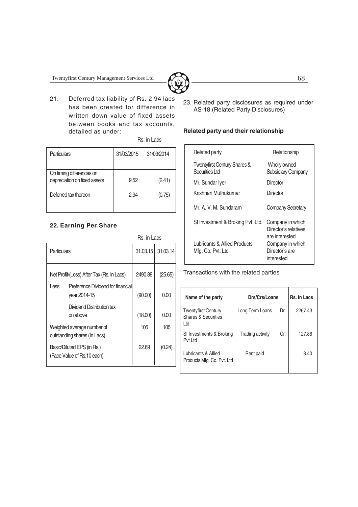

21. Deferred tax liability of Rs. 2.94 lacs has been created for difference in written down value of fixed assets between books and tax accounts, detailed as under:

|                                                          | Rs. in Lacs |            |  |
|----------------------------------------------------------|-------------|------------|--|
| Particulars                                              | 31/03/2015  | 31/03/2014 |  |
| On timing differences on<br>depreciation on fixed assets | 9.52        | (2.41)     |  |
| Deferred tax thereon                                     | 2.94        | (0.75)     |  |

# **22. Earning Per Share**

|                                                          |                                                            | Rs. in Lacs |          |
|----------------------------------------------------------|------------------------------------------------------------|-------------|----------|
| Particulars                                              |                                                            | 31.03.15    | 31.03.14 |
|                                                          | Net Profit/(Loss) After Tax (Rs. in Lacs)                  | 2490.89     | (25.65)  |
| Less:                                                    | Preference Dividend for financial<br>vear 2014-15          | (90.00)     | 0.00     |
|                                                          | Dividend Distribution tax<br>on above                      | (18.00)     | 0.00     |
|                                                          | Weighted average number of<br>outstanding shares (In Lacs) | 105         | 105      |
| Basic/Diluted EPS (in Rs.)<br>(Face Value of Rs.10 each) |                                                            | 22.69       | (0.24)   |

23. Related party disclosures as required under AS-18 (Related Party Disclosures)

# **Related party and their relationship**

| Related party                                             | Relationship                                                       |
|-----------------------------------------------------------|--------------------------------------------------------------------|
| <b>Twentyfirst Century Shares &amp;</b><br>Securities Ltd | Wholly owned<br><b>Subsidiary Company</b>                          |
| Mr. Sundar Iyer                                           | Director                                                           |
| Krishnan Muthukumar                                       | Director                                                           |
| Mr. A. V. M. Sundaram                                     | <b>Company Secretary</b>                                           |
| SI Investment & Broking Pvt. Ltd.                         | Company in which<br>Director's relatives                           |
| Lubricants & Allied Products<br>Mfg. Co. Pvt. Ltd         | are interested<br>Company in which<br>Director's are<br>interested |

Transactions with the related parties

| Name of the party                                                   | Drs/Crs/Loans           |     | Rs. In Lacs |
|---------------------------------------------------------------------|-------------------------|-----|-------------|
| <b>Twentyfirst Century</b><br><b>Shares &amp; Securities</b><br>Ltd | Long Term Loans         | Dr. | 2267.43     |
| SI Investments & Broking<br>Pvt I td                                | <b>Trading activity</b> | Cr. | 127.86      |
| Lubricants & Allied<br>Products Mfg. Co. Pvt. Ltd                   | Rent paid               |     | 8.40        |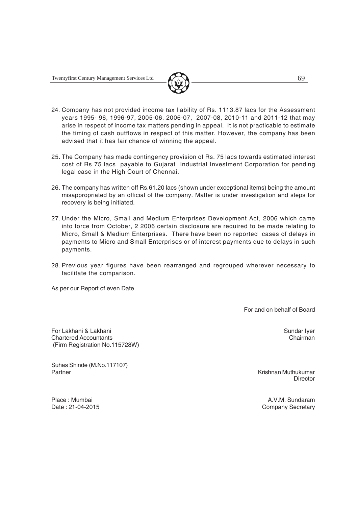- 24. Company has not provided income tax liability of Rs. 1113.87 lacs for the Assessment years 1995- 96, 1996-97, 2005-06, 2006-07, 2007-08, 2010-11 and 2011-12 that may arise in respect of income tax matters pending in appeal. It is not practicable to estimate the timing of cash outflows in respect of this matter. However, the company has been advised that it has fair chance of winning the appeal.
- 25. The Company has made contingency provision of Rs. 75 lacs towards estimated interest cost of Rs 75 lacs payable to Gujarat Industrial Investment Corporation for pending legal case in the High Court of Chennai.
- 26. The company has written off Rs.61.20 lacs (shown under exceptional items) being the amount misappropriated by an official of the company. Matter is under investigation and steps for recovery is being initiated.
- 27. Under the Micro, Small and Medium Enterprises Development Act, 2006 which came into force from October, 2 2006 certain disclosure are required to be made relating to Micro, Small & Medium Enterprises. There have been no reported cases of delays in payments to Micro and Small Enterprises or of interest payments due to delays in such payments.
- 28. Previous year figures have been rearranged and regrouped wherever necessary to facilitate the comparison.

As per our Report of even Date

For and on behalf of Board

For Lakhani & Lakhani Number of The Sundar Iyer Sundar Iyer Sundar Iyer Chartered Accountants **Chairman** Chairman Chairman Chairman Chairman Chairman Chairman Chairman Chairman Chairman (Firm Registration No.115728W)

Suhas Shinde (M.No.117107) Partner Krishnan Muthukumar Krishnan Muthukumar Krishnan Muthukumar Krishnan Muthukumar

**Director** 

Place : Mumbai **A.V.M. Sundaram** Date : 21-04-2015 Company Secretary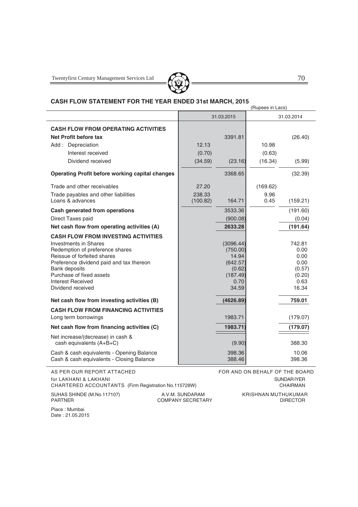

#### **CASH FLOW STATEMENT FOR THE YEAR ENDED 31st MARCH, 2015**

|                                                                                        | (Rupees in Lacs) |                   |          |                 |
|----------------------------------------------------------------------------------------|------------------|-------------------|----------|-----------------|
|                                                                                        |                  | 31.03.2015        |          | 31.03.2014      |
| <b>CASH FLOW FROM OPERATING ACTIVITIES</b>                                             |                  |                   |          |                 |
| Net Profit before tax                                                                  |                  | 3391.81           |          | (26.40)         |
| Add: Depreciation                                                                      | 12.13            |                   | 10.98    |                 |
| Interest received                                                                      | (0.70)           |                   | (0.63)   |                 |
| Dividend received                                                                      | (34.59)          | (23.16)           | (16.34)  | (5.99)          |
| <b>Operating Profit before working capital changes</b>                                 |                  | 3368.65           |          | (32.39)         |
| Trade and other receivables                                                            | 27.20            |                   | (169.62) |                 |
| Trade payables and other liabilities                                                   | 238.33           |                   | 9.96     |                 |
| Loans & advances                                                                       | (100.82)         | 164.71            | 0.45     | (159.21)        |
| Cash generated from operations                                                         |                  | 3533.36           |          | (191.60)        |
| Direct Taxes paid                                                                      |                  | (900.08)          |          | (0.04)          |
| Net cash flow from operating activities (A)                                            |                  | 2633.28           |          | (191.64)        |
| <b>CASH FLOW FROM INVESTING ACTIVITIES</b>                                             |                  |                   |          |                 |
| <b>Investments in Shares</b>                                                           |                  | (3096.44)         |          | 742.81          |
| Redemption of preference shares<br>Reissue of forfeited shares                         |                  | (750.00)<br>14.94 |          | 0.00<br>0.00    |
| Preference dividend paid and tax thereon                                               |                  | (642.57)          |          | 0.00            |
| <b>Bank deposits</b>                                                                   |                  | (0.62)            |          | (0.57)          |
| Purchase of fixed assets                                                               |                  | (187.49)          |          | (0.20)          |
| <b>Interest Received</b><br>Dividend received                                          |                  | 0.70<br>34.59     |          | 0.63<br>16.34   |
|                                                                                        |                  |                   |          |                 |
| Net cash flow from investing activities (B)                                            |                  | (4626.89)         |          | 759.01          |
| <b>CASH FLOW FROM FINANCING ACTIVITIES</b>                                             |                  |                   |          |                 |
| Long term borrowings                                                                   |                  | 1983.71           |          | (179.07)        |
| Net cash flow from financing activities (C)                                            |                  | 1983.71           |          | (179.07)        |
| Net increase/(decrease) in cash &<br>cash equivalents (A+B+C)                          |                  | (9.90)            |          | 388.30          |
| Cash & cash equivalents - Opening Balance<br>Cash & cash equivalents - Closing Balance |                  | 398.36<br>388.46  |          | 10.06<br>398.36 |

AS PER OUR REPORT ATTACHED FOR AND ON BEHALF OF THE BOARD for LAKHANI & LAKHANI<br>CHARTERED ACCOUNTANTS (Firm Registration No.115728W) CHARTERED ACCOUNTANTS (Firm Registration No.115728W) CHARTERED ACCOUNTANTS (Firm Registration No.115728W)

SUHAS SHINDE (M.No.117107) A.V.M. SUNDARAM KRISHNAN MUTHUKUMAR<br>PARTNER DIRECTOR COMPANY SECRETARY COMPANY SECRETARY DIRECTOR

Place : Mumbai Date : 21.05.2015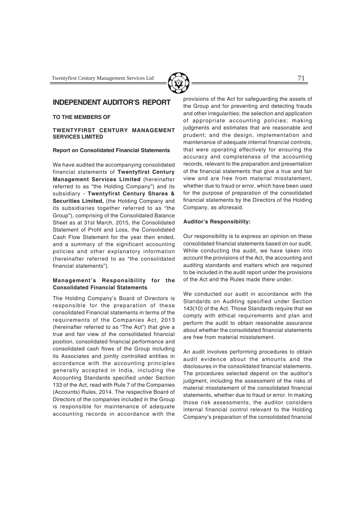

## **INDEPENDENT AUDITOR'S REPORT**

**TO THE MEMBERS OF**

#### **TWENTYFIRST CENTURY MANAGEMENT SERVICES LIMITED**

#### **Report on Consolidated Financial Statements**

We have audited the accompanying consolidated financial statements of **Twentyfirst Century Management Services Limited** (hereinafter referred to as "the Holding Company") and its subsidiary - **Twentyfirst Century Shares & Securities Limited,** (the Holding Company and its subsidiaries together referred to as "the Group"), comprising of the Consolidated Balance Sheet as at 31st March, 2015, the Consolidated Statement of Profit and Loss, the Consolidated Cash Flow Statement for the year then ended, and a summary of the significant accounting policies and other explanatory information (hereinafter referred to as "the consolidated financial statements").

#### **Management's Responsibility for the Consolidated Financial Statements**

The Holding Company's Board of Directors is responsible for the preparation of these consolidated Financial statements in terms of the requirements of the Companies Act, 2013 (hereinafter referred to as "The Act") that give a true and fair view of the consolidated financial position, consolidated financial performance and consolidated cash flows of the Group including its Associates and jointly controlled entities in accordance with the accounting principles generally accepted in India, including the Accounting Standards specified under Section 133 of the Act, read with Rule 7 of the Companies (Accounts) Rules, 2014. The respective Board of Directors of the companies included in the Group is responsible for maintenance of adequate accounting records in accordance with the

provisions of the Act for safeguarding the assets of the Group and for preventing and detecting frauds and other irregularities; the selection and application of appropriate accounting policies; making judgments and estimates that are reasonable and prudent; and the design, implementation and maintenance of adequate internal financial controls, that were operating effectively for ensuring the accuracy and completeness of the accounting records, relevant to the preparation and presentation of the financial statements that give a true and fair view and are free from material misstatement, whether due to fraud or error, which have been used for the purpose of preparation of the consolidated financial statements by the Directors of the Holding Company, as aforesaid.

#### **Auditor's Responsibility:**

Our responsibility is to express an opinion on these consolidated financial statements based on our audit. While conducting the audit, we have taken into account the provisions of the Act, the accounting and auditing standards and matters which are required to be included in the audit report under the provisions of the Act and the Rules made there under.

We conducted our audit in accordance with the Standards on Auditing specified under Section 143(10) of the Act. Those Standards require that we comply with ethical requirements and plan and perform the audit to obtain reasonable assurance about whether the consolidated financial statements are free from material misstatement.

An audit involves performing procedures to obtain audit evidence about the amounts and the disclosures in the consolidated financial statements. The procedures selected depend on the auditor's judgment, including the assessment of the risks of material misstatement of the consolidated financial statements, whether due to fraud or error. In making those risk assessments, the auditor considers internal financial control relevant to the Holding Company's preparation of the consolidated financial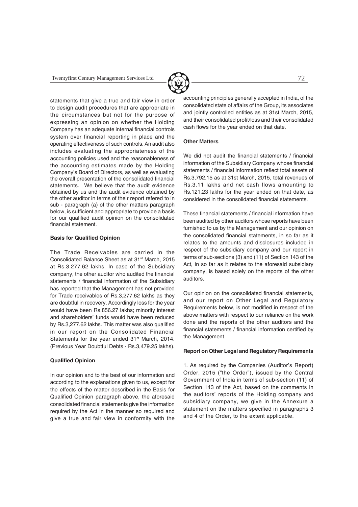Twentyfirst Century Management Services Ltd  $\sqrt{2\Delta}$  72



statements that give a true and fair view in order to design audit procedures that are appropriate in the circumstances but not for the purpose of expressing an opinion on whether the Holding Company has an adequate internal financial controls system over financial reporting in place and the operating effectiveness of such controls. An audit also includes evaluating the appropriateness of the accounting policies used and the reasonableness of the accounting estimates made by the Holding Company's Board of Directors, as well as evaluating the overall presentation of the consolidated financial statements. We believe that the audit evidence obtained by us and the audit evidence obtained by the other auditor in terms of their report refered to in sub - paragraph (a) of the other matters paragraph below, is sufficient and appropriate to provide a basis for our qualified audit opinion on the consolidated financial statement.

#### **Basis for Qualified Opinion**

The Trade Receivables are carried in the Consolidated Balance Sheet as at 31<sup>st</sup> March, 2015 at Rs.3,277.62 lakhs. In case of the Subsidiary company, the other auditor who audited the financial statements / financial information of the Subsidiary has reported that the Management has not provided for Trade receivables of Rs.3,277.62 lakhs as they are doubtful in recovery. Accordingly loss for the year would have been Rs.856.27 lakhs; minority interest and shareholders' funds would have been reduced by Rs.3,277.62 lakhs. This matter was also qualified in our report on the Consolidated Financial Statements for the year ended 31<sup>st</sup> March, 2014. (Previous Year Doubtful Debts - Rs.3,479.25 lakhs).

#### **Qualified Opinion**

In our opinion and to the best of our information and according to the explanations given to us, except for the effects of the matter described in the Basis for Qualified Opinion paragraph above, the aforesaid consolidated financial statements give the information required by the Act in the manner so required and give a true and fair view in conformity with the

accounting principles generally accepted in India, of the consolidated state of affairs of the Group, its associates and jointly controlled entities as at 31st March, 2015, and their consolidated profit/loss and their consolidated cash flows for the year ended on that date.

#### **Other Matters**

We did not audit the financial statements / financial information of the Subsidiary Company whose financial statements / financial information reflect total assets of Rs.3,792.15 as at 31st March, 2015, total revenues of Rs.3.11 lakhs and net cash flows amounting to Rs.121.23 lakhs for the year ended on that date, as considered in the consolidated financial statements.

These financial statements / financial information have been audited by other auditors whose reports have been furnished to us by the Management and our opinion on the consolidated financial statements, in so far as it relates to the amounts and disclosures included in respect of the subsidiary company and our report in terms of sub-sections (3) and (11) of Section 143 of the Act, in so far as it relates to the aforesaid subsidiary company, is based solely on the reports of the other auditors.

Our opinion on the consolidated financial statements, and our report on Other Legal and Regulatory Requirements below, is not modified in respect of the above matters with respect to our reliance on the work done and the reports of the other auditors and the financial statements / financial information certified by the Management.

#### **Report on Other Legal and Regulatory Requirements**

1. As required by the Companies (Auditor's Report) Order, 2015 ("the Order"), issued by the Central Government of India in terms of sub-section (11) of Section 143 of the Act, based on the comments in the auditors' reports of the Holding company and subsidiary company, we give in the Annexure a statement on the matters specified in paragraphs 3 and 4 of the Order, to the extent applicable.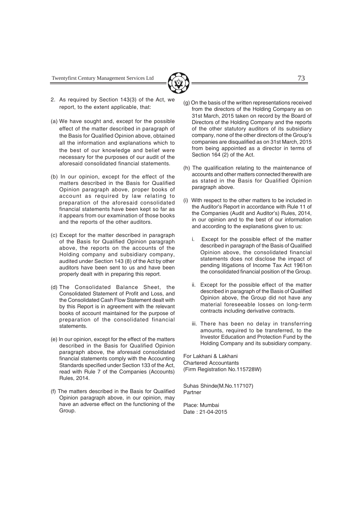

- 2. As required by Section 143(3) of the Act, we report, to the extent applicable, that:
- (a) We have sought and, except for the possible effect of the matter described in paragraph of the Basis for Qualified Opinion above, obtained all the information and explanations which to the best of our knowledge and belief were necessary for the purposes of our audit of the aforesaid consolidated financial statements.
- (b) In our opinion, except for the effect of the matters described in the Basis for Qualified Opinion paragraph above, proper books of account as required by law relating to preparation of the aforesaid consolidated financial statements have been kept so far as it appears from our examination of those books and the reports of the other auditors.
- (c) Except for the matter described in paragraph of the Basis for Qualified Opinion paragraph above, the reports on the accounts of the Holding company and subsidiary company, audited under Section 143 (8) of the Act by other auditors have been sent to us and have been properly dealt with in preparing this report.
- (d) The Consolidated Balance Sheet, the Consolidated Statement of Profit and Loss, and the Consolidated Cash Flow Statement dealt with by this Report is in agreement with the relevant books of account maintained for the purpose of preparation of the consolidated financial statements.
- (e) In our opinion, except for the effect of the matters described in the Basis for Qualified Opinion paragraph above, the aforesaid consolidated financial statements comply with the Accounting Standards specified under Section 133 of the Act, read with Rule 7 of the Companies (Accounts) Rules, 2014.
- (f) The matters described in the Basis for Qualified Opinion paragraph above, in our opinion, may have an adverse effect on the functioning of the Group.
- (g) On the basis of the written representations received from the directors of the Holding Company as on 31st March, 2015 taken on record by the Board of Directors of the Holding Company and the reports of the other statutory auditors of its subsidiary company, none of the other directors of the Group's companies are disqualified as on 31st March, 2015 from being appointed as a director in terms of Section 164 (2) of the Act.
- (h) The qualification relating to the maintenance of accounts and other matters connected therewith are as stated in the Basis for Qualified Opinion paragraph above.
- (i) With respect to the other matters to be included in the Auditor's Report in accordance with Rule 11 of the Companies (Audit and Auditor's) Rules, 2014, in our opinion and to the best of our information and according to the explanations given to us:
	- i. Except for the possible effect of the matter described in paragraph of the Basis of Qualified Opinion above, the consolidated financial statements does not disclose the impact of pending litigations of Income Tax Act 1961on the consolidated financial position of the Group.
	- ii. Except for the possible effect of the matter described in paragraph of the Basis of Qualified Opinion above, the Group did not have any material foreseeable losses on long-term contracts including derivative contracts.
	- iii. There has been no delay in transferring amounts, required to be transferred, to the Investor Education and Protection Fund by the Holding Company and its subsidiary company.

For Lakhani & Lakhani Chartered Accountants (Firm Registration No.115728W)

Suhas Shinde(M.No.117107) Partner

Place: Mumbai Date : 21-04-2015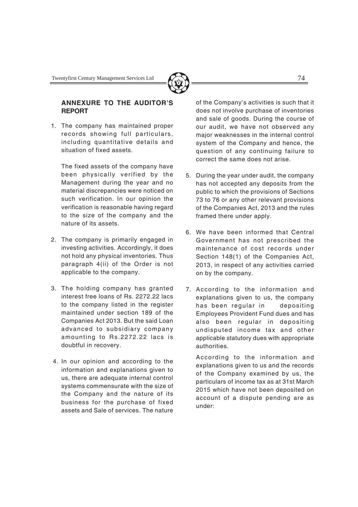

# **ANNEXURE TO THE AUDITOR'S REPORT**

1. The company has maintained proper records showing full particulars, including quantitative details and situation of fixed assets.

The fixed assets of the company have been physically verified by the Management during the year and no material discrepancies were noticed on such verification. In our opinion the verification is reasonable having regard to the size of the company and the nature of its assets.

- 2. The company is primarily engaged in investing activities. Accordingly, it does not hold any physical inventories. Thus paragraph 4(ii) of the Order is not applicable to the company.
- 3. The holding company has granted interest free loans of Rs. 2272.22 lacs to the company listed in the register maintained under section 189 of the Companies Act 2013. But the said Loan advanced to subsidiary company amounting to Rs.2272.22 lacs is doubtful in recovery.
- 4. In our opinion and according to the information and explanations given to us, there are adequate internal control systems commensurate with the size of the Company and the nature of its business for the purchase of fixed assets and Sale of services. The nature

of the Company's activities is such that it does not involve purchase of inventories and sale of goods. During the course of our audit, we have not observed any major weaknesses in the internal control system of the Company and hence, the question of any continuing failure to correct the same does not arise.

- 5. During the year under audit, the company has not accepted any deposits from the public to which the provisions of Sections 73 to 76 or any other relevant provisions of the Companies Act, 2013 and the rules framed there under apply.
- 6. We have been informed that Central Government has not prescribed the maintenance of cost records under Section 148(1) of the Companies Act, 2013, in respect of any activities carried on by the company.
- 7. According to the information and explanations given to us, the company has been regular in depositing Employees Provident Fund dues and has also been regular in depositing undisputed income tax and other applicable statutory dues with appropriate authorities.

According to the information and explanations given to us and the records of the Company examined by us, the particulars of income tax as at 31st March 2015 which have not been deposited on account of a dispute pending are as under: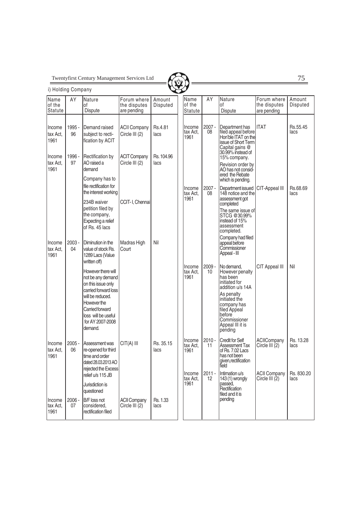| Twentyfirst Century Management Services Ltd |                |                                                                                                                                                                                                   |                                            |                           |                                  | 75             |                                                                                                                                                                                                       |                                            |                           |
|---------------------------------------------|----------------|---------------------------------------------------------------------------------------------------------------------------------------------------------------------------------------------------|--------------------------------------------|---------------------------|----------------------------------|----------------|-------------------------------------------------------------------------------------------------------------------------------------------------------------------------------------------------------|--------------------------------------------|---------------------------|
| i) Holding Company                          |                |                                                                                                                                                                                                   |                                            |                           |                                  |                |                                                                                                                                                                                                       |                                            |                           |
| Name<br>of the<br>Statute                   | AY             | Nature<br>of<br><b>Dispute</b>                                                                                                                                                                    | Forum where<br>the disputes<br>are pending | Amount<br><b>Disputed</b> | Name<br>of the<br><b>Statute</b> | AY             | Nature<br>οf<br><b>Dispute</b>                                                                                                                                                                        | Forum where<br>the disputes<br>are pending | Amount<br><b>Disputed</b> |
| Income<br>tax Act,<br>1961                  | 1995 -<br>96   | Demand raised<br>subject to recti-<br>fication by ACIT                                                                                                                                            | <b>ACII Company</b><br>Circle III (2)      | Rs.4.81<br>lacs           | Income<br>tax Act.<br>1961       | $2007 -$<br>08 | Department has<br>filed appeal before<br>Hon'ble ITAT on the<br>issue of Short Term<br>Capital gains @<br>30.99% instead of                                                                           | <b>ITAT</b>                                | Rs.55.45<br>lacs          |
| <b>I</b> ncome<br>tax Act.<br>1961          | 1996 -<br>97   | Rectification by<br>AO raised a<br>demand                                                                                                                                                         | <b>ACIT Company</b><br>Circle III (2)      | Rs. 104.96<br>lacs        |                                  |                | 15% company.<br>Revision order by<br>AO has not consid-<br>ered the Rebate                                                                                                                            |                                            |                           |
|                                             |                | Company has to<br>file rectification for<br>the interest working<br>234B waiver                                                                                                                   | CCIT- I, Chennai                           |                           | Income<br>tax Act.<br>1961       | $2007 -$<br>08 | which is pending.<br>Department issued<br>148 notice and the<br>assessment got<br>completed                                                                                                           | CIT-Appeal III                             | Rs.68.69<br>lacs          |
|                                             |                | petition filed by<br>the company,<br>Expecting a relief<br>of Rs. 45 lacs                                                                                                                         |                                            |                           |                                  |                | The same issue of<br>STCG @30.99%<br>instead of 15%<br>assessment<br>completed.                                                                                                                       |                                            |                           |
| Income<br>tax Act,<br>1961                  | $2003 -$<br>04 | Diminution in the<br>value of stock Rs.<br>1289 Lacs (Value<br>written off)                                                                                                                       | Madras High<br>Court                       | Nil                       |                                  |                | Company had filed<br>appeal before<br>Commissioner<br>Appeal - III                                                                                                                                    |                                            |                           |
|                                             |                | However there will<br>not be any demand<br>on this issue only<br>carried forward loss<br>will be reduced.<br>However the<br>Carried forward<br>loss will be useful<br>for AY 2007-2008<br>demand. |                                            |                           | Income<br>tax Act.<br>1961       | $2009 -$<br>10 | No demand,<br>However penalty<br>has been<br>initiated for<br>addition u/s 14A<br>As penalty<br>initiated the<br>company has<br>filed Appeal<br>before<br>Commissioner<br>Appeal III it is<br>pendina | CIT Appeal III                             | Nil                       |
| <b>Income</b><br>tax Act,<br>1961           | 06             | 2005 - Assessment was<br>re-opened for third<br>time and order<br>dated 28.03.2013 AO<br>rejected the Excess                                                                                      | $CIT(A)$ III                               | Rs. 35.15<br>lacs         | Income<br>tax Act,<br>1961       | $2010 -$<br>11 | <b>Credit for Self</b><br>Assessment Tax<br>of Rs. 7.02 Lacs<br>has not been<br>given, rectification<br>field                                                                                         | ACIICompany<br>Circle III $(2)$            | Rs. 13.28<br>lacs         |
|                                             |                | relief u/s 115 JB<br>Jurisdiction is<br>questioned                                                                                                                                                |                                            |                           | Income<br>tax Act.<br>1961       | $2011 -$<br>12 | Intimation u/s<br>143 (1) wrongly<br>passed,<br>Rectification<br>filed and it is                                                                                                                      | <b>ACII Company</b><br>Circle III $(2)$    | Rs. 830.20<br>lacs        |
| <b>I</b> ncome<br>tax Act.<br>1961          | $2006 -$<br>07 | B/F loss not<br>considered,<br>rectification filed                                                                                                                                                | <b>ACII Company</b><br>Circle III (2)      | Rs. 1.33<br>lacs          |                                  |                | pending                                                                                                                                                                                               |                                            |                           |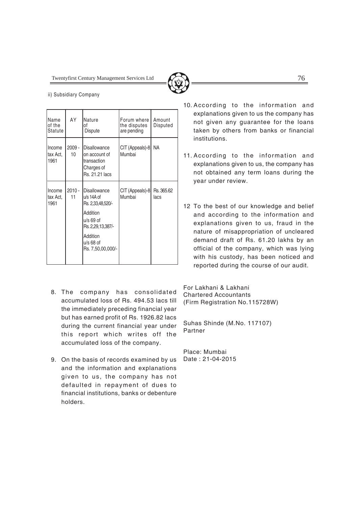

ii) Subsidiary Company

| Name<br>of the<br>Statute  | AY             | Nature<br>٥f<br>Dispute                                                                                                                                  | Forum where<br>the disputes<br>are pending | Amount<br>Disputed |
|----------------------------|----------------|----------------------------------------------------------------------------------------------------------------------------------------------------------|--------------------------------------------|--------------------|
| Income<br>tax Act.<br>1961 | $2009 -$<br>10 | <b>Disallowance</b><br>on account of<br>transaction<br>Charges of<br>Rs. 21.21 lacs                                                                      | CIT (Appeals)-8 NA<br>Mumbai               |                    |
| Income<br>tax Act.<br>1961 | $2010 -$<br>11 | <b>Disallowance</b><br>$u/s$ 14A of<br>Rs. 2,33,48,520/-<br>Addition<br>$u/s$ 69 of<br>Rs. 2,29,13,387/-<br>Addition<br>$u/s$ 68 of<br>Rs. 7,50,00,000/- | CIT (Appeals)-8<br>Mumbai                  | Rs. 365.62<br>lacs |

- 8. The company has consolidated accumulated loss of Rs. 494.53 lacs till the immediately preceding financial year but has earned profit of Rs. 1926.82 lacs during the current financial year under this report which writes off the accumulated loss of the company.
- 9. On the basis of records examined by us and the information and explanations given to us, the company has not defaulted in repayment of dues to financial institutions, banks or debenture holders.
- 10. According to the information and explanations given to us the company has not given any guarantee for the loans taken by others from banks or financial institutions.
- 11. According to the information and explanations given to us, the company has not obtained any term loans during the year under review.
- 12 To the best of our knowledge and belief and according to the information and explanations given to us, fraud in the nature of misappropriation of uncleared demand draft of Rs. 61.20 lakhs by an official of the company, which was lying with his custody, has been noticed and reported during the course of our audit.

For Lakhani & Lakhani Chartered Accountants (Firm Registration No.115728W)

Suhas Shinde (M.No. 117107) Partner

Place: Mumbai Date : 21-04-2015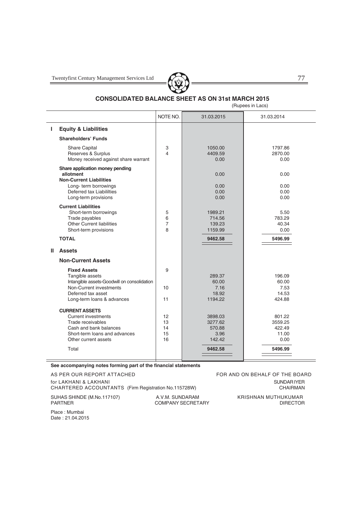

|   |                                                                                                                                                                      |                               | (Rupees in Lacs) |                                                |  |                                              |  |
|---|----------------------------------------------------------------------------------------------------------------------------------------------------------------------|-------------------------------|------------------|------------------------------------------------|--|----------------------------------------------|--|
|   |                                                                                                                                                                      | NOTE NO.                      |                  | 31.03.2015                                     |  | 31.03.2014                                   |  |
| ı | <b>Equity &amp; Liabilities</b>                                                                                                                                      |                               |                  |                                                |  |                                              |  |
|   | <b>Shareholders' Funds</b>                                                                                                                                           |                               |                  |                                                |  |                                              |  |
|   | <b>Share Capital</b><br>Reserves & Surplus<br>Money received against share warrant                                                                                   | 3<br>4                        |                  | 1050.00<br>4409.59<br>0.00                     |  | 1797.86<br>2870.00<br>0.00                   |  |
|   | Share application money pending<br>allotment<br><b>Non-Current Liabilities</b><br>Long-term borrowings<br>Deferred tax Liabililties<br>Long-term provisions          |                               |                  | 0.00<br>0.00<br>0.00<br>0.00                   |  | 0.00<br>0.00<br>0.00<br>0.00                 |  |
|   | <b>Current Liabilities</b><br>Short-term borrowings<br>Trade payables<br><b>Other Current liabilities</b><br>Short-term provisions                                   | 5<br>6<br>$\overline{7}$<br>8 |                  | 1989.21<br>714.56<br>139.23<br>1159.99         |  | 5.50<br>783.29<br>40.34<br>0.00              |  |
|   | <b>TOTAL</b>                                                                                                                                                         |                               |                  | 9462.58                                        |  | 5496.99                                      |  |
| Ш | <b>Assets</b>                                                                                                                                                        |                               |                  |                                                |  |                                              |  |
|   | <b>Non-Current Assets</b>                                                                                                                                            |                               |                  |                                                |  |                                              |  |
|   | <b>Fixed Assets</b><br>Tangible assets<br>Intangible assets-Goodwill on consolidation<br>Non-Current investments<br>Deferred tax asset<br>Long-term loans & advances | 9<br>10<br>11                 |                  | 289.37<br>60.00<br>7.16<br>18.92<br>1194.22    |  | 196.09<br>60.00<br>7.53<br>14.53<br>424.88   |  |
|   | <b>CURRENT ASSETS</b><br><b>Current investments</b><br>Trade receivables<br>Cash and bank balances<br>Short-term loans and advances<br>Other current assets          | 12<br>13<br>14<br>15<br>16    |                  | 3898.03<br>3277.62<br>570.88<br>3.96<br>142.42 |  | 801.22<br>3559.25<br>422.49<br>11.00<br>0.00 |  |
|   | Total                                                                                                                                                                |                               |                  | 9462.58                                        |  | 5496.99                                      |  |

# **CONSOLIDATED BALANCE SHEET AS ON 31st MARCH 2015**

(Rupees in Lacs)

**See accompanying notes forming part of the financial statements**

AS PER OUR REPORT ATTACHED FOR AND ON BEHALF OF THE BOARD for LAKHANI & LAKHANI<br>CHARTERED ACCOUNTANTS (Firm Registration No.115728W) CHARTERED ACCOUNTANTS (Firm Registration No.115728W) CHARTERED ACCOUNTANTS (Firm Registration No.115728W)

Place : Mumbai Date: 21.04.2015 COMPANY SECRETARY

 $\equiv$ 

SUHAS SHINDE (M.No.117107) A.V.M. SUNDARAM KRISHNAN MUTHUKUMAR<br>COMPANY SECRETARY CORETARY DIRECTOR

 $\overline{\phantom{a}}$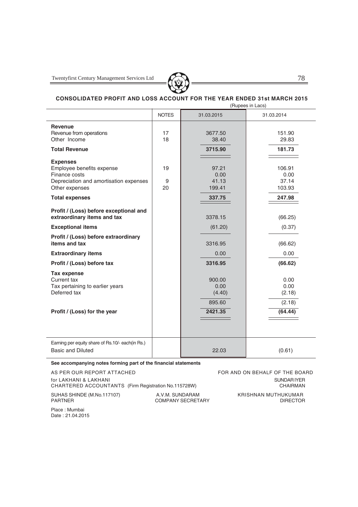

# **CONSOLIDATED PROFIT AND LOSS ACCOUNT FOR THE YEAR ENDED 31st MARCH 2015**

(Rupees in Lacs)

|                                                                                                                           |               | (Rupees III Lacs)                             |                                             |  |  |
|---------------------------------------------------------------------------------------------------------------------------|---------------|-----------------------------------------------|---------------------------------------------|--|--|
|                                                                                                                           | <b>NOTES</b>  | 31.03.2015                                    | 31.03.2014                                  |  |  |
| <b>Revenue</b><br>Revenue from operations<br>Other Income                                                                 | 17<br>18      | 3677.50<br>38.40                              | 151.90<br>29.83                             |  |  |
| <b>Total Revenue</b>                                                                                                      |               | 3715.90                                       | 181.73                                      |  |  |
| <b>Expenses</b><br>Employee benefits expense<br>Finance costs<br>Depreciation and amortisation expenses<br>Other expenses | 19<br>9<br>20 | 97.21<br>0.00<br>41.13<br>199.41              | 106.91<br>0.00<br>37.14<br>103.93           |  |  |
| <b>Total expenses</b>                                                                                                     |               | 337.75                                        | 247.98                                      |  |  |
| Profit / (Loss) before exceptional and<br>extraordinary items and tax                                                     |               | 3378.15                                       | (66.25)                                     |  |  |
| <b>Exceptional items</b>                                                                                                  |               | (61.20)                                       | (0.37)                                      |  |  |
| Profit / (Loss) before extraordinary<br>items and tax                                                                     |               | 3316.95                                       | (66.62)                                     |  |  |
| <b>Extraordinary items</b>                                                                                                |               | 0.00                                          | 0.00                                        |  |  |
| Profit / (Loss) before tax                                                                                                |               | 3316.95                                       | (66.62)                                     |  |  |
| Tax expense<br>Current tax<br>Tax pertaining to earlier years<br>Deferred tax<br>Profit / (Loss) for the year             |               | 900.00<br>0.00<br>(4.40)<br>895.60<br>2421.35 | 0.00<br>0.00<br>(2.18)<br>(2.18)<br>(64.44) |  |  |
| Earning per equity share of Rs.10/- each(in Rs.)<br><b>Basic and Diluted</b>                                              |               | 22.03                                         | (0.61)                                      |  |  |

#### **See accompanying notes forming part of the financial statements**

AS PER OUR REPORT ATTACHED FOR AND ON BEHALF OF THE BOARD for LAKHANI & LAKHANI<br>CHARTERED ACCOUNTANTS (Firm Registration No.115728W) **SUNDAR INCHALAN** CHAIRMAN CHARTERED ACCOUNTANTS (Firm Registration No.115728W)

SUHAS SHINDE (M.No.117107) A.V.M. SUNDARAM KRISHNAN MUTHUKUMAR<br>COMPANY SECRETARY CORETARY DIRECTOR COMPANY SECRETARY

Place : Mumbai Date : 21.04.2015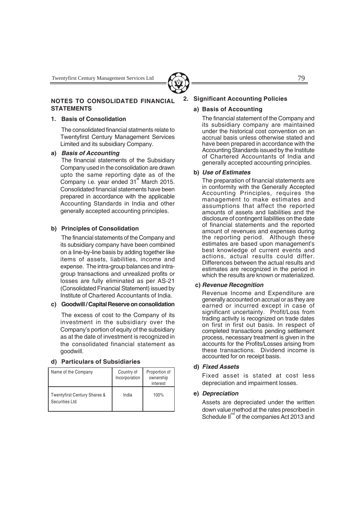Twentyfirst Century Management Services Ltd  $\mathbb{Z}^{\setminus}$ 



# **NOTES TO CONSOLIDATED FINANCIAL STATEMENTS**

#### **1. Basis of Consolidation**

The consolidated financial statments relate to Twentyfirst Century Management Services Limited and its subsidiary Company.

#### **a)** *Basis of Accounting*

The financial statements of the Subsidiary Company used in the consolidation are drawn upto the same reporting date as of the Company i.e. year ended 31<sup>st</sup> March 2015. Consolidated financial statements have been prepared in accordance with the applicable Accounting Standards in India and other generally accepted accounting principles.

### **b) Principles of Consolidation**

The financial statements of the Company and its subsidiary company have been combined on a line-by-line basis by adding together like items of assets, liabilities, income and expense. The intra-group balances and intragroup transactions and unrealized profits or losses are fully eliminated as per AS-21 (Consolidated Financial Statement) issued by Institute of Chartered Accountants of India.

## **c) Goodwill / Capital Reserve on consolidation**

The excess of cost to the Company of its investment in the subsidiary over the Company's portion of equity of the subsidiary as at the date of investment is recognized in the consolidated financial statement as goodwill.

#### **d) Particulars of Subsidiaries**

| Name of the Company                                       | Country of<br>Incorporation | Proportion of<br>ownership<br>interest |
|-----------------------------------------------------------|-----------------------------|----------------------------------------|
| <b>Twentyfirst Century Shares &amp;</b><br>Securities Ltd | India                       | 100%                                   |

# **2. Significant Accounting Policies**

### **a) Basis of Accounting**

The financial statement of the Company and its subsidiary company are maintained under the historical cost convention on an accrual basis unless otherwise stated and have been prepared in accordance with the Accounting Standards issued by the Institute of Chartered Accountants of India and generally accepted accounting principles.

### **b)** *Use of Estimates*

The preparation of financial statements are in conformity with the Generally Accepted Accounting Principles, requires the management to make estimates and assumptions that affect the reported amounts of assets and liabilities and the disclosure of contingent liabilities on the date of financial statements and the reported amount of revenues and expenses during the reporting period. Although these estimates are based upon management's best knowledge of current events and actions, actual results could differ. Differences between the actual results and estimates are recognized in the period in which the results are known or materialized.

#### **c)** *Revenue Recognition*

Revenue Income and Expenditure are generally accounted on accrual or as they are earned or incurred except in case of significant uncertainty. Profit/Loss from trading activity is recognized on trade dates on first in first out basis. In respect of completed transactions pending settlement process, necessary treatment is given in the accounts for the Profits/Losses arising from these transactions. Dividend income is accounted for on receipt basis.

#### **d)** *Fixed Assets*

Fixed asset is stated at cost less depreciation and impairment losses.

#### **e)** *Depreciation*

Assets are depreciated under the written down value method at the rates prescribed in Schedule II<sup>nd</sup> of the companies Act 2013 and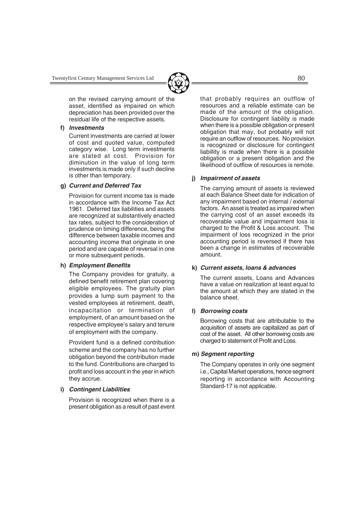

on the revised carrying amount of the asset, identified as impaired on which depreciation has been provided over the residual life of the respective assets.

#### **f)** *Investments*

Current investments are carried at lower of cost and quoted value, computed category wise. Long term investments are stated at cost. Provision for diminution in the value of long term investments is made only if such decline is other than temporary.

#### **g)** *Current and Deferred Tax*

Provision for current income tax is made in accordance with the Income Tax Act 1961. Deferred tax liabilities and assets are recognized at substantively enacted tax rates, subject to the consideration of prudence on timing difference, being the difference between taxable incomes and accounting income that originate in one period and are capable of reversal in one or more subsequent periods.

#### **h)** *Employment Benefits*

The Company provides for gratuity, a defined benefit retirement plan covering eligible employees. The gratuity plan provides a lump sum payment to the vested employees at retirement, death, incapacitation or termination of employment, of an amount based on the respective employee's salary and tenure of employment with the company.

Provident fund is a defined contribution scheme and the company has no further obligation beyond the contribution made to the fund. Contributions are charged to profit and loss account in the year in which they accrue.

#### **i)** *Contingent Liabilities*

Provision is recognized when there is a present obligation as a result of past event that probably requires an outflow of resources and a reliable estimate can be made of the amount of the obligation. Disclosure for contingent liability is made when there is a possible obligation or present obligation that may, but probably will not require an outflow of resources. No provision is recognized or disclosure for contingent liabillity is made when there is a possible obligation or a present obligation and the likelihood of outflow of resources is remote.

#### **j)** *Impairment of assets*

The carrying amount of assets is reviewed at each Balance Sheet date for indication of any impairment based on internal / external factors. An asset is treated as impaired when the carrying cost of an asset exceeds its recoverable value and impairment loss is charged to the Profit & Loss account. The impairment of loss recognized in the prior accounting period is reversed if there has been a change in estimates of recoverable amount.

#### **k)** *Current assets, loans & advances*

The current assets, Loans and Advances have a value on realization at least equal to the amount at which they are stated in the balance sheet.

#### **l)** *Borrowing costs*

Borrowing costs that are attributable to the acquisition of assets are capitalized as part of cost of the asset. All other borrowing costs are charged to statement of Profit and Loss.

#### **m)** *Segment reporting*

The Company operates in only one segment i.e., Capital Market operations, hence segment reporting in accordance with Accounting Standard-17 is not applicable.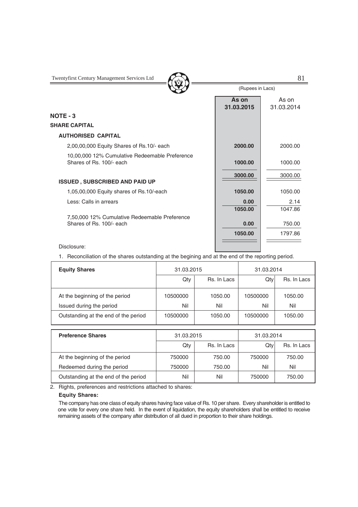| <b>Twentyfirst Century Management Services Ltd</b>                         |                     | 81                  |
|----------------------------------------------------------------------------|---------------------|---------------------|
|                                                                            | (Rupees in Lacs)    |                     |
|                                                                            | As on<br>31.03.2015 | As on<br>31.03.2014 |
| $NOTE - 3$                                                                 |                     |                     |
| <b>SHARE CAPITAL</b>                                                       |                     |                     |
| <b>AUTHORISED CAPITAL</b>                                                  |                     |                     |
| 2,00,00,000 Equity Shares of Rs.10/- each                                  | 2000.00             | 2000.00             |
| 10,00,000 12% Cumulative Redeemable Preference<br>Shares of Rs. 100/- each | 1000.00             | 1000.00             |
| <b>ISSUED, SUBSCRIBED AND PAID UP</b>                                      | 3000.00             | 3000.00             |
| 1,05,00,000 Equity shares of Rs.10/-each                                   | 1050.00             | 1050.00             |
| Less: Calls in arrears                                                     | 0.00<br>1050.00     | 2.14<br>1047.86     |
| 7,50,000 12% Cumulative Redeemable Preference<br>Shares of Rs. 100/- each  | 0.00                | 750.00              |
|                                                                            | 1050.00             | 1797.86             |
| Disclosure:                                                                |                     |                     |

1. Reconciliation of the shares outstanding at the begining and at the end of the reporting period.

L

- 1

| <b>Equity Shares</b>                 | 31.03.2015 |             | 31.03.2014 |             |
|--------------------------------------|------------|-------------|------------|-------------|
|                                      | Qty        | Rs. In Lacs | Qty        | Rs. In Lacs |
| At the beginning of the period       | 10500000   | 1050.00     | 10500000   | 1050.00     |
| Issued during the period             | Nil        | Nil         | Nil        | Nil         |
| Outstanding at the end of the period | 10500000   | 1050.00     | 10500000   | 1050.00     |

| <b>Preference Shares</b>             | 31.03.2015 |             | 31.03.2014 |             |
|--------------------------------------|------------|-------------|------------|-------------|
|                                      | $Q$ ty     | Rs. In Lacs | Qtv        | Rs. In Lacs |
| At the beginning of the period       | 750000     | 750.00      | 750000     | 750.00      |
| Redeemed during the period           | 750000     | 750.00      | Nil        | Nil         |
| Outstanding at the end of the period | Nil        | Nil         | 750000     | 750.00      |

2. Rights, preferences and restrictions attached to shares:

#### **Equity Shares:**

The company has one class of equity shares having face value of Rs. 10 per share. Every shareholder is entitled to one vote for every one share held. In the event of liquidation, the equity shareholders shall be entitled to receive remaining assets of the company after distribution of all dued in proportion to their share holdings.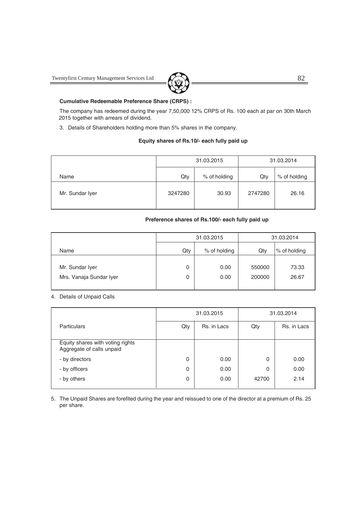

#### **Cumulative Redeemable Preference Share (CRPS) :**

The company has redeemed during the year 7,50,000 12% CRPS of Rs. 100 each at par on 30th March 2015 together with arrears of dividend.

3. Details of Shareholders holding more than 5% shares in the company.

#### **Equity shares of Rs.10/- each fully paid up**

|                 | 31.03.2015 |              | 31.03.2014 |              |
|-----------------|------------|--------------|------------|--------------|
| Name            | Qty        | % of holding | Qty        | % of holding |
| Mr. Sundar Iyer | 3247280    | 30.93        | 2747280    | 26.16        |

# **Preference shares of Rs.100/- each fully paid up**

|                         | 31.03.2015 |              | 31.03.2014 |              |
|-------------------------|------------|--------------|------------|--------------|
| Name                    | Qty        | % of holding | Qty        | % of holding |
|                         |            |              |            |              |
| Mr. Sundar Iyer         | 0          | 0.00         | 550000     | 73.33        |
| Mrs. Vanaja Sundar Iyer | 0          | 0.00         | 200000     | 26.67        |
|                         |            |              |            |              |

4. Details of Unpaid Calls

|                                                               | 31.03.2015  |             | 31.03.2014 |             |
|---------------------------------------------------------------|-------------|-------------|------------|-------------|
| <b>Particulars</b>                                            | Qty         | Rs. in Lacs | Qty        | Rs. in Lacs |
| Equity shares with voting rights<br>Aggregate of calls unpaid |             |             |            |             |
| - by directors                                                | $\Omega$    | 0.00        | 0          | 0.00        |
| - by officers                                                 | 0           | 0.00        | 0          | 0.00        |
| - by others                                                   | $\mathbf 0$ | 0.00        | 42700      | 2.14        |

5. The Unpaid Shares are forefited during the year and reissued to one of the director at a premium of Rs. 25 per share.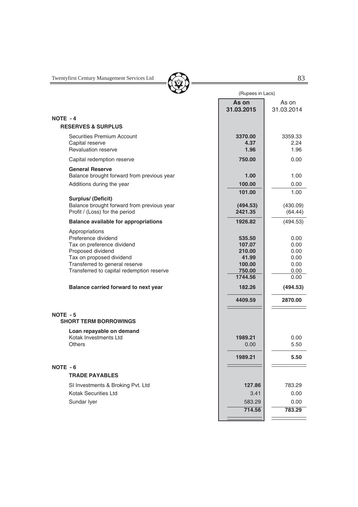Twentyfirst Century Management Services Ltd  $\left(\bigotimes$ 

|                                                                                                                                                                                                     | (Rupees in Lacs)                                                   |                                                      |
|-----------------------------------------------------------------------------------------------------------------------------------------------------------------------------------------------------|--------------------------------------------------------------------|------------------------------------------------------|
| NOTE - 4                                                                                                                                                                                            | As on<br>31.03.2015                                                | As on<br>31.03.2014                                  |
| <b>RESERVES &amp; SURPLUS</b>                                                                                                                                                                       |                                                                    |                                                      |
| Securities Premium Account<br>Capital reserve<br><b>Revaluation reserve</b>                                                                                                                         | 3370.00<br>4.37<br>1.96                                            | 3359.33<br>2.24<br>1.96                              |
| Capital redemption reserve                                                                                                                                                                          | 750.00                                                             | 0.00                                                 |
| <b>General Reserve</b><br>Balance brought forward from previous year<br>Additions during the year                                                                                                   | 1.00<br>100.00<br>101.00                                           | 1.00<br>0.00<br>1.00                                 |
| <b>Surplus/ (Deficit)</b><br>Balance brought forward from previous year<br>Profit / (Loss) for the period                                                                                           | (494.53)<br>2421.35                                                | (430.09)<br>(64.44)                                  |
| <b>Balance available for appropriations</b>                                                                                                                                                         | 1926.82                                                            | (494.53)                                             |
| Appropriations<br>Preference dividend<br>Tax on preference dividend<br>Proposed dividend<br>Tax on proposed dividend<br>Transferred to general reserve<br>Transferred to capital redemption reserve | 535.50<br>107.07<br>210.00<br>41.99<br>100.00<br>750.00<br>1744.56 | 0.00<br>0.00<br>0.00<br>0.00<br>0.00<br>0.00<br>0.00 |
| Balance carried forward to next year                                                                                                                                                                | 182.26<br>4409.59                                                  | (494.53)<br>2870.00                                  |
| $NOTE - 5$<br><b>SHORT TERM BORROWINGS</b><br>Loan repayable on demand                                                                                                                              |                                                                    |                                                      |
| Kotak Investments Ltd<br><b>Others</b>                                                                                                                                                              | 1989.21<br>0.00<br>1989.21                                         | 0.00<br>5.50<br>5.50                                 |
| NOTE - 6                                                                                                                                                                                            |                                                                    |                                                      |
| <b>TRADE PAYABLES</b>                                                                                                                                                                               |                                                                    |                                                      |
| SI Investments & Broking Pvt. Ltd                                                                                                                                                                   | 127.86                                                             | 783.29                                               |
| Kotak Securities Ltd                                                                                                                                                                                | 3.41                                                               | 0.00                                                 |
| Sundar Iyer                                                                                                                                                                                         | 583.29<br>714.56                                                   | 0.00<br>783.29                                       |
|                                                                                                                                                                                                     |                                                                    |                                                      |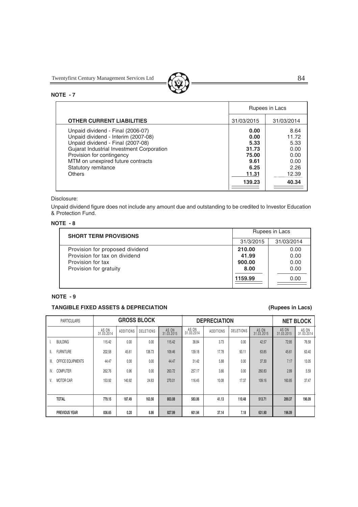

#### **NOTE - 7**

|                                                                                                                                                                                                                                                                      |                                                                           | Rupees in Lacs                                                          |  |
|----------------------------------------------------------------------------------------------------------------------------------------------------------------------------------------------------------------------------------------------------------------------|---------------------------------------------------------------------------|-------------------------------------------------------------------------|--|
| <b>OTHER CURRENT LIABILITIES</b>                                                                                                                                                                                                                                     | 31/03/2015                                                                | 31/03/2014                                                              |  |
| Unpaid dividend - Final (2006-07)<br>Unpaid dividend - Interim (2007-08)<br>Unpaid dividend - Final (2007-08)<br>Gujarat Industrial Investment Corporation<br>Provision for contingency<br>MTM on unexpired future contracts<br>Statutory remitance<br><b>Others</b> | 0.00<br>0.00<br>5.33<br>31.73<br>75.00<br>9.61<br>6.25<br>11.31<br>139.23 | 8.64<br>11.72<br>5.33<br>0.00<br>0.00<br>0.00<br>2.26<br>12.39<br>40.34 |  |

Disclosure:

Unpaid dividend figure does not include any amount due and outstanding to be credited to Investor Education & Protection Fund.

#### **NOTE - 8**

| <b>SHORT TERM PROVISIONS</b>    |           | Rupees in Lacs |
|---------------------------------|-----------|----------------|
|                                 | 31/3/2015 | 31/03/2014     |
| Provision for proposed dividend | 210.00    | 0.00           |
| Provision for tax on dividend   | 41.99     | 0.00           |
| Provision for tax               | 900.00    | 0.00           |
| Provision for gratuity          | 8.00      | 0.00           |
|                                 | 1159.99   | 0.00           |

# **NOTE - 9**

# **TANGIBLE FIXED ASSETS & DEPRECIATION (Rupees in Lacs)**

| <b>PARTICULARS</b>     |                     |                  | <b>GROSS BLOCK</b> |                     |                     | <b>DEPRECIATION</b> |           |                     |                     | <b>NET BLOCK</b>    |
|------------------------|---------------------|------------------|--------------------|---------------------|---------------------|---------------------|-----------|---------------------|---------------------|---------------------|
|                        | AS ON<br>31.03.2014 | <b>ADDITIONS</b> | <b>DELETIONS</b>   | AS ON<br>31.03.2015 | AS ON<br>31.03.2014 | ADDITIONS           | DELETIONS | AS ON<br>31.03.2015 | AS ON<br>31.03.2015 | AS ON<br>31.03.2014 |
| <b>BUILDING</b>        | 115.42              | 0.00             | 0.00               | 115.42              | 38.84               | 3.73                | 0.00      | 42.57               | 72.85               | 76.58               |
| <b>FURNITURE</b>       | 202.58              | 45.61            | 138.73             | 109.46              | 139.18              | 17.78               | 93.11     | 63.85               | 45.61               | 63.40               |
| OFFICE EQUIPMENTS      | 44.47               | 0.00             | 0.00               | 44.47               | 31.42               | 5.88                | 0.00      | 37.30               | 7.17                | 13.05               |
| <b>COMPUTER</b><br>IV. | 262.76              | 0.96             | 0.00               | 263.72              | 257.17              | 3.66                | 0.00      | 260.83              | 2.89                | 5.59                |
| <b>MOTOR CAR</b>       | 153.92              | 140.92           | 24.83              | 270.01              | 116.45              | 10.08               | 17.37     | 109.16              | 160.85              | 37.47               |
|                        |                     |                  |                    |                     |                     |                     |           |                     |                     |                     |
| <b>TOTAL</b>           | 779.15              | 187.49           | 163.56             | 803.08              | 583.06              | 41.13               | 110.48    | 513.71              | 289.37              | 196.09              |
| <b>PREVIOUS YEAR</b>   | 836.65              | 0.20             | 8.86               | 827.99              | 601.94              | 37.14               | 7.18      | 631.90              | 196.09              |                     |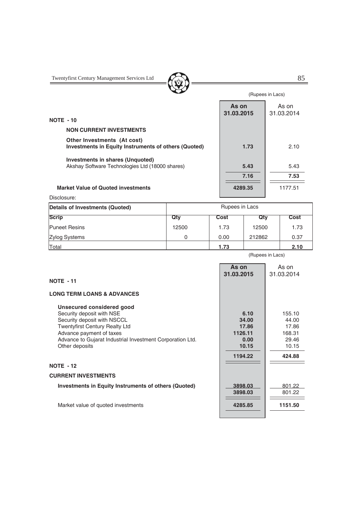| Twentyfirst Century Management Services Ltd                                         |                     | 85                  |
|-------------------------------------------------------------------------------------|---------------------|---------------------|
|                                                                                     |                     | (Rupees in Lacs)    |
| $NOTE - 10$                                                                         | As on<br>31.03.2015 | As on<br>31.03.2014 |
| <b>NON CURRENT INVESTMENTS</b>                                                      |                     |                     |
| Other Investments (At cost)<br>Investments in Equity Instruments of others (Quoted) | 1.73                | 2.10                |
| Investments in shares (Unquoted)<br>Akshay Software Technologies Ltd (18000 shares) | 5.43                | 5.43                |
|                                                                                     | 7.16                | 7.53                |
| <b>Market Value of Quoted investments</b>                                           | 4289.35             | 1177.51             |
| Dieclosure:                                                                         |                     |                     |

Disclosure:

| Details of Investments (Quoted) | Rupees in Lacs |      |        |      |
|---------------------------------|----------------|------|--------|------|
| <b>Scrip</b>                    | Qty            | Cost | Qtv    | Cost |
| <b>Puneet Resins</b>            | 12500          | 1.73 | 12500  | 1.73 |
| Zylog Systems                   |                | 0.00 | 212862 | 0.37 |
| Total                           |                | 1.73 |        | 2.10 |

| <b>NOTE - 11</b>                                                                                                                                                                                                                                              | As on<br>31.03.2015                                           | As on<br>31.03.2014                                            |
|---------------------------------------------------------------------------------------------------------------------------------------------------------------------------------------------------------------------------------------------------------------|---------------------------------------------------------------|----------------------------------------------------------------|
| <b>LONG TERM LOANS &amp; ADVANCES</b>                                                                                                                                                                                                                         |                                                               |                                                                |
| Unsecured considered good<br>Security deposit with NSE<br>Security deposit with NSCCL<br><b>Twentyfirst Century Realty Ltd</b><br>Advance payment of taxes<br>Advance to Gujarat Industrial Investment Corporation Ltd.<br>Other deposits<br><b>NOTE - 12</b> | 6.10<br>34.00<br>17.86<br>1126.11<br>0.00<br>10.15<br>1194.22 | 155.10<br>44.00<br>17.86<br>168.31<br>29.46<br>10.15<br>424.88 |
| <b>CURRENT INVESTMENTS</b>                                                                                                                                                                                                                                    |                                                               |                                                                |
| Investments in Equity Instruments of others (Quoted)                                                                                                                                                                                                          | 3898.03<br>3898.03                                            | 801.22<br>801.22                                               |
| Market value of quoted investments                                                                                                                                                                                                                            | 4285.85                                                       | 1151.50                                                        |

(Rupees in Lacs)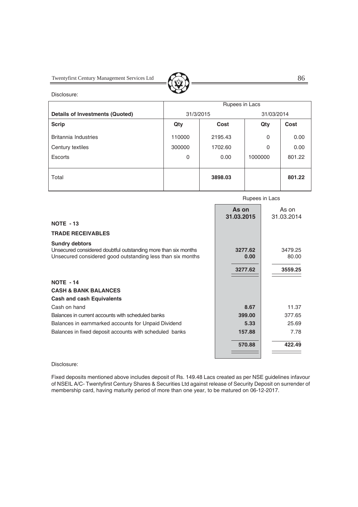

Disclosure:

|                                 |                         | Rupees in Lacs |         |        |
|---------------------------------|-------------------------|----------------|---------|--------|
| Details of Investments (Quoted) | 31/3/2015<br>31/03/2014 |                |         |        |
| <b>Scrip</b>                    | Qty                     | Cost           | Qty     | Cost   |
| Britannia Industries            | 110000                  | 2195.43        | 0       | 0.00   |
| Century textiles                | 300000                  | 1702.60        | 0       | 0.00   |
| Escorts                         | 0                       | 0.00           | 1000000 | 801.22 |
|                                 |                         |                |         |        |
| Total                           |                         | 3898.03        |         | 801.22 |

|                                                                                                                                                       |                     | Rupees in Lacs      |
|-------------------------------------------------------------------------------------------------------------------------------------------------------|---------------------|---------------------|
| $NOTE - 13$                                                                                                                                           | As on<br>31.03.2015 | As on<br>31.03.2014 |
| <b>TRADE RECEIVABLES</b>                                                                                                                              |                     |                     |
|                                                                                                                                                       |                     |                     |
| <b>Sundry debtors</b><br>Unsecured considered doubtful outstanding more than six months<br>Unsecured considered good outstanding less than six months | 3277.62<br>0.00     | 3479.25<br>80.00    |
|                                                                                                                                                       | 3277.62             | 3559.25             |
|                                                                                                                                                       |                     |                     |
| <b>NOTE - 14</b>                                                                                                                                      |                     |                     |
| <b>CASH &amp; BANK BALANCES</b>                                                                                                                       |                     |                     |
| <b>Cash and cash Equivalents</b>                                                                                                                      |                     |                     |
| Cash on hand                                                                                                                                          | 8.67                | 11.37               |
| Balances in current accounts with scheduled banks                                                                                                     | 399.00              | 377.65              |
| Balances in earnmarked accounts for Unpaid Dividend                                                                                                   | 5.33                | 25.69               |
| Balances in fixed deposit accounts with scheduled banks                                                                                               | 157.88              | 7.78                |
|                                                                                                                                                       | 570.88              | 422.49              |

#### Disclosure:

Fixed deposits mentioned above includes deposit of Rs. 149.48 Lacs created as per NSE guidelines infavour of NSEIL A/C- Twentyfirst Century Shares & Securities Ltd against release of Security Deposit on surrender of membership card, having maturity period of more than one year, to be matured on 06-12-2017.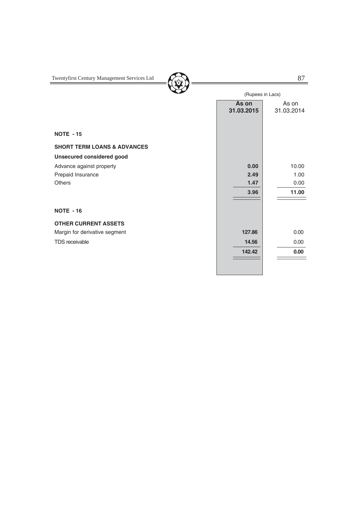| Twentyfirst Century Management Services Ltd |                  | 87         |
|---------------------------------------------|------------------|------------|
|                                             | (Rupees in Lacs) |            |
|                                             | As on            | As on      |
|                                             | 31.03.2015       | 31.03.2014 |
|                                             |                  |            |
| <b>NOTE - 15</b>                            |                  |            |
| <b>SHORT TERM LOANS &amp; ADVANCES</b>      |                  |            |
| <b>Unsecured considered good</b>            |                  |            |
| Advance against property                    | 0.00             | 10.00      |
| Prepaid Insurance                           | 2.49             | 1.00       |
| <b>Others</b>                               | 1.47             | 0.00       |
|                                             | 3.96             | 11.00      |
|                                             |                  |            |
| <b>NOTE - 16</b>                            |                  |            |
| <b>OTHER CURRENT ASSETS</b>                 |                  |            |
| Margin for derivative segment               | 127.86           | 0.00       |
| TDS receivable                              | 14.56            | 0.00       |
|                                             | 142.42           | 0.00       |
|                                             |                  |            |
|                                             |                  |            |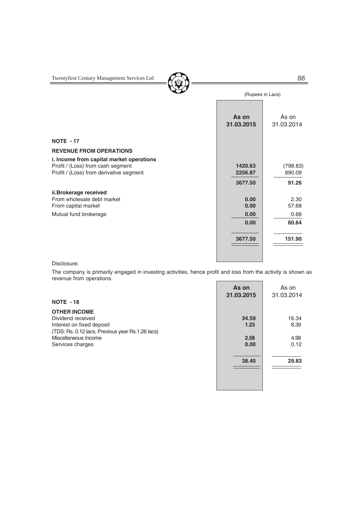| Twentyfirst Century Management Services Ltd                                                                              |                               | 88                          |
|--------------------------------------------------------------------------------------------------------------------------|-------------------------------|-----------------------------|
|                                                                                                                          | (Rupees in Lacs)              |                             |
|                                                                                                                          | As on<br>31.03.2015           | As on<br>31.03.2014         |
| <b>NOTE - 17</b>                                                                                                         |                               |                             |
| <b>REVENUE FROM OPERATIONS</b>                                                                                           |                               |                             |
| i. Income from capital market operations<br>Profit / (Loss) from cash segment<br>Profit / (Loss) from derivative segment | 1420.63<br>2256.87<br>3677.50 | (798.83)<br>890.09<br>91.26 |
| ii.Brokerage received                                                                                                    |                               |                             |
| From wholesale debt market<br>From capital market                                                                        | 0.00<br>0.00                  | 2.30<br>57.68               |
| Mutual fund brokerage                                                                                                    | 0.00                          | 0.66                        |
|                                                                                                                          | 0.00                          | 60.64                       |
|                                                                                                                          | 3677.50                       | 151.90                      |

## Disclosure:

The company is primarily engaged in investing activities, hence profit and loss from the activity is shown as revenue from operations.

| <b>NOTE - 18</b>                                                                                                                                  | As on<br>31.03.2015   | As on<br>31.03.2014   |
|---------------------------------------------------------------------------------------------------------------------------------------------------|-----------------------|-----------------------|
| <b>OTHER INCOME</b><br>Dividend received<br>Interest on fixed deposit<br>(TDS: Rs. 0.12 lacs, Previous year Rs.1.26 lacs)<br>Miscellaneous Income | 34.59<br>1.23<br>2.58 | 16.34<br>8.39<br>4.98 |
| Services charges                                                                                                                                  | 0.00                  | 0.12                  |
|                                                                                                                                                   | 38.40                 | 29.83                 |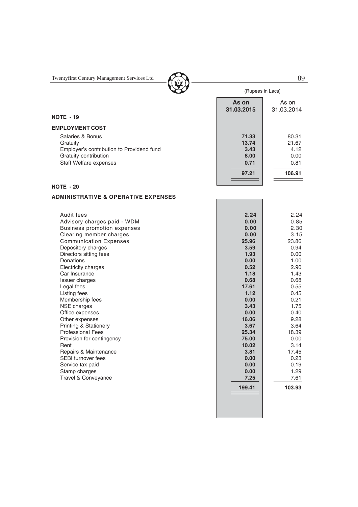| Twentyfirst Century Management Services Ltd    |                     | 89                  |
|------------------------------------------------|---------------------|---------------------|
|                                                | (Rupees in Lacs)    |                     |
|                                                | As on<br>31.03.2015 | As on<br>31.03.2014 |
| <b>NOTE - 19</b>                               |                     |                     |
| <b>EMPLOYMENT COST</b>                         |                     |                     |
| Salaries & Bonus                               | 71.33               | 80.31               |
| Gratuity                                       | 13.74               | 21.67               |
| Employer's contribution to Providend fund      | 3.43                | 4.12                |
| Gratuity contribution                          | 8.00                | 0.00                |
| Staff Welfare expenses                         | 0.71                | 0.81                |
|                                                | 97.21               | 106.91              |
| <b>NOTE - 20</b>                               |                     |                     |
| <b>ADMINISTRATIVE &amp; OPERATIVE EXPENSES</b> |                     |                     |
|                                                |                     |                     |
| Audit fees                                     | 2.24                | 2.24                |
| Advisory charges paid - WDM                    | 0.00                | 0.85                |
| <b>Business promotion expenses</b>             | 0.00                | 2.30                |
| Clearing member charges                        | 0.00                | 3.15                |
| <b>Communication Expenses</b>                  | 25.96               | 23.86               |
| Depository charges                             | 3.59                | 0.94                |
| Directors sitting fees                         | 1.93                | 0.00                |
| Donations                                      | 0.00                | 1.00                |
| <b>Electricity charges</b>                     | 0.52                | 2.90                |
| Car Insurance                                  | 1.18<br>0.68        | 1.43                |
| Issuer charges<br>Legal fees                   | 17.61               | 0.68<br>0.55        |
| Listing fees                                   | 1.12                | 0.45                |
| Membership fees                                | 0.00                | 0.21                |
| NSE charges                                    | 3.43                | 1.75                |
| Office expenses                                | 0.00                | 0.40                |
| Other expenses                                 | 16.06               | 9.28                |
| <b>Printing &amp; Stationery</b>               | 3.67                | 3.64                |
| <b>Professional Fees</b>                       | 25.34               | 18.39               |
| Provision for contingency                      | 75.00               | 0.00                |
| Rent                                           | 10.02               | 3.14                |
| Repairs & Maintenance                          | 3.81                | 17.45               |
| SEBI turnover fees                             | 0.00                | 0.23                |
| Service tax paid                               | 0.00                | 0.19                |
| Stamp charges<br>Travel & Conveyance           | 0.00                | 1.29<br>7.61        |
|                                                | 7.25                |                     |
|                                                | 199.41              | 103.93              |
|                                                |                     |                     |
|                                                |                     |                     |
|                                                |                     |                     |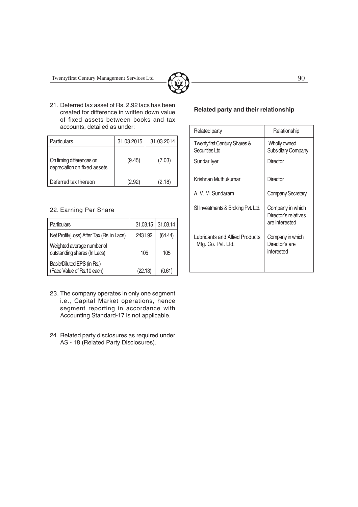

21. Deferred tax asset of Rs. 2.92 lacs has been created for difference in written down value of fixed assets between books and tax accounts, detailed as under:

| <b>Particulars</b>                                       | 31.03.2015 | 31.03.2014 |
|----------------------------------------------------------|------------|------------|
| On timing differences on<br>depreciation on fixed assets | (9.45)     | (7.03)     |
| Deferred tax thereon                                     | (2.92)     | (2.18)     |

# 22. Earning Per Share

| Particulars                                                | 31.03.15 | 31.03.14 |
|------------------------------------------------------------|----------|----------|
| Net Profit/(Loss) After Tax (Rs. in Lacs)                  | 2431.92  | (64.44)  |
| Weighted average number of<br>outstanding shares (In Lacs) | 105      | 105      |
| Basic/Diluted EPS (in Rs.)<br>(Face Value of Rs.10 each)   | (22.13)  | (0.61)   |

- 23. The company operates in only one segment i.e., Capital Market operations, hence segment reporting in accordance with Accounting Standard-17 is not applicable.
- 24. Related party disclosures as required under AS - 18 (Related Party Disclosures).

# **Related party and their relationship**

| Related party                                        | Relationship                                               |
|------------------------------------------------------|------------------------------------------------------------|
| Twentyfirst Century Shares &<br>Securities Ltd       | Wholly owned<br><b>Subsidiary Company</b>                  |
| Sundar Iyer                                          | Director                                                   |
| Krishnan Muthukumar                                  | Director                                                   |
| A. V. M. Sundaram                                    | <b>Company Secretary</b>                                   |
| SI Investments & Broking Pvt. Ltd.                   | Company in which<br>Director's relatives<br>are interested |
| Lubricants and Allied Products<br>Mfg. Co. Pvt. Ltd. | Company in which<br>Director's are<br>interested           |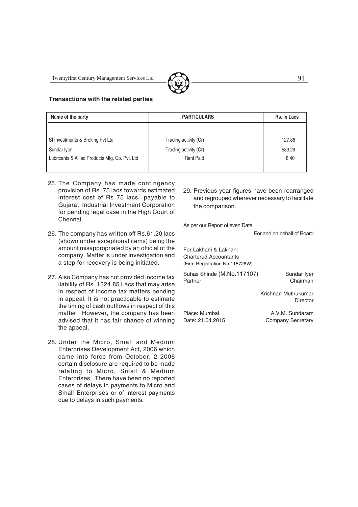

#### **Transactions with the related parties**

| Name of the party                              | <b>PARTICULARS</b>    | Rs. In Lacs |
|------------------------------------------------|-----------------------|-------------|
|                                                |                       |             |
| SI Investments & Broking Pvt Ltd               | Trading activity (Cr) | 127.86      |
| Sundar Iver                                    | Trading activity (Cr) | 583.29      |
| Lubricants & Allied Products Mfg. Co. Pvt. Ltd | <b>Rent Paid</b>      | 8.40        |
|                                                |                       |             |

- 25. The Company has made contingency provision of Rs. 75 lacs towards estimated interest cost of Rs 75 lacs payable to Gujarat Industrial Investment Corporation for pending legal case in the High Court of Chennai.
- 26. The company has written off Rs.61.20 lacs (shown under exceptional items) being the amount misappropriated by an official of the company. Matter is under investigation and a step for recovery is being initiated.
- 27. Also Company has not provided income tax liability of Rs. 1324.85 Lacs that may arise in respect of income tax matters pending in appeal. It is not practicable to estimate the timing of cash outflows in respect of this matter. However, the company has been advised that it has fair chance of winning the appeal.
- 28. Under the Micro, Small and Medium Enterprises Development Act, 2006 which came into force from October, 2 2006 certain disclosure are required to be made relating to Micro, Small & Medium Enterprises. There have been no reported cases of delays in payments to Micro and Small Enterprises or of interest payments due to delays in such payments.

29. Previous year figures have been rearranged and regrouped wherever necessary to facilitate the comparison.

As per our Report of even Date

For and on behalf of Board

For Lakhani & Lakhani Chartered Accountants (Firm Registration No.115728W)

Suhas Shinde (M.No.117107) Sundar Iver Partner Chairman

> Krishnan Muthukumar **Director**

Place: Mumbai A.V.M. Sundaram Date: 21.04.2015 Company Secretary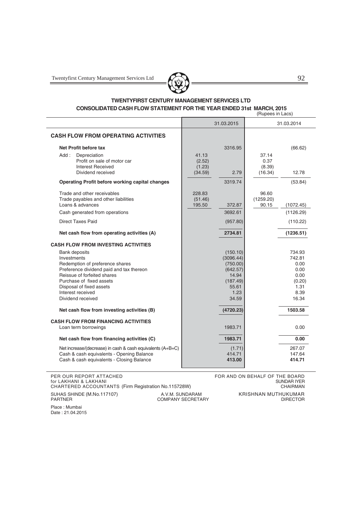

#### **CONSOLIDATED CASH FLOW STATEMENT FOR THE YEAR ENDED 31st MARCH, 2015** (Rupees in Lacs) **TWENTYFIRST CENTURY MANAGEMENT SERVICES LTD**

| 31.03.2015<br>31.03.2014<br><b>CASH FLOW FROM OPERATING ACTIVITIES</b><br>Net Profit before tax<br>3316.95<br>(66.62)<br>Add:<br>Depreciation<br>41.13<br>37.14<br>Profit on sale of motor car<br>0.37<br>(2.52)<br>Interest Received<br>(1.23)<br>(8.39)<br>Dividend received<br>(16.34)<br>12.78<br>(34.59)<br>2.79<br>Operating Profit before working capital changes<br>3319.74<br>(53.84)<br>Trade and other receivables<br>96.60<br>228.83<br>Trade payables and other liabilities<br>(1259.20)<br>(51.46)<br>Loans & advances<br>195.50<br>90.15<br>372.87<br>(1072.45)<br>Cash generated from operations<br>3692.61<br>(1126.29)<br><b>Direct Taxes Paid</b><br>(110.22)<br>(957.80)<br>Net cash flow from operating activities (A)<br>2734.81<br>(1236.51)<br><b>CASH FLOW FROM INVESTING ACTIVITIES</b><br>(150.10)<br><b>Bank deposits</b><br>734.93<br>(3096.44)<br>742.81<br>Investments<br>Redemption of preference shares<br>(750.00)<br>0.00<br>Preference dividend paid and tax thereon<br>(642.57)<br>0.00<br>Reissue of forfeited shares<br>14.94<br>0.00<br>Purchase of fixed assets<br>(187.49)<br>(0.20)<br>1.31<br>Disposal of fixed assets<br>55.61<br>Interest received<br>1.23<br>8.39<br>Dividend received<br>34.59<br>16.34<br>Net cash flow from investing activities (B)<br>1503.58<br>(4720.23)<br><b>CASH FLOW FROM FINANCING ACTIVITIES</b><br>1983.71<br>0.00<br>Loan term borrowings<br>Net cash flow from financing activities (C)<br>1983.71<br>0.00<br>Net increase/(decrease) in cash & cash equivalents (A+B+C)<br>267.07<br>(1.71)<br>Cash & cash equivalents - Opening Balance<br>414.71<br>147.64<br>Cash & cash equivalents - Closing Balance<br>413.00<br>414.71 |  | (1.14) |  |
|---------------------------------------------------------------------------------------------------------------------------------------------------------------------------------------------------------------------------------------------------------------------------------------------------------------------------------------------------------------------------------------------------------------------------------------------------------------------------------------------------------------------------------------------------------------------------------------------------------------------------------------------------------------------------------------------------------------------------------------------------------------------------------------------------------------------------------------------------------------------------------------------------------------------------------------------------------------------------------------------------------------------------------------------------------------------------------------------------------------------------------------------------------------------------------------------------------------------------------------------------------------------------------------------------------------------------------------------------------------------------------------------------------------------------------------------------------------------------------------------------------------------------------------------------------------------------------------------------------------------------------------------------------------------------------------------------------------|--|--------|--|
|                                                                                                                                                                                                                                                                                                                                                                                                                                                                                                                                                                                                                                                                                                                                                                                                                                                                                                                                                                                                                                                                                                                                                                                                                                                                                                                                                                                                                                                                                                                                                                                                                                                                                                               |  |        |  |
|                                                                                                                                                                                                                                                                                                                                                                                                                                                                                                                                                                                                                                                                                                                                                                                                                                                                                                                                                                                                                                                                                                                                                                                                                                                                                                                                                                                                                                                                                                                                                                                                                                                                                                               |  |        |  |
|                                                                                                                                                                                                                                                                                                                                                                                                                                                                                                                                                                                                                                                                                                                                                                                                                                                                                                                                                                                                                                                                                                                                                                                                                                                                                                                                                                                                                                                                                                                                                                                                                                                                                                               |  |        |  |
|                                                                                                                                                                                                                                                                                                                                                                                                                                                                                                                                                                                                                                                                                                                                                                                                                                                                                                                                                                                                                                                                                                                                                                                                                                                                                                                                                                                                                                                                                                                                                                                                                                                                                                               |  |        |  |
|                                                                                                                                                                                                                                                                                                                                                                                                                                                                                                                                                                                                                                                                                                                                                                                                                                                                                                                                                                                                                                                                                                                                                                                                                                                                                                                                                                                                                                                                                                                                                                                                                                                                                                               |  |        |  |
|                                                                                                                                                                                                                                                                                                                                                                                                                                                                                                                                                                                                                                                                                                                                                                                                                                                                                                                                                                                                                                                                                                                                                                                                                                                                                                                                                                                                                                                                                                                                                                                                                                                                                                               |  |        |  |
|                                                                                                                                                                                                                                                                                                                                                                                                                                                                                                                                                                                                                                                                                                                                                                                                                                                                                                                                                                                                                                                                                                                                                                                                                                                                                                                                                                                                                                                                                                                                                                                                                                                                                                               |  |        |  |
|                                                                                                                                                                                                                                                                                                                                                                                                                                                                                                                                                                                                                                                                                                                                                                                                                                                                                                                                                                                                                                                                                                                                                                                                                                                                                                                                                                                                                                                                                                                                                                                                                                                                                                               |  |        |  |
|                                                                                                                                                                                                                                                                                                                                                                                                                                                                                                                                                                                                                                                                                                                                                                                                                                                                                                                                                                                                                                                                                                                                                                                                                                                                                                                                                                                                                                                                                                                                                                                                                                                                                                               |  |        |  |
|                                                                                                                                                                                                                                                                                                                                                                                                                                                                                                                                                                                                                                                                                                                                                                                                                                                                                                                                                                                                                                                                                                                                                                                                                                                                                                                                                                                                                                                                                                                                                                                                                                                                                                               |  |        |  |
|                                                                                                                                                                                                                                                                                                                                                                                                                                                                                                                                                                                                                                                                                                                                                                                                                                                                                                                                                                                                                                                                                                                                                                                                                                                                                                                                                                                                                                                                                                                                                                                                                                                                                                               |  |        |  |
|                                                                                                                                                                                                                                                                                                                                                                                                                                                                                                                                                                                                                                                                                                                                                                                                                                                                                                                                                                                                                                                                                                                                                                                                                                                                                                                                                                                                                                                                                                                                                                                                                                                                                                               |  |        |  |
|                                                                                                                                                                                                                                                                                                                                                                                                                                                                                                                                                                                                                                                                                                                                                                                                                                                                                                                                                                                                                                                                                                                                                                                                                                                                                                                                                                                                                                                                                                                                                                                                                                                                                                               |  |        |  |
|                                                                                                                                                                                                                                                                                                                                                                                                                                                                                                                                                                                                                                                                                                                                                                                                                                                                                                                                                                                                                                                                                                                                                                                                                                                                                                                                                                                                                                                                                                                                                                                                                                                                                                               |  |        |  |
|                                                                                                                                                                                                                                                                                                                                                                                                                                                                                                                                                                                                                                                                                                                                                                                                                                                                                                                                                                                                                                                                                                                                                                                                                                                                                                                                                                                                                                                                                                                                                                                                                                                                                                               |  |        |  |
|                                                                                                                                                                                                                                                                                                                                                                                                                                                                                                                                                                                                                                                                                                                                                                                                                                                                                                                                                                                                                                                                                                                                                                                                                                                                                                                                                                                                                                                                                                                                                                                                                                                                                                               |  |        |  |

PER OUR REPORT ATTACHED FOR AND ON BEHALF OF THE BOARD<br>for LAKHANI & LAKHANI for LAKHANI & LAKHANI<br>CHARTERED ACCOUNTANTS (Firm Registration No.115728W) CHARTERED ACCOUNTANTS (Firm Registration No.115728W) CHARTERED ACCOUNTANTS (Firm Registration No.115728W)

SUHAS SHINDE (M.No.117107) A.V.M. SUNDARAM KRISHNAN MUTHUKUMAR PARTNER DIRECTOR COMPANY SECRETARY DIRECTOR

Place : Mumbai Date : 21.04.2015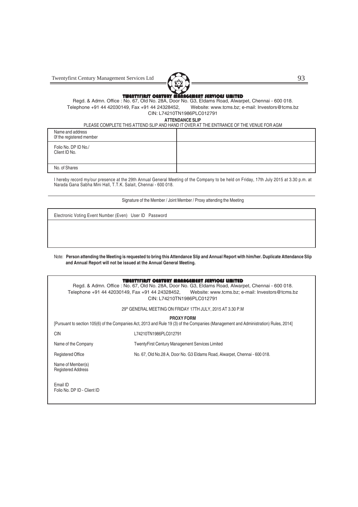

# **TWENTYFIRST CENTURY MANAGEMENT SERVICES LIMITED**<br>Regd. & Admn. Office : No. 67, Old No. 28A, Door No. G3, Eldams Road, Alwarpet, Chennai - 600 018.

Telephone +91 44 42030149, Fax +91 44 24328452, Website: www.tcms.bz; e-mail: Investors@tcms.bz CIN: L74210TN1986PLC012791

**ATTENDANCE SLIP**

PLEASE COMPLETE THIS ATTEND SLIP AND HAND IT OVER AT THE ENTRANCE OF THE VENUE FOR AGM

| Name and address<br>Of the registered member |  |
|----------------------------------------------|--|
| Folio No. DP ID No./<br>Client ID No.        |  |
| No. of Shares                                |  |

I hereby record my/our presence at the 29th Annual General Meeting of the Company to be held on Friday, 17th July 2015 at 3.30 p.m. at Narada Gana Sabha Mini Hall, T.T.K. Salait, Chennai - 600 018.

Signature of the Member / Joint Member / Proxy attending the Meeting

Electronic Voting Event Number (Even) User ID Password

Note: **Person attending the Meeting is requested to bring this Attendance Slip and Annual Report with him/her. Duplicate Attendance Slip and Annual Report will not be issued at the Annual General Meeting.**

|                                                | TWEATYFIRST OEATURY MAAAGEMEAT SERVICES LIMITED<br>Regd. & Admn. Office: No. 67, Old No. 28A, Door No. G3, Eldams Road, Alwarpet, Chennai - 600 018.<br>Telephone +91 44 42030149, Fax +91 44 24328452, Website: www.tcms.bz; e-mail: Investors@tcms.bz<br>CIN: L74210TN1986PLC012791 |
|------------------------------------------------|---------------------------------------------------------------------------------------------------------------------------------------------------------------------------------------------------------------------------------------------------------------------------------------|
|                                                | 29th GENERAL MEETING ON FRIDAY 17TH JULY, 2015 AT 3.30 P.M.                                                                                                                                                                                                                           |
|                                                | <b>PROXY FORM</b><br>[Pursuant to section 105(6) of the Companies Act, 2013 and Rule 19 (3) of the Companies (Management and Administration) Rules, 2014]                                                                                                                             |
| <b>CIN</b>                                     | L74210TN1986PLC012791                                                                                                                                                                                                                                                                 |
| Name of the Company                            | <b>TwentyFirst Century Management Services Limited</b>                                                                                                                                                                                                                                |
| <b>Registered Office</b>                       | No. 67, Old No.28 A, Door No. G3 Eldams Road, Alwarpet, Chennai - 600 018.                                                                                                                                                                                                            |
| Name of Member(s)<br><b>Registered Address</b> |                                                                                                                                                                                                                                                                                       |
| Email ID<br>Folio No. DP ID - Client ID        |                                                                                                                                                                                                                                                                                       |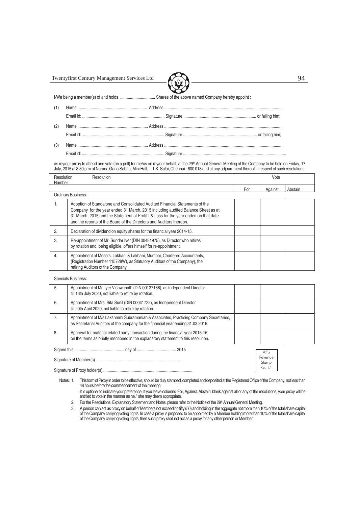| $R_{AB}$<br>Twentyfirst Century Management Services Ltd |  |
|---------------------------------------------------------|--|
|---------------------------------------------------------|--|

I/We being a member(s) of and holds ................................ Shares of the above named Company hereby appoint :

|  | $\text{Admes.} \label{1.1} \text{Admes.} \qquad \qquad \text{Admes.} \qquad \text{Admes.} \qquad \qquad \text{Admes.} \qquad \qquad \text{Admes.} \qquad \qquad \text{Admes.} \qquad \qquad \text{Admes.} \qquad \qquad \text{Admes.} \qquad \text{Admes.} \qquad \qquad \text{Admes.} \qquad \text{Admes.} \qquad \qquad \text{Admes.} \qquad \text{Admes.} \qquad \text{Admes.} \qquad \text{Admes.} \qquad \text{Admes.} \qquad \text{Admes.} \qquad \text{Admes.} \qquad \text$ |  |
|--|-------------------------------------------------------------------------------------------------------------------------------------------------------------------------------------------------------------------------------------------------------------------------------------------------------------------------------------------------------------------------------------------------------------------------------------------------------------------------------------|--|
|  |                                                                                                                                                                                                                                                                                                                                                                                                                                                                                     |  |
|  |                                                                                                                                                                                                                                                                                                                                                                                                                                                                                     |  |
|  |                                                                                                                                                                                                                                                                                                                                                                                                                                                                                     |  |
|  |                                                                                                                                                                                                                                                                                                                                                                                                                                                                                     |  |
|  |                                                                                                                                                                                                                                                                                                                                                                                                                                                                                     |  |

as my/our proxy to attend and vote (on a poll) for me/us on my/our behalf, at the 29<sup>th</sup> Annual General Meeting of the Company to be held on Friday, 17 July, 2015 at 3.30 p.m at Narada Gana Sabha, Mini Hall, T.T.K. Salai, Chennai - 600 018 and at any adjournment thereof in respect of such resolutions:

| Resolution<br>Number | Resolution                                                                                                                                                                                                                                                                                                                   |     | Vote    |         |
|----------------------|------------------------------------------------------------------------------------------------------------------------------------------------------------------------------------------------------------------------------------------------------------------------------------------------------------------------------|-----|---------|---------|
|                      |                                                                                                                                                                                                                                                                                                                              | For | Against | Abstain |
|                      | <b>Ordinary Business:</b>                                                                                                                                                                                                                                                                                                    |     |         |         |
| ۱.                   | Adoption of Standalone and Consolidated Audited Financial Statements of the<br>Company for the year ended 31 March, 2015 including audited Balance Sheet as at<br>31 March, 2015 and the Statement of Profit t & Loss for the year ended on that date<br>and the reports of the Board of the Directors and Auditors thereon. |     |         |         |
| 2.                   | Declaration of dividend on equity shares for the financial year 2014-15.                                                                                                                                                                                                                                                     |     |         |         |
| 3.                   | Re-appointment of Mr. Sundar Iver (DIN 00481975), as Director who retires<br>by rotation and, being eligible, offers himself for re-appointment.                                                                                                                                                                             |     |         |         |
| 4.                   | Appointment of Messrs. Lakhani & Lakhani, Mumbai, Chartered Accountants,<br>(Registration Number 115728W), as Statutory Auditors of the Company), the<br>retiring Auditors of the Company.                                                                                                                                   |     |         |         |

#### Specials Business:

|    | Appointment of Mr. Iyer Vishwanath (DIN 00137166), as Independent Director<br>till 16th July 2020, not liable to retire by rotation.                                      |  |  |
|----|---------------------------------------------------------------------------------------------------------------------------------------------------------------------------|--|--|
| 6. | Appointment of Mrs. Sita Sunil (DIN 00041722), as Independent Director<br>till 20th April 2020, not liable to retire by rotation.                                         |  |  |
|    | Appointment of M/s Lakshmmi Subramanian & Associates, Practising Company Secretaries,<br>as Secretarial Auditors of the company for the financial year ending 31.03.2016. |  |  |
|    | Approval for material related party transaction during the financial year 2015-16<br>on the terms as briefly mentioned in the explanatory statement to this resolution.   |  |  |

Signed this .............................................. day of .................................... 2015 Signature of Member(s) ...............................................................................

Signature of Proxy holder(s) ...................................................................................

Notes: 1. This form of Proxy in order to be effective, should be duly stamped, completed and deposited at the Registered Office of the Company, not less than 48 hours before the commencement of the meeting.

It is optional to indicate your preference. If you leave columns 'For, Against, Abstain' blank against all or any of the resolutions, your proxy will be entitled to vote in the manner as he / she may deem appropriate.

Affix Revenue Stamp Re. 1/-

- 2. For the Resolutions, Explanatory Statement and Notes, please refer to the Notice of the 29th Annual General Meeting.
- 3. A person can act as proxy on behalf of Members not exceeding fifty (50) and holding in the aggregate not more than 10% of the total share capital of the Company carrying voting rights. In case a proxy is proposed to be appointed by a Member holding more than 10% of the total share capital of the Company carrying voting rights, then such proxy shall not act as a proxy for any other person or Member.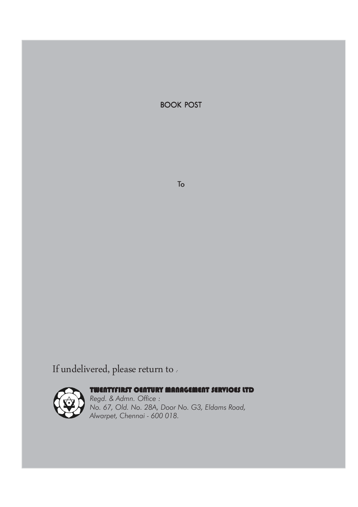BOOK POST

To

If undelivered, please return to .



TWENTYFIRST CENTURY MANAGEMENT SERVICES LTD

*Regd. & Admn. Office : No. 67, Old. No. 28A, Door No. G3, Eldams Road, Alwarpet, Chennai - 600 018.*